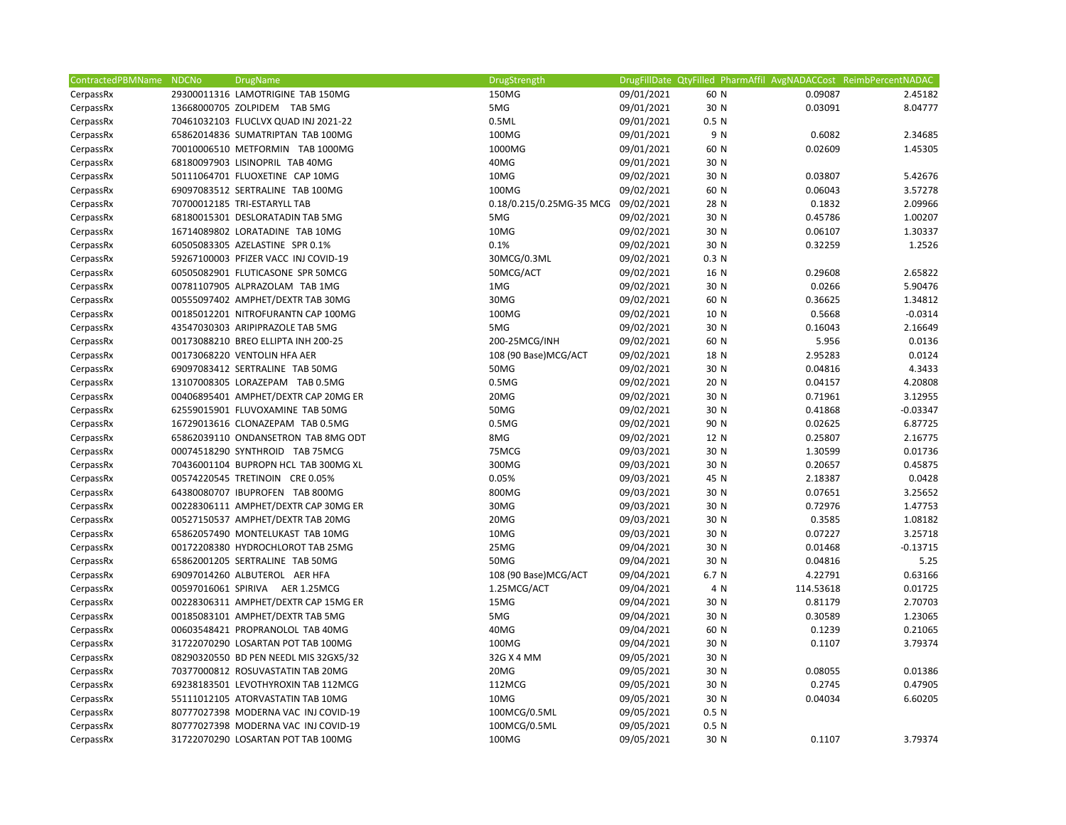| ContractedPBMName | <b>NDCNo</b> | <b>DrugName</b>                       | DrugStrength                        |            | DrugFillDate QtyFilled PharmAffil AvgNADACCost ReimbPercentNADAC |           |            |
|-------------------|--------------|---------------------------------------|-------------------------------------|------------|------------------------------------------------------------------|-----------|------------|
| CerpassRx         |              | 29300011316 LAMOTRIGINE TAB 150MG     | 150MG                               | 09/01/2021 | 60 N                                                             | 0.09087   | 2.45182    |
| CerpassRx         |              | 13668000705 ZOLPIDEM TAB 5MG          | 5MG                                 | 09/01/2021 | 30 N                                                             | 0.03091   | 8.04777    |
| CerpassRx         |              | 70461032103 FLUCLVX QUAD INJ 2021-22  | 0.5ML                               | 09/01/2021 | 0.5 N                                                            |           |            |
| CerpassRx         |              | 65862014836 SUMATRIPTAN TAB 100MG     | 100MG                               | 09/01/2021 | 9 N                                                              | 0.6082    | 2.34685    |
| CerpassRx         |              | 70010006510 METFORMIN TAB 1000MG      | 1000MG                              | 09/01/2021 | 60 N                                                             | 0.02609   | 1.45305    |
| CerpassRx         |              | 68180097903 LISINOPRIL TAB 40MG       | 40MG                                | 09/01/2021 | 30 N                                                             |           |            |
| CerpassRx         |              | 50111064701 FLUOXETINE CAP 10MG       | 10MG                                | 09/02/2021 | 30 N                                                             | 0.03807   | 5.42676    |
| CerpassRx         |              | 69097083512 SERTRALINE TAB 100MG      | 100MG                               | 09/02/2021 | 60 N                                                             | 0.06043   | 3.57278    |
| CerpassRx         |              | 70700012185 TRI-ESTARYLL TAB          | 0.18/0.215/0.25MG-35 MCG 09/02/2021 |            | 28 N                                                             | 0.1832    | 2.09966    |
| CerpassRx         |              | 68180015301 DESLORATADIN TAB 5MG      | 5MG                                 | 09/02/2021 | 30 N                                                             | 0.45786   | 1.00207    |
| CerpassRx         |              | 16714089802 LORATADINE TAB 10MG       | 10MG                                | 09/02/2021 | 30 N                                                             | 0.06107   | 1.30337    |
| CerpassRx         |              | 60505083305 AZELASTINE SPR 0.1%       | 0.1%                                | 09/02/2021 | 30 N                                                             | 0.32259   | 1.2526     |
| CerpassRx         |              | 59267100003 PFIZER VACC INJ COVID-19  | 30MCG/0.3ML                         | 09/02/2021 | 0.3 N                                                            |           |            |
| CerpassRx         |              | 60505082901 FLUTICASONE SPR 50MCG     | 50MCG/ACT                           | 09/02/2021 | 16 N                                                             | 0.29608   | 2.65822    |
| CerpassRx         |              | 00781107905 ALPRAZOLAM TAB 1MG        | 1MG                                 | 09/02/2021 | 30 N                                                             | 0.0266    | 5.90476    |
| CerpassRx         |              | 00555097402 AMPHET/DEXTR TAB 30MG     | 30MG                                | 09/02/2021 | 60 N                                                             | 0.36625   | 1.34812    |
| CerpassRx         |              | 00185012201 NITROFURANTN CAP 100MG    | 100MG                               | 09/02/2021 | 10 N                                                             | 0.5668    | $-0.0314$  |
| CerpassRx         |              | 43547030303 ARIPIPRAZOLE TAB 5MG      | 5MG                                 | 09/02/2021 | 30 N                                                             | 0.16043   | 2.16649    |
| CerpassRx         |              | 00173088210 BREO ELLIPTA INH 200-25   | 200-25MCG/INH                       | 09/02/2021 | 60 N                                                             | 5.956     | 0.0136     |
| CerpassRx         |              | 00173068220 VENTOLIN HFA AER          | 108 (90 Base) MCG/ACT               | 09/02/2021 | 18 N                                                             | 2.95283   | 0.0124     |
| CerpassRx         |              | 69097083412 SERTRALINE TAB 50MG       | 50MG                                | 09/02/2021 | 30 N                                                             | 0.04816   | 4.3433     |
| CerpassRx         |              | 13107008305 LORAZEPAM TAB 0.5MG       | 0.5MG                               | 09/02/2021 | 20 N                                                             | 0.04157   | 4.20808    |
| CerpassRx         |              | 00406895401 AMPHET/DEXTR CAP 20MG ER  | 20MG                                | 09/02/2021 | 30 N                                                             | 0.71961   | 3.12955    |
| CerpassRx         |              | 62559015901 FLUVOXAMINE TAB 50MG      | 50MG                                | 09/02/2021 | 30 N                                                             | 0.41868   | $-0.03347$ |
| CerpassRx         |              | 16729013616 CLONAZEPAM TAB 0.5MG      | 0.5M <sub>G</sub>                   | 09/02/2021 | 90 N                                                             | 0.02625   | 6.87725    |
| CerpassRx         |              | 65862039110 ONDANSETRON TAB 8MG ODT   | 8MG                                 | 09/02/2021 | 12 N                                                             | 0.25807   | 2.16775    |
| CerpassRx         |              | 00074518290 SYNTHROID TAB 75MCG       | 75MCG                               | 09/03/2021 | 30 N                                                             | 1.30599   | 0.01736    |
| CerpassRx         |              | 70436001104 BUPROPN HCL TAB 300MG XL  | 300MG                               | 09/03/2021 | 30 N                                                             | 0.20657   | 0.45875    |
| CerpassRx         |              | 00574220545 TRETINOIN CRE 0.05%       | 0.05%                               | 09/03/2021 | 45 N                                                             | 2.18387   | 0.0428     |
| CerpassRx         |              | 64380080707 IBUPROFEN TAB 800MG       | 800MG                               | 09/03/2021 | 30 N                                                             | 0.07651   | 3.25652    |
| CerpassRx         |              | 00228306111 AMPHET/DEXTR CAP 30MG ER  | 30MG                                | 09/03/2021 | 30 N                                                             | 0.72976   | 1.47753    |
| CerpassRx         |              | 00527150537 AMPHET/DEXTR TAB 20MG     | 20MG                                | 09/03/2021 | 30 N                                                             | 0.3585    | 1.08182    |
| CerpassRx         |              | 65862057490 MONTELUKAST TAB 10MG      | 10MG                                | 09/03/2021 | 30 N                                                             | 0.07227   | 3.25718    |
| CerpassRx         |              | 00172208380 HYDROCHLOROT TAB 25MG     | 25MG                                | 09/04/2021 | 30 N                                                             | 0.01468   | $-0.13715$ |
| CerpassRx         |              | 65862001205 SERTRALINE TAB 50MG       | 50MG                                | 09/04/2021 | 30 N                                                             | 0.04816   | 5.25       |
| CerpassRx         |              | 69097014260 ALBUTEROL AER HFA         | 108 (90 Base) MCG/ACT               | 09/04/2021 | 6.7 N                                                            | 4.22791   | 0.63166    |
| CerpassRx         |              | 00597016061 SPIRIVA AER 1.25MCG       | 1.25MCG/ACT                         | 09/04/2021 | 4 N                                                              | 114.53618 | 0.01725    |
| CerpassRx         |              | 00228306311 AMPHET/DEXTR CAP 15MG ER  | 15MG                                | 09/04/2021 | 30 N                                                             | 0.81179   | 2.70703    |
| CerpassRx         |              | 00185083101 AMPHET/DEXTR TAB 5MG      | 5MG                                 | 09/04/2021 | 30 N                                                             | 0.30589   | 1.23065    |
| CerpassRx         |              | 00603548421 PROPRANOLOL TAB 40MG      | 40MG                                | 09/04/2021 | 60 N                                                             | 0.1239    | 0.21065    |
| CerpassRx         |              | 31722070290 LOSARTAN POT TAB 100MG    | 100MG                               | 09/04/2021 | 30 N                                                             | 0.1107    | 3.79374    |
| CerpassRx         |              | 08290320550 BD PEN NEEDL MIS 32GX5/32 | 32G X 4 MM                          | 09/05/2021 | 30 N                                                             |           |            |
| CerpassRx         |              | 70377000812 ROSUVASTATIN TAB 20MG     | 20MG                                | 09/05/2021 | 30 N                                                             | 0.08055   | 0.01386    |
| CerpassRx         |              | 69238183501 LEVOTHYROXIN TAB 112MCG   | 112MCG                              | 09/05/2021 | 30 N                                                             | 0.2745    | 0.47905    |
| CerpassRx         |              | 55111012105 ATORVASTATIN TAB 10MG     | 10MG                                | 09/05/2021 | 30 N                                                             | 0.04034   | 6.60205    |
| CerpassRx         |              | 80777027398 MODERNA VAC INJ COVID-19  | 100MCG/0.5ML                        | 09/05/2021 | 0.5 N                                                            |           |            |
| CerpassRx         |              | 80777027398 MODERNA VAC INJ COVID-19  | 100MCG/0.5ML                        | 09/05/2021 | 0.5 N                                                            |           |            |
| CerpassRx         |              | 31722070290 LOSARTAN POT TAB 100MG    | 100MG                               | 09/05/2021 | 30 N                                                             | 0.1107    | 3.79374    |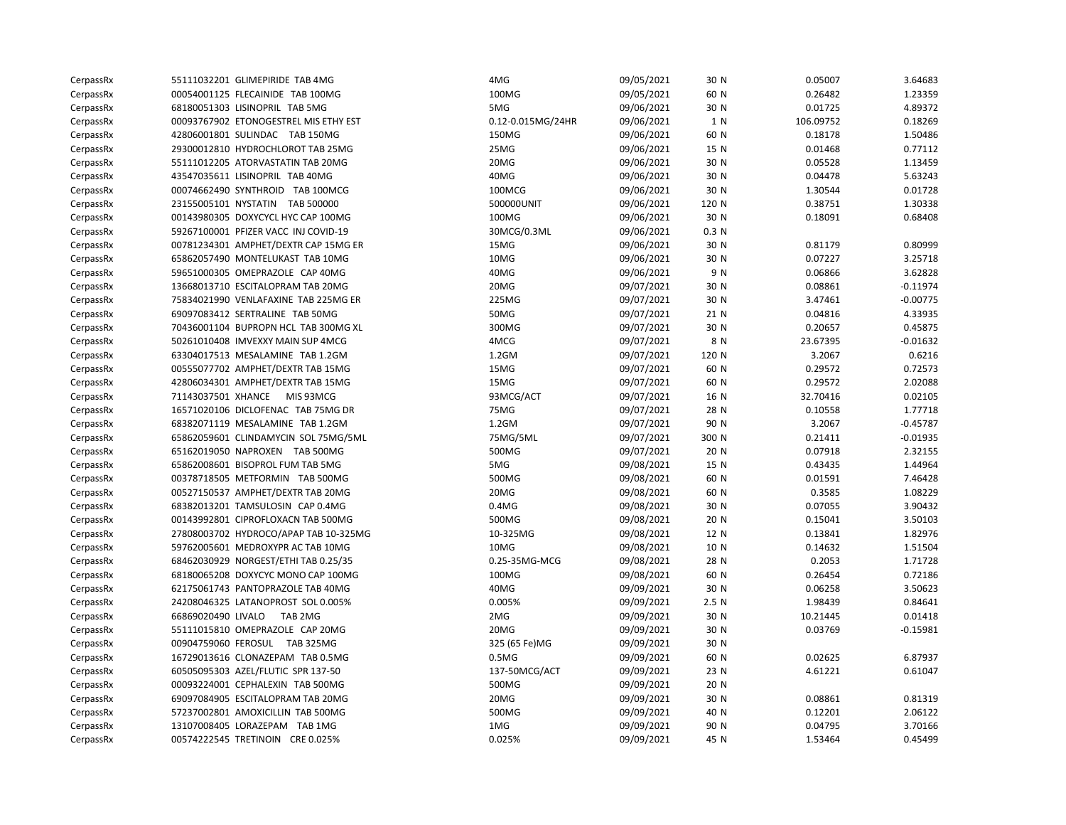| CerpassRx | 55111032201 GLIMEPIRIDE TAB 4MG       | 4MG               | 09/05/2021 | 30 N  | 0.05007   | 3.64683    |
|-----------|---------------------------------------|-------------------|------------|-------|-----------|------------|
| CerpassRx | 00054001125 FLECAINIDE TAB 100MG      | 100MG             | 09/05/2021 | 60 N  | 0.26482   | 1.23359    |
| CerpassRx | 68180051303 LISINOPRIL TAB 5MG        | 5MG               | 09/06/2021 | 30 N  | 0.01725   | 4.89372    |
| CerpassRx | 00093767902 ETONOGESTREL MIS ETHY EST | 0.12-0.015MG/24HR | 09/06/2021 | 1 N   | 106.09752 | 0.18269    |
| CerpassRx | 42806001801 SULINDAC TAB 150MG        | 150MG             | 09/06/2021 | 60 N  | 0.18178   | 1.50486    |
| CerpassRx | 29300012810 HYDROCHLOROT TAB 25MG     | 25MG              | 09/06/2021 | 15 N  | 0.01468   | 0.77112    |
| CerpassRx | 55111012205 ATORVASTATIN TAB 20MG     | 20MG              | 09/06/2021 | 30 N  | 0.05528   | 1.13459    |
| CerpassRx | 43547035611 LISINOPRIL TAB 40MG       | 40MG              | 09/06/2021 | 30 N  | 0.04478   | 5.63243    |
| CerpassRx | 00074662490 SYNTHROID TAB 100MCG      | 100MCG            | 09/06/2021 | 30 N  | 1.30544   | 0.01728    |
| CerpassRx | 23155005101 NYSTATIN TAB 500000       | 500000UNIT        | 09/06/2021 | 120 N | 0.38751   | 1.30338    |
| CerpassRx | 00143980305 DOXYCYCL HYC CAP 100MG    | 100MG             | 09/06/2021 | 30 N  | 0.18091   | 0.68408    |
| CerpassRx | 59267100001 PFIZER VACC INJ COVID-19  | 30MCG/0.3ML       | 09/06/2021 | 0.3 N |           |            |
| CerpassRx | 00781234301 AMPHET/DEXTR CAP 15MG ER  | 15MG              | 09/06/2021 | 30 N  | 0.81179   | 0.80999    |
| CerpassRx | 65862057490 MONTELUKAST TAB 10MG      | 10MG              | 09/06/2021 | 30 N  | 0.07227   | 3.25718    |
| CerpassRx | 59651000305 OMEPRAZOLE CAP 40MG       | 40MG              | 09/06/2021 | 9 N   | 0.06866   | 3.62828    |
| CerpassRx | 13668013710 ESCITALOPRAM TAB 20MG     | 20MG              | 09/07/2021 | 30 N  | 0.08861   | $-0.11974$ |
| CerpassRx | 75834021990 VENLAFAXINE TAB 225MG ER  | 225MG             | 09/07/2021 | 30 N  | 3.47461   | $-0.00775$ |
| CerpassRx | 69097083412 SERTRALINE TAB 50MG       | 50MG              | 09/07/2021 | 21 N  | 0.04816   | 4.33935    |
| CerpassRx | 70436001104 BUPROPN HCL TAB 300MG XL  | 300MG             | 09/07/2021 | 30 N  | 0.20657   | 0.45875    |
| CerpassRx | 50261010408 IMVEXXY MAIN SUP 4MCG     | 4MCG              | 09/07/2021 | 8 N   | 23.67395  | $-0.01632$ |
| CerpassRx | 63304017513 MESALAMINE TAB 1.2GM      | $1.2$ GM          | 09/07/2021 | 120 N | 3.2067    | 0.6216     |
| CerpassRx | 00555077702 AMPHET/DEXTR TAB 15MG     | 15MG              | 09/07/2021 | 60 N  | 0.29572   | 0.72573    |
| CerpassRx | 42806034301 AMPHET/DEXTR TAB 15MG     | 15MG              | 09/07/2021 | 60 N  | 0.29572   | 2.02088    |
| CerpassRx | 71143037501 XHANCE MIS 93MCG          | 93MCG/ACT         | 09/07/2021 | 16 N  | 32.70416  | 0.02105    |
| CerpassRx | 16571020106 DICLOFENAC TAB 75MG DR    | 75MG              | 09/07/2021 | 28 N  | 0.10558   | 1.77718    |
| CerpassRx | 68382071119 MESALAMINE TAB 1.2GM      | $1.2$ GM          | 09/07/2021 | 90 N  | 3.2067    | $-0.45787$ |
| CerpassRx | 65862059601 CLINDAMYCIN SOL 75MG/5ML  | 75MG/5ML          | 09/07/2021 | 300 N | 0.21411   | $-0.01935$ |
| CerpassRx | 65162019050 NAPROXEN TAB 500MG        | 500MG             | 09/07/2021 | 20 N  | 0.07918   | 2.32155    |
| CerpassRx | 65862008601 BISOPROL FUM TAB 5MG      | 5MG               | 09/08/2021 | 15 N  | 0.43435   | 1.44964    |
| CerpassRx | 00378718505 METFORMIN TAB 500MG       | 500MG             | 09/08/2021 | 60 N  | 0.01591   | 7.46428    |
| CerpassRx | 00527150537 AMPHET/DEXTR TAB 20MG     | 20MG              | 09/08/2021 | 60 N  | 0.3585    | 1.08229    |
| CerpassRx | 68382013201 TAMSULOSIN CAP 0.4MG      | $0.4M$ G          | 09/08/2021 | 30 N  | 0.07055   | 3.90432    |
| CerpassRx | 00143992801 CIPROFLOXACN TAB 500MG    | 500MG             | 09/08/2021 | 20 N  | 0.15041   | 3.50103    |
| CerpassRx | 27808003702 HYDROCO/APAP TAB 10-325MG | 10-325MG          | 09/08/2021 | 12 N  | 0.13841   | 1.82976    |
| CerpassRx | 59762005601 MEDROXYPR AC TAB 10MG     | 10MG              | 09/08/2021 | 10 N  | 0.14632   | 1.51504    |
| CerpassRx | 68462030929 NORGEST/ETHI TAB 0.25/35  | 0.25-35MG-MCG     | 09/08/2021 | 28 N  | 0.2053    | 1.71728    |
| CerpassRx | 68180065208 DOXYCYC MONO CAP 100MG    | 100MG             | 09/08/2021 | 60 N  | 0.26454   | 0.72186    |
| CerpassRx | 62175061743 PANTOPRAZOLE TAB 40MG     | 40MG              | 09/09/2021 | 30 N  | 0.06258   | 3.50623    |
| CerpassRx | 24208046325 LATANOPROST SOL 0.005%    | 0.005%            | 09/09/2021 | 2.5 N | 1.98439   | 0.84641    |
| CerpassRx | 66869020490 LIVALO<br>TAB 2MG         | 2MG               | 09/09/2021 | 30 N  | 10.21445  | 0.01418    |
| CerpassRx | 55111015810 OMEPRAZOLE CAP 20MG       | 20MG              | 09/09/2021 | 30 N  | 0.03769   | $-0.15981$ |
| CerpassRx | 00904759060 FEROSUL TAB 325MG         | 325 (65 Fe)MG     | 09/09/2021 | 30 N  |           |            |
| CerpassRx | 16729013616 CLONAZEPAM TAB 0.5MG      | 0.5M <sub>G</sub> | 09/09/2021 | 60 N  | 0.02625   | 6.87937    |
| CerpassRx | 60505095303 AZEL/FLUTIC SPR 137-50    | 137-50MCG/ACT     | 09/09/2021 | 23 N  | 4.61221   | 0.61047    |
| CerpassRx | 00093224001 CEPHALEXIN TAB 500MG      | 500MG             | 09/09/2021 | 20 N  |           |            |
| CerpassRx | 69097084905 ESCITALOPRAM TAB 20MG     | 20MG              | 09/09/2021 | 30 N  | 0.08861   | 0.81319    |
| CerpassRx | 57237002801 AMOXICILLIN TAB 500MG     | 500MG             | 09/09/2021 | 40 N  | 0.12201   | 2.06122    |
| CerpassRx | 13107008405 LORAZEPAM TAB 1MG         | 1MG               | 09/09/2021 | 90 N  | 0.04795   | 3.70166    |
| CerpassRx | 00574222545 TRETINOIN CRE 0.025%      | 0.025%            | 09/09/2021 | 45 N  | 1.53464   | 0.45499    |
|           |                                       |                   |            |       |           |            |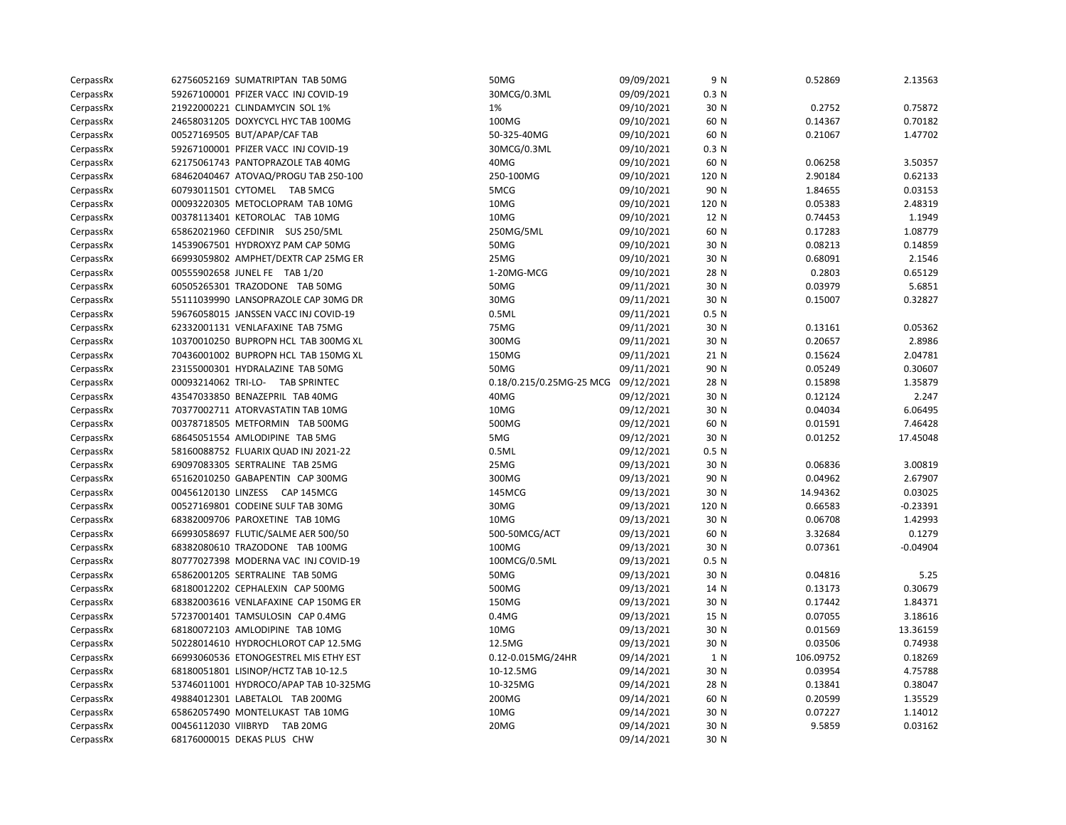| CerpassRx | 62756052169 SUMATRIPTAN TAB 50MG      | 50MG                     | 09/09/2021 | 9 N              | 0.52869   | 2.13563    |
|-----------|---------------------------------------|--------------------------|------------|------------------|-----------|------------|
| CerpassRx | 59267100001 PFIZER VACC INJ COVID-19  | 30MCG/0.3ML              | 09/09/2021 | 0.3 N            |           |            |
| CerpassRx | 21922000221 CLINDAMYCIN SOL 1%        | 1%                       | 09/10/2021 | 30 N             | 0.2752    | 0.75872    |
| CerpassRx | 24658031205 DOXYCYCL HYC TAB 100MG    | 100MG                    | 09/10/2021 | 60 N             | 0.14367   | 0.70182    |
| CerpassRx | 00527169505 BUT/APAP/CAF TAB          | 50-325-40MG              | 09/10/2021 | 60 N             | 0.21067   | 1.47702    |
| CerpassRx | 59267100001 PFIZER VACC INJ COVID-19  | 30MCG/0.3ML              | 09/10/2021 | 0.3 N            |           |            |
| CerpassRx | 62175061743 PANTOPRAZOLE TAB 40MG     | 40MG                     | 09/10/2021 | 60 N             | 0.06258   | 3.50357    |
| CerpassRx | 68462040467 ATOVAQ/PROGU TAB 250-100  | 250-100MG                | 09/10/2021 | 120 N            | 2.90184   | 0.62133    |
| CerpassRx | 60793011501 CYTOMEL TAB 5MCG          | 5MCG                     | 09/10/2021 | 90 N             | 1.84655   | 0.03153    |
| CerpassRx | 00093220305 METOCLOPRAM TAB 10MG      | 10MG                     | 09/10/2021 | 120 N            | 0.05383   | 2.48319    |
| CerpassRx | 00378113401 KETOROLAC TAB 10MG        | 10MG                     | 09/10/2021 | 12 N             | 0.74453   | 1.1949     |
| CerpassRx | 65862021960 CEFDINIR SUS 250/5ML      | 250MG/5ML                | 09/10/2021 | 60 N             | 0.17283   | 1.08779    |
| CerpassRx | 14539067501 HYDROXYZ PAM CAP 50MG     | 50MG                     | 09/10/2021 | 30 N             | 0.08213   | 0.14859    |
| CerpassRx | 66993059802 AMPHET/DEXTR CAP 25MG ER  | 25MG                     | 09/10/2021 | 30 N             | 0.68091   | 2.1546     |
| CerpassRx | 00555902658 JUNEL FE TAB 1/20         | 1-20MG-MCG               | 09/10/2021 | 28 N             | 0.2803    | 0.65129    |
| CerpassRx | 60505265301 TRAZODONE TAB 50MG        | 50MG                     | 09/11/2021 | 30 N             | 0.03979   | 5.6851     |
| CerpassRx | 55111039990 LANSOPRAZOLE CAP 30MG DR  | 30MG                     | 09/11/2021 | 30 N             | 0.15007   | 0.32827    |
| CerpassRx | 59676058015 JANSSEN VACC INJ COVID-19 | 0.5ML                    | 09/11/2021 | 0.5 <sub>N</sub> |           |            |
| CerpassRx | 62332001131 VENLAFAXINE TAB 75MG      | 75MG                     | 09/11/2021 | 30 N             | 0.13161   | 0.05362    |
| CerpassRx | 10370010250 BUPROPN HCL TAB 300MG XL  | 300MG                    | 09/11/2021 | 30 N             | 0.20657   | 2.8986     |
| CerpassRx | 70436001002 BUPROPN HCL TAB 150MG XL  | 150MG                    | 09/11/2021 | 21 N             | 0.15624   | 2.04781    |
| CerpassRx | 23155000301 HYDRALAZINE TAB 50MG      | 50MG                     | 09/11/2021 | 90 N             | 0.05249   | 0.30607    |
| CerpassRx | 00093214062 TRI-LO- TAB SPRINTEC      | 0.18/0.215/0.25MG-25 MCG | 09/12/2021 | 28 N             | 0.15898   | 1.35879    |
| CerpassRx | 43547033850 BENAZEPRIL TAB 40MG       | 40MG                     | 09/12/2021 | 30 N             | 0.12124   | 2.247      |
| CerpassRx | 70377002711 ATORVASTATIN TAB 10MG     | 10MG                     | 09/12/2021 | 30 N             | 0.04034   | 6.06495    |
| CerpassRx | 00378718505 METFORMIN TAB 500MG       | 500MG                    | 09/12/2021 | 60 N             | 0.01591   | 7.46428    |
| CerpassRx | 68645051554 AMLODIPINE TAB 5MG        | 5MG                      | 09/12/2021 | 30 N             | 0.01252   | 17.45048   |
| CerpassRx | 58160088752 FLUARIX QUAD INJ 2021-22  | 0.5ML                    | 09/12/2021 | 0.5 N            |           |            |
| CerpassRx | 69097083305 SERTRALINE TAB 25MG       | 25MG                     | 09/13/2021 | 30 N             | 0.06836   | 3.00819    |
| CerpassRx | 65162010250 GABAPENTIN CAP 300MG      | 300MG                    | 09/13/2021 | 90 N             | 0.04962   | 2.67907    |
| CerpassRx | 00456120130 LINZESS CAP 145MCG        | 145MCG                   | 09/13/2021 | 30 N             | 14.94362  | 0.03025    |
| CerpassRx | 00527169801 CODEINE SULF TAB 30MG     | 30MG                     | 09/13/2021 | 120 N            | 0.66583   | $-0.23391$ |
| CerpassRx | 68382009706 PAROXETINE TAB 10MG       | 10MG                     | 09/13/2021 | 30 N             | 0.06708   | 1.42993    |
| CerpassRx | 66993058697 FLUTIC/SALME AER 500/50   | 500-50MCG/ACT            | 09/13/2021 | 60 N             | 3.32684   | 0.1279     |
| CerpassRx | 68382080610 TRAZODONE TAB 100MG       | 100MG                    | 09/13/2021 | 30 N             | 0.07361   | $-0.04904$ |
| CerpassRx | 80777027398 MODERNA VAC INJ COVID-19  | 100MCG/0.5ML             | 09/13/2021 | 0.5 N            |           |            |
| CerpassRx | 65862001205 SERTRALINE TAB 50MG       | 50MG                     | 09/13/2021 | 30 N             | 0.04816   | 5.25       |
| CerpassRx | 68180012202 CEPHALEXIN CAP 500MG      | 500MG                    | 09/13/2021 | 14 N             | 0.13173   | 0.30679    |
| CerpassRx | 68382003616 VENLAFAXINE CAP 150MG ER  | 150MG                    | 09/13/2021 | 30 N             | 0.17442   | 1.84371    |
| CerpassRx | 57237001401 TAMSULOSIN CAP 0.4MG      | $0.4M$ G                 | 09/13/2021 | 15 N             | 0.07055   | 3.18616    |
| CerpassRx | 68180072103 AMLODIPINE TAB 10MG       | 10MG                     | 09/13/2021 | 30 N             | 0.01569   | 13.36159   |
| CerpassRx | 50228014610 HYDROCHLOROT CAP 12.5MG   | 12.5MG                   | 09/13/2021 | 30 N             | 0.03506   | 0.74938    |
| CerpassRx | 66993060536 ETONOGESTREL MIS ETHY EST | 0.12-0.015MG/24HR        | 09/14/2021 | 1 N              | 106.09752 | 0.18269    |
| CerpassRx | 68180051801 LISINOP/HCTZ TAB 10-12.5  | 10-12.5MG                | 09/14/2021 | 30 N             | 0.03954   | 4.75788    |
| CerpassRx | 53746011001 HYDROCO/APAP TAB 10-325MG | 10-325MG                 | 09/14/2021 | 28 N             | 0.13841   | 0.38047    |
| CerpassRx | 49884012301 LABETALOL TAB 200MG       | 200MG                    | 09/14/2021 | 60 N             | 0.20599   | 1.35529    |
| CerpassRx | 65862057490 MONTELUKAST TAB 10MG      | 10MG                     | 09/14/2021 | 30 N             | 0.07227   | 1.14012    |
| CerpassRx | 00456112030 VIIBRYD TAB 20MG          | 20MG                     | 09/14/2021 | 30 N             | 9.5859    | 0.03162    |
| CerpassRx | 68176000015 DEKAS PLUS CHW            |                          | 09/14/2021 | 30 N             |           |            |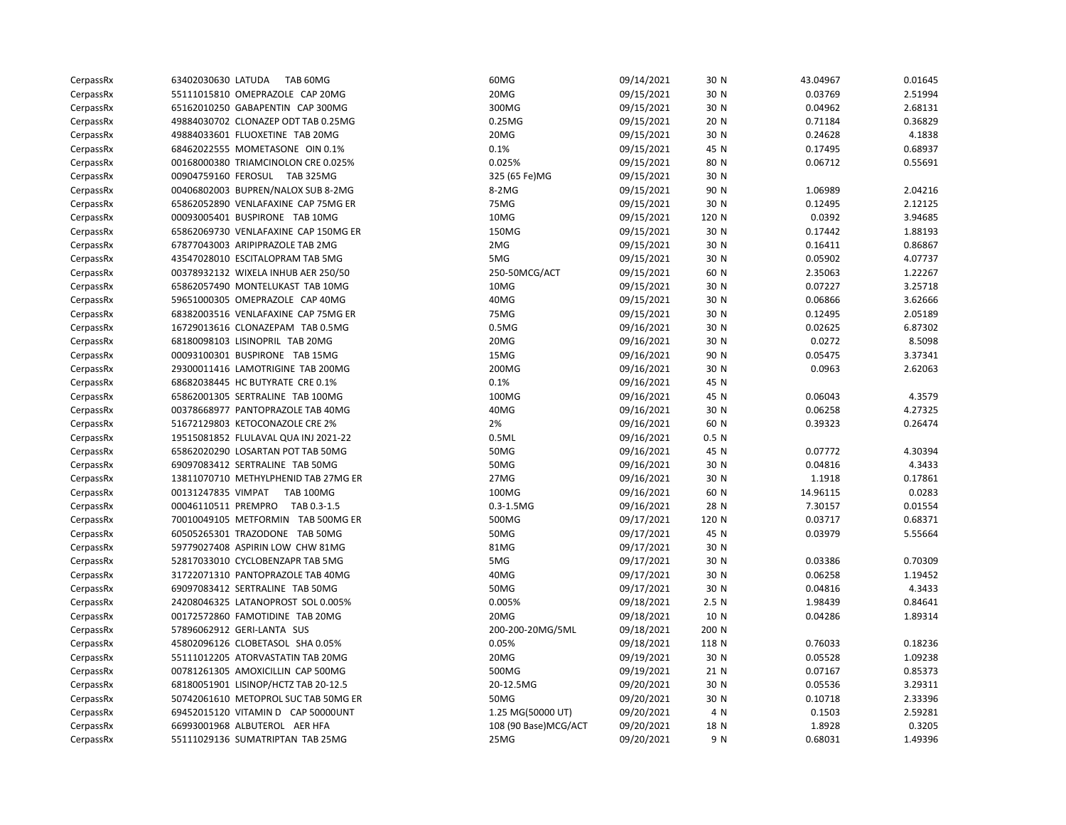| CerpassRx | 63402030630 LATUDA<br>TAB 60MG         | 60MG                  | 09/14/2021 | 30 N  | 43.04967 | 0.01645 |
|-----------|----------------------------------------|-----------------------|------------|-------|----------|---------|
| CerpassRx | 55111015810 OMEPRAZOLE CAP 20MG        | 20MG                  | 09/15/2021 | 30 N  | 0.03769  | 2.51994 |
| CerpassRx | 65162010250 GABAPENTIN CAP 300MG       | 300MG                 | 09/15/2021 | 30 N  | 0.04962  | 2.68131 |
| CerpassRx | 49884030702 CLONAZEP ODT TAB 0.25MG    | 0.25MG                | 09/15/2021 | 20 N  | 0.71184  | 0.36829 |
| CerpassRx | 49884033601 FLUOXETINE TAB 20MG        | 20MG                  | 09/15/2021 | 30 N  | 0.24628  | 4.1838  |
| CerpassRx | 68462022555 MOMETASONE OIN 0.1%        | 0.1%                  | 09/15/2021 | 45 N  | 0.17495  | 0.68937 |
| CerpassRx | 00168000380 TRIAMCINOLON CRE 0.025%    | 0.025%                | 09/15/2021 | 80 N  | 0.06712  | 0.55691 |
| CerpassRx | 00904759160 FEROSUL TAB 325MG          | 325 (65 Fe)MG         | 09/15/2021 | 30 N  |          |         |
| CerpassRx | 00406802003 BUPREN/NALOX SUB 8-2MG     | 8-2MG                 | 09/15/2021 | 90 N  | 1.06989  | 2.04216 |
| CerpassRx | 65862052890 VENLAFAXINE CAP 75MG ER    | 75MG                  | 09/15/2021 | 30 N  | 0.12495  | 2.12125 |
| CerpassRx | 00093005401 BUSPIRONE TAB 10MG         | 10MG                  | 09/15/2021 | 120 N | 0.0392   | 3.94685 |
| CerpassRx | 65862069730 VENLAFAXINE CAP 150MG ER   | 150MG                 | 09/15/2021 | 30 N  | 0.17442  | 1.88193 |
| CerpassRx | 67877043003 ARIPIPRAZOLE TAB 2MG       | 2MG                   | 09/15/2021 | 30 N  | 0.16411  | 0.86867 |
| CerpassRx | 43547028010 ESCITALOPRAM TAB 5MG       | 5MG                   | 09/15/2021 | 30 N  | 0.05902  | 4.07737 |
| CerpassRx | 00378932132 WIXELA INHUB AER 250/50    | 250-50MCG/ACT         | 09/15/2021 | 60 N  | 2.35063  | 1.22267 |
| CerpassRx | 65862057490 MONTELUKAST TAB 10MG       | 10MG                  | 09/15/2021 | 30 N  | 0.07227  | 3.25718 |
| CerpassRx | 59651000305 OMEPRAZOLE CAP 40MG        | 40MG                  | 09/15/2021 | 30 N  | 0.06866  | 3.62666 |
| CerpassRx | 68382003516 VENLAFAXINE CAP 75MG ER    | 75MG                  | 09/15/2021 | 30 N  | 0.12495  | 2.05189 |
| CerpassRx | 16729013616 CLONAZEPAM TAB 0.5MG       | 0.5M <sub>G</sub>     | 09/16/2021 | 30 N  | 0.02625  | 6.87302 |
| CerpassRx | 68180098103 LISINOPRIL TAB 20MG        | 20MG                  | 09/16/2021 | 30 N  | 0.0272   | 8.5098  |
| CerpassRx | 00093100301 BUSPIRONE TAB 15MG         | 15MG                  | 09/16/2021 | 90 N  | 0.05475  | 3.37341 |
| CerpassRx | 29300011416 LAMOTRIGINE TAB 200MG      | 200MG                 | 09/16/2021 | 30 N  | 0.0963   | 2.62063 |
| CerpassRx | 68682038445 HC BUTYRATE CRE 0.1%       | 0.1%                  | 09/16/2021 | 45 N  |          |         |
| CerpassRx | 65862001305 SERTRALINE TAB 100MG       | 100MG                 | 09/16/2021 | 45 N  | 0.06043  | 4.3579  |
| CerpassRx | 00378668977 PANTOPRAZOLE TAB 40MG      | 40MG                  | 09/16/2021 | 30 N  | 0.06258  | 4.27325 |
| CerpassRx | 51672129803 KETOCONAZOLE CRE 2%        | 2%                    | 09/16/2021 | 60 N  | 0.39323  | 0.26474 |
| CerpassRx | 19515081852 FLULAVAL QUA INJ 2021-22   | 0.5ML                 | 09/16/2021 | 0.5 N |          |         |
| CerpassRx | 65862020290 LOSARTAN POT TAB 50MG      | 50MG                  | 09/16/2021 | 45 N  | 0.07772  | 4.30394 |
| CerpassRx | 69097083412 SERTRALINE TAB 50MG        | 50MG                  | 09/16/2021 | 30 N  | 0.04816  | 4.3433  |
| CerpassRx | 13811070710 METHYLPHENID TAB 27MG ER   | 27MG                  | 09/16/2021 | 30 N  | 1.1918   | 0.17861 |
| CerpassRx | 00131247835 VIMPAT<br><b>TAB 100MG</b> | 100MG                 | 09/16/2021 | 60 N  | 14.96115 | 0.0283  |
| CerpassRx | 00046110511 PREMPRO<br>TAB 0.3-1.5     | $0.3 - 1.5MG$         | 09/16/2021 | 28 N  | 7.30157  | 0.01554 |
| CerpassRx | 70010049105 METFORMIN TAB 500MG ER     | 500MG                 | 09/17/2021 | 120 N | 0.03717  | 0.68371 |
| CerpassRx | 60505265301 TRAZODONE TAB 50MG         | 50MG                  | 09/17/2021 | 45 N  | 0.03979  | 5.55664 |
| CerpassRx | 59779027408 ASPIRIN LOW CHW 81MG       | 81MG                  | 09/17/2021 | 30 N  |          |         |
| CerpassRx | 52817033010 CYCLOBENZAPR TAB 5MG       | 5MG                   | 09/17/2021 | 30 N  | 0.03386  | 0.70309 |
| CerpassRx | 31722071310 PANTOPRAZOLE TAB 40MG      | 40MG                  | 09/17/2021 | 30 N  | 0.06258  | 1.19452 |
| CerpassRx | 69097083412 SERTRALINE TAB 50MG        | 50MG                  | 09/17/2021 | 30 N  | 0.04816  | 4.3433  |
| CerpassRx | 24208046325 LATANOPROST SOL 0.005%     | 0.005%                | 09/18/2021 | 2.5 N | 1.98439  | 0.84641 |
| CerpassRx | 00172572860 FAMOTIDINE TAB 20MG        | 20MG                  | 09/18/2021 | 10 N  | 0.04286  | 1.89314 |
| CerpassRx | 57896062912 GERI-LANTA SUS             | 200-200-20MG/5ML      | 09/18/2021 | 200 N |          |         |
| CerpassRx | 45802096126 CLOBETASOL SHA 0.05%       | 0.05%                 | 09/18/2021 | 118 N | 0.76033  | 0.18236 |
| CerpassRx | 55111012205 ATORVASTATIN TAB 20MG      | 20MG                  | 09/19/2021 | 30 N  | 0.05528  | 1.09238 |
| CerpassRx | 00781261305 AMOXICILLIN CAP 500MG      | 500MG                 | 09/19/2021 | 21 N  | 0.07167  | 0.85373 |
| CerpassRx | 68180051901 LISINOP/HCTZ TAB 20-12.5   | 20-12.5MG             | 09/20/2021 | 30 N  | 0.05536  | 3.29311 |
| CerpassRx | 50742061610 METOPROL SUC TAB 50MG ER   | 50MG                  | 09/20/2021 | 30 N  | 0.10718  | 2.33396 |
| CerpassRx | 69452015120 VITAMIN D CAP 50000UNT     | 1.25 MG(50000 UT)     | 09/20/2021 | 4 N   | 0.1503   | 2.59281 |
| CerpassRx | 66993001968 ALBUTEROL AER HFA          | 108 (90 Base) MCG/ACT | 09/20/2021 | 18 N  | 1.8928   | 0.3205  |
| CerpassRx | 55111029136 SUMATRIPTAN TAB 25MG       | 25MG                  | 09/20/2021 | 9 N   | 0.68031  | 1.49396 |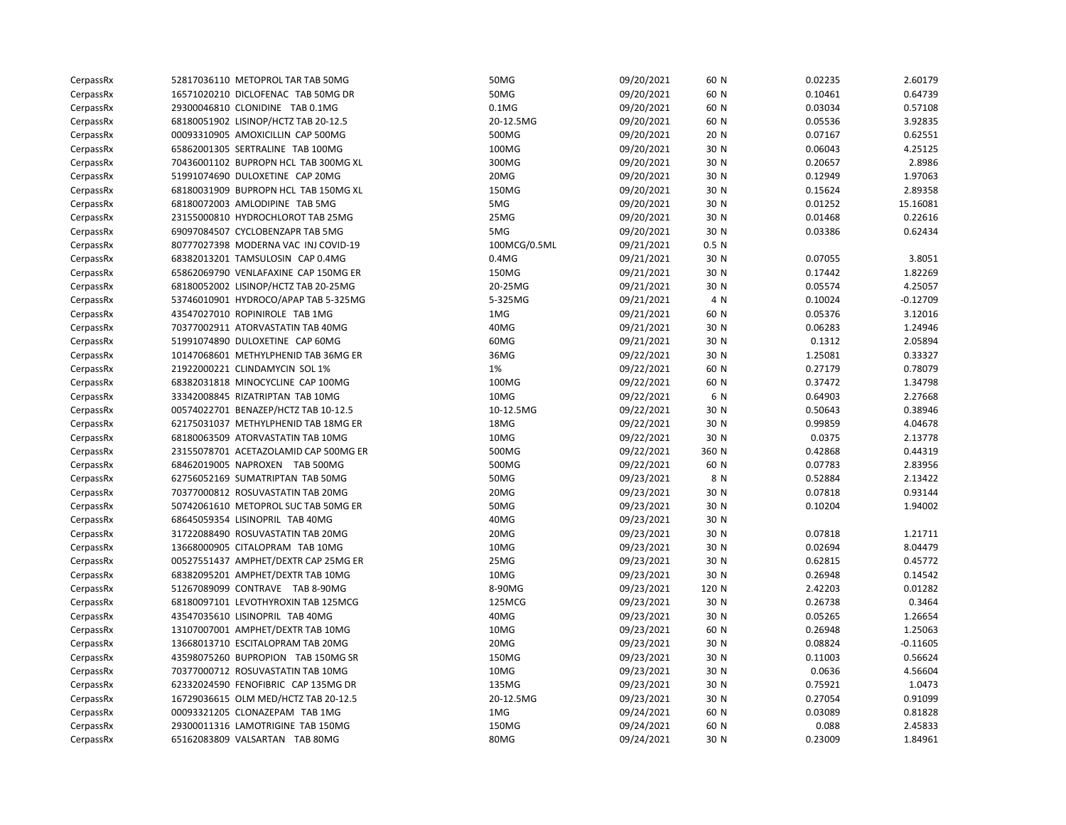| CerpassRx | 52817036110 METOPROL TAR TAB 50MG     | 50MG         | 09/20/2021 | 60 N  | 0.02235 | 2.60179    |
|-----------|---------------------------------------|--------------|------------|-------|---------|------------|
| CerpassRx | 16571020210 DICLOFENAC TAB 50MG DR    | 50MG         | 09/20/2021 | 60 N  | 0.10461 | 0.64739    |
| CerpassRx | 29300046810 CLONIDINE TAB 0.1MG       | $0.1M$ G     | 09/20/2021 | 60 N  | 0.03034 | 0.57108    |
| CerpassRx | 68180051902 LISINOP/HCTZ TAB 20-12.5  | 20-12.5MG    | 09/20/2021 | 60 N  | 0.05536 | 3.92835    |
| CerpassRx | 00093310905 AMOXICILLIN CAP 500MG     | 500MG        | 09/20/2021 | 20 N  | 0.07167 | 0.62551    |
| CerpassRx | 65862001305 SERTRALINE TAB 100MG      | 100MG        | 09/20/2021 | 30 N  | 0.06043 | 4.25125    |
| CerpassRx | 70436001102 BUPROPN HCL TAB 300MG XL  | 300MG        | 09/20/2021 | 30 N  | 0.20657 | 2.8986     |
| CerpassRx | 51991074690 DULOXETINE CAP 20MG       | 20MG         | 09/20/2021 | 30 N  | 0.12949 | 1.97063    |
| CerpassRx | 68180031909 BUPROPN HCL TAB 150MG XL  | 150MG        | 09/20/2021 | 30 N  | 0.15624 | 2.89358    |
| CerpassRx | 68180072003 AMLODIPINE TAB 5MG        | 5MG          | 09/20/2021 | 30 N  | 0.01252 | 15.16081   |
| CerpassRx | 23155000810 HYDROCHLOROT TAB 25MG     | 25MG         | 09/20/2021 | 30 N  | 0.01468 | 0.22616    |
| CerpassRx | 69097084507 CYCLOBENZAPR TAB 5MG      | 5MG          | 09/20/2021 | 30 N  | 0.03386 | 0.62434    |
| CerpassRx | 80777027398 MODERNA VAC INJ COVID-19  | 100MCG/0.5ML | 09/21/2021 | 0.5 N |         |            |
| CerpassRx | 68382013201 TAMSULOSIN CAP 0.4MG      | $0.4M$ G     | 09/21/2021 | 30 N  | 0.07055 | 3.8051     |
| CerpassRx | 65862069790 VENLAFAXINE CAP 150MG ER  | 150MG        | 09/21/2021 | 30 N  | 0.17442 | 1.82269    |
| CerpassRx | 68180052002 LISINOP/HCTZ TAB 20-25MG  | 20-25MG      | 09/21/2021 | 30 N  | 0.05574 | 4.25057    |
| CerpassRx | 53746010901 HYDROCO/APAP TAB 5-325MG  | 5-325MG      | 09/21/2021 | 4 N   | 0.10024 | $-0.12709$ |
| CerpassRx | 43547027010 ROPINIROLE TAB 1MG        | 1MG          | 09/21/2021 | 60 N  | 0.05376 | 3.12016    |
| CerpassRx | 70377002911 ATORVASTATIN TAB 40MG     | 40MG         | 09/21/2021 | 30 N  | 0.06283 | 1.24946    |
| CerpassRx | 51991074890 DULOXETINE CAP 60MG       | 60MG         | 09/21/2021 | 30 N  | 0.1312  | 2.05894    |
| CerpassRx | 10147068601 METHYLPHENID TAB 36MG ER  | 36MG         | 09/22/2021 | 30 N  | 1.25081 | 0.33327    |
| CerpassRx | 21922000221 CLINDAMYCIN SOL 1%        | 1%           | 09/22/2021 | 60 N  | 0.27179 | 0.78079    |
| CerpassRx | 68382031818 MINOCYCLINE CAP 100MG     | 100MG        | 09/22/2021 | 60 N  | 0.37472 | 1.34798    |
| CerpassRx | 33342008845 RIZATRIPTAN TAB 10MG      | 10MG         | 09/22/2021 | 6 N   | 0.64903 | 2.27668    |
| CerpassRx | 00574022701 BENAZEP/HCTZ TAB 10-12.5  | 10-12.5MG    | 09/22/2021 | 30 N  | 0.50643 | 0.38946    |
| CerpassRx | 62175031037 METHYLPHENID TAB 18MG ER  | 18MG         | 09/22/2021 | 30 N  | 0.99859 | 4.04678    |
| CerpassRx | 68180063509 ATORVASTATIN TAB 10MG     | 10MG         | 09/22/2021 | 30 N  | 0.0375  | 2.13778    |
| CerpassRx | 23155078701 ACETAZOLAMID CAP 500MG ER | 500MG        | 09/22/2021 | 360 N | 0.42868 | 0.44319    |
| CerpassRx | 68462019005 NAPROXEN TAB 500MG        | 500MG        | 09/22/2021 | 60 N  | 0.07783 | 2.83956    |
| CerpassRx | 62756052169 SUMATRIPTAN TAB 50MG      | 50MG         | 09/23/2021 | 8 N   | 0.52884 | 2.13422    |
| CerpassRx | 70377000812 ROSUVASTATIN TAB 20MG     | 20MG         | 09/23/2021 | 30 N  | 0.07818 | 0.93144    |
| CerpassRx | 50742061610 METOPROL SUC TAB 50MG ER  | 50MG         | 09/23/2021 | 30 N  | 0.10204 | 1.94002    |
| CerpassRx | 68645059354 LISINOPRIL TAB 40MG       | 40MG         | 09/23/2021 | 30 N  |         |            |
| CerpassRx | 31722088490 ROSUVASTATIN TAB 20MG     | 20MG         | 09/23/2021 | 30 N  | 0.07818 | 1.21711    |
| CerpassRx | 13668000905 CITALOPRAM TAB 10MG       | 10MG         | 09/23/2021 | 30 N  | 0.02694 | 8.04479    |
| CerpassRx | 00527551437 AMPHET/DEXTR CAP 25MG ER  | 25MG         | 09/23/2021 | 30 N  | 0.62815 | 0.45772    |
| CerpassRx | 68382095201 AMPHET/DEXTR TAB 10MG     | 10MG         | 09/23/2021 | 30 N  | 0.26948 | 0.14542    |
| CerpassRx | 51267089099 CONTRAVE TAB 8-90MG       | 8-90MG       | 09/23/2021 | 120 N | 2.42203 | 0.01282    |
| CerpassRx | 68180097101 LEVOTHYROXIN TAB 125MCG   | 125MCG       | 09/23/2021 | 30 N  | 0.26738 | 0.3464     |
| CerpassRx | 43547035610 LISINOPRIL TAB 40MG       | 40MG         | 09/23/2021 | 30 N  | 0.05265 | 1.26654    |
| CerpassRx | 13107007001 AMPHET/DEXTR TAB 10MG     | 10MG         | 09/23/2021 | 60 N  | 0.26948 | 1.25063    |
| CerpassRx | 13668013710 ESCITALOPRAM TAB 20MG     | 20MG         | 09/23/2021 | 30 N  | 0.08824 | $-0.11605$ |
| CerpassRx | 43598075260 BUPROPION TAB 150MG SR    | 150MG        | 09/23/2021 | 30 N  | 0.11003 | 0.56624    |
| CerpassRx | 70377000712 ROSUVASTATIN TAB 10MG     | 10MG         | 09/23/2021 | 30 N  | 0.0636  | 4.56604    |
| CerpassRx | 62332024590 FENOFIBRIC CAP 135MG DR   | 135MG        | 09/23/2021 | 30 N  | 0.75921 | 1.0473     |
| CerpassRx | 16729036615 OLM MED/HCTZ TAB 20-12.5  | 20-12.5MG    | 09/23/2021 | 30 N  | 0.27054 | 0.91099    |
| CerpassRx | 00093321205 CLONAZEPAM TAB 1MG        | 1MG          | 09/24/2021 | 60 N  | 0.03089 | 0.81828    |
| CerpassRx | 29300011316 LAMOTRIGINE TAB 150MG     | 150MG        | 09/24/2021 | 60 N  | 0.088   | 2.45833    |
| CerpassRx | 65162083809 VALSARTAN TAB 80MG        | 80MG         | 09/24/2021 | 30 N  | 0.23009 | 1.84961    |
|           |                                       |              |            |       |         |            |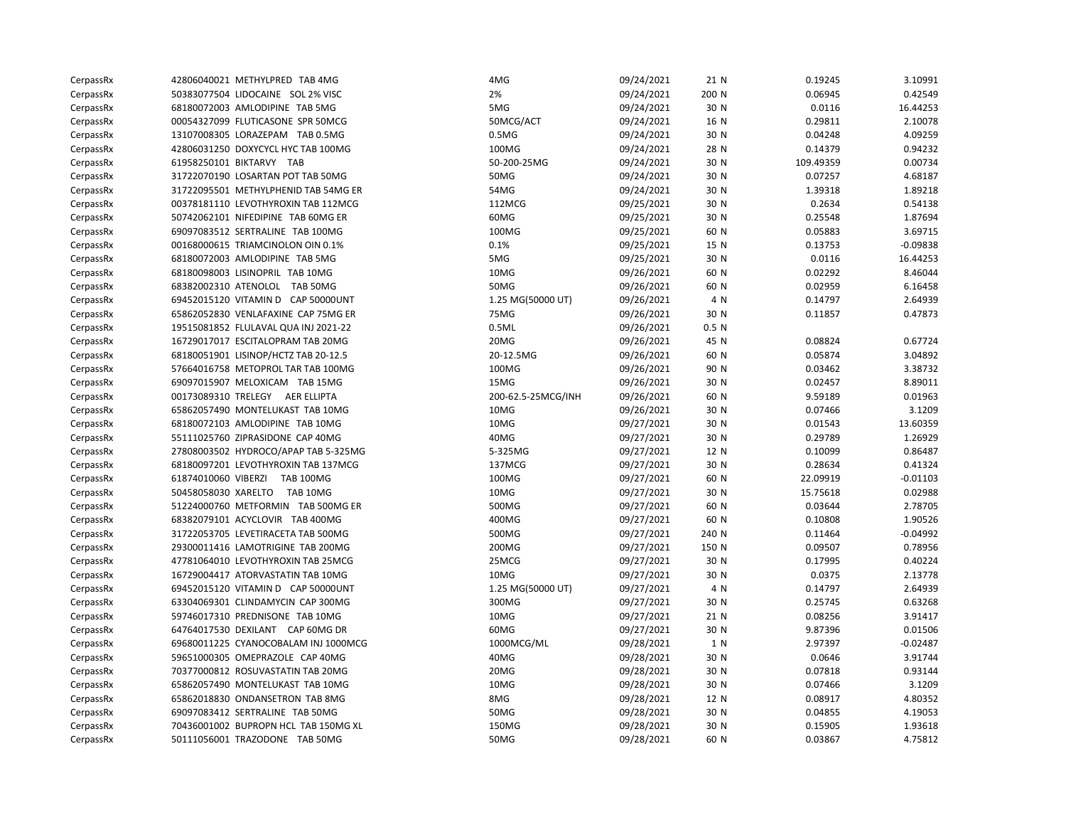| CerpassRx | 42806040021 METHYLPRED TAB 4MG          | 4MG                | 09/24/2021 | 21 N  | 0.19245   | 3.10991    |
|-----------|-----------------------------------------|--------------------|------------|-------|-----------|------------|
| CerpassRx | 50383077504 LIDOCAINE SOL 2% VISC       | 2%                 | 09/24/2021 | 200 N | 0.06945   | 0.42549    |
| CerpassRx | 68180072003 AMLODIPINE TAB 5MG          | 5MG                | 09/24/2021 | 30 N  | 0.0116    | 16.44253   |
| CerpassRx | 00054327099 FLUTICASONE SPR 50MCG       | 50MCG/ACT          | 09/24/2021 | 16 N  | 0.29811   | 2.10078    |
| CerpassRx | 13107008305 LORAZEPAM TAB 0.5MG         | 0.5M <sub>G</sub>  | 09/24/2021 | 30 N  | 0.04248   | 4.09259    |
| CerpassRx | 42806031250 DOXYCYCL HYC TAB 100MG      | 100MG              | 09/24/2021 | 28 N  | 0.14379   | 0.94232    |
| CerpassRx | 61958250101 BIKTARVY TAB                | 50-200-25MG        | 09/24/2021 | 30 N  | 109.49359 | 0.00734    |
| CerpassRx | 31722070190 LOSARTAN POT TAB 50MG       | 50MG               | 09/24/2021 | 30 N  | 0.07257   | 4.68187    |
| CerpassRx | 31722095501 METHYLPHENID TAB 54MG ER    | 54MG               | 09/24/2021 | 30 N  | 1.39318   | 1.89218    |
| CerpassRx | 00378181110 LEVOTHYROXIN TAB 112MCG     | 112MCG             | 09/25/2021 | 30 N  | 0.2634    | 0.54138    |
| CerpassRx | 50742062101 NIFEDIPINE TAB 60MG ER      | 60MG               | 09/25/2021 | 30 N  | 0.25548   | 1.87694    |
| CerpassRx | 69097083512 SERTRALINE TAB 100MG        | 100MG              | 09/25/2021 | 60 N  | 0.05883   | 3.69715    |
| CerpassRx | 00168000615 TRIAMCINOLON OIN 0.1%       | 0.1%               | 09/25/2021 | 15 N  | 0.13753   | $-0.09838$ |
| CerpassRx | 68180072003 AMLODIPINE TAB 5MG          | 5MG                | 09/25/2021 | 30 N  | 0.0116    | 16.44253   |
| CerpassRx | 68180098003 LISINOPRIL TAB 10MG         | 10MG               | 09/26/2021 | 60 N  | 0.02292   | 8.46044    |
| CerpassRx | 68382002310 ATENOLOL TAB 50MG           | 50MG               | 09/26/2021 | 60 N  | 0.02959   | 6.16458    |
| CerpassRx | 69452015120 VITAMIN D CAP 50000UNT      | 1.25 MG(50000 UT)  | 09/26/2021 | 4 N   | 0.14797   | 2.64939    |
| CerpassRx | 65862052830 VENLAFAXINE CAP 75MG ER     | 75MG               | 09/26/2021 | 30 N  | 0.11857   | 0.47873    |
| CerpassRx | 19515081852 FLULAVAL QUA INJ 2021-22    | 0.5ML              | 09/26/2021 | 0.5 N |           |            |
| CerpassRx | 16729017017 ESCITALOPRAM TAB 20MG       | 20MG               | 09/26/2021 | 45 N  | 0.08824   | 0.67724    |
| CerpassRx | 68180051901 LISINOP/HCTZ TAB 20-12.5    | 20-12.5MG          | 09/26/2021 | 60 N  | 0.05874   | 3.04892    |
| CerpassRx | 57664016758 METOPROL TAR TAB 100MG      | 100MG              | 09/26/2021 | 90 N  | 0.03462   | 3.38732    |
| CerpassRx | 69097015907 MELOXICAM TAB 15MG          | 15MG               | 09/26/2021 | 30 N  | 0.02457   | 8.89011    |
| CerpassRx | 00173089310 TRELEGY AER ELLIPTA         | 200-62.5-25MCG/INH | 09/26/2021 | 60 N  | 9.59189   | 0.01963    |
| CerpassRx | 65862057490 MONTELUKAST TAB 10MG        | 10MG               | 09/26/2021 | 30 N  | 0.07466   | 3.1209     |
| CerpassRx | 68180072103 AMLODIPINE TAB 10MG         | 10MG               | 09/27/2021 | 30 N  | 0.01543   | 13.60359   |
| CerpassRx | 55111025760 ZIPRASIDONE CAP 40MG        | 40MG               | 09/27/2021 | 30 N  | 0.29789   | 1.26929    |
| CerpassRx | 27808003502 HYDROCO/APAP TAB 5-325MG    | 5-325MG            | 09/27/2021 | 12 N  | 0.10099   | 0.86487    |
| CerpassRx | 68180097201 LEVOTHYROXIN TAB 137MCG     | 137MCG             | 09/27/2021 | 30 N  | 0.28634   | 0.41324    |
| CerpassRx | 61874010060 VIBERZI<br><b>TAB 100MG</b> | 100MG              | 09/27/2021 | 60 N  | 22.09919  | $-0.01103$ |
| CerpassRx | 50458058030 XARELTO<br>TAB 10MG         | 10MG               | 09/27/2021 | 30 N  | 15.75618  | 0.02988    |
| CerpassRx | 51224000760 METFORMIN TAB 500MG ER      | 500MG              | 09/27/2021 | 60 N  | 0.03644   | 2.78705    |
| CerpassRx | 68382079101 ACYCLOVIR TAB 400MG         | 400MG              | 09/27/2021 | 60 N  | 0.10808   | 1.90526    |
| CerpassRx | 31722053705 LEVETIRACETA TAB 500MG      | 500MG              | 09/27/2021 | 240 N | 0.11464   | $-0.04992$ |
| CerpassRx | 29300011416 LAMOTRIGINE TAB 200MG       | 200MG              | 09/27/2021 | 150 N | 0.09507   | 0.78956    |
| CerpassRx | 47781064010 LEVOTHYROXIN TAB 25MCG      | 25MCG              | 09/27/2021 | 30 N  | 0.17995   | 0.40224    |
| CerpassRx | 16729004417 ATORVASTATIN TAB 10MG       | 10MG               | 09/27/2021 | 30 N  | 0.0375    | 2.13778    |
| CerpassRx | 69452015120 VITAMIN D CAP 50000UNT      | 1.25 MG(50000 UT)  | 09/27/2021 | 4 N   | 0.14797   | 2.64939    |
| CerpassRx | 63304069301 CLINDAMYCIN CAP 300MG       | 300MG              | 09/27/2021 | 30 N  | 0.25745   | 0.63268    |
| CerpassRx | 59746017310 PREDNISONE TAB 10MG         | 10MG               | 09/27/2021 | 21 N  | 0.08256   | 3.91417    |
| CerpassRx | 64764017530 DEXILANT CAP 60MG DR        | 60MG               | 09/27/2021 | 30 N  | 9.87396   | 0.01506    |
| CerpassRx | 69680011225 CYANOCOBALAM INJ 1000MCG    | 1000MCG/ML         | 09/28/2021 | 1 N   | 2.97397   | $-0.02487$ |
| CerpassRx | 59651000305 OMEPRAZOLE CAP 40MG         | 40MG               | 09/28/2021 | 30 N  | 0.0646    | 3.91744    |
| CerpassRx | 70377000812 ROSUVASTATIN TAB 20MG       | 20MG               | 09/28/2021 | 30 N  | 0.07818   | 0.93144    |
| CerpassRx | 65862057490 MONTELUKAST TAB 10MG        | 10MG               | 09/28/2021 | 30 N  | 0.07466   | 3.1209     |
| CerpassRx | 65862018830 ONDANSETRON TAB 8MG         | 8MG                | 09/28/2021 | 12 N  | 0.08917   | 4.80352    |
| CerpassRx | 69097083412 SERTRALINE TAB 50MG         | 50MG               | 09/28/2021 | 30 N  | 0.04855   | 4.19053    |
| CerpassRx | 70436001002 BUPROPN HCL TAB 150MG XL    | 150MG              | 09/28/2021 | 30 N  | 0.15905   | 1.93618    |
| CerpassRx | 50111056001 TRAZODONE TAB 50MG          | 50MG               | 09/28/2021 | 60 N  | 0.03867   | 4.75812    |
|           |                                         |                    |            |       |           |            |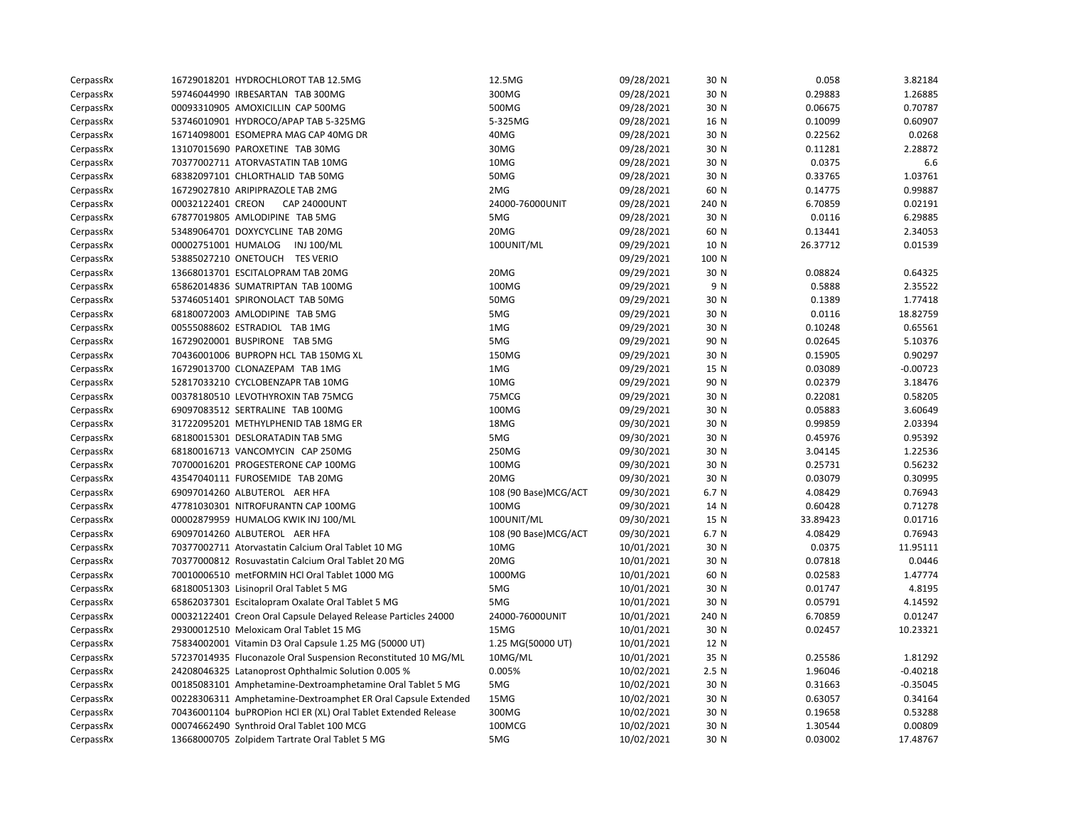| CerpassRx |                     | 16729018201 HYDROCHLOROT TAB 12.5MG                            | 12.5MG                | 09/28/2021 | 30 N  | 0.058    | 3.82184    |
|-----------|---------------------|----------------------------------------------------------------|-----------------------|------------|-------|----------|------------|
| CerpassRx |                     | 59746044990 IRBESARTAN TAB 300MG                               | 300MG                 | 09/28/2021 | 30 N  | 0.29883  | 1.26885    |
| CerpassRx |                     | 00093310905 AMOXICILLIN CAP 500MG                              | 500MG                 | 09/28/2021 | 30 N  | 0.06675  | 0.70787    |
| CerpassRx |                     | 53746010901 HYDROCO/APAP TAB 5-325MG                           | 5-325MG               | 09/28/2021 | 16 N  | 0.10099  | 0.60907    |
| CerpassRx |                     | 16714098001 ESOMEPRA MAG CAP 40MG DR                           | 40MG                  | 09/28/2021 | 30 N  | 0.22562  | 0.0268     |
| CerpassRx |                     | 13107015690 PAROXETINE TAB 30MG                                | 30MG                  | 09/28/2021 | 30 N  | 0.11281  | 2.28872    |
| CerpassRx |                     | 70377002711 ATORVASTATIN TAB 10MG                              | 10MG                  | 09/28/2021 | 30 N  | 0.0375   | 6.6        |
| CerpassRx |                     | 68382097101 CHLORTHALID TAB 50MG                               | 50MG                  | 09/28/2021 | 30 N  | 0.33765  | 1.03761    |
| CerpassRx |                     | 16729027810 ARIPIPRAZOLE TAB 2MG                               | 2MG                   | 09/28/2021 | 60 N  | 0.14775  | 0.99887    |
| CerpassRx | 00032122401 CREON   | <b>CAP 24000UNT</b>                                            | 24000-76000UNIT       | 09/28/2021 | 240 N | 6.70859  | 0.02191    |
| CerpassRx |                     | 67877019805 AMLODIPINE TAB 5MG                                 | 5MG                   | 09/28/2021 | 30 N  | 0.0116   | 6.29885    |
| CerpassRx |                     | 53489064701 DOXYCYCLINE TAB 20MG                               | 20MG                  | 09/28/2021 | 60 N  | 0.13441  | 2.34053    |
| CerpassRx | 00002751001 HUMALOG | INJ 100/ML                                                     | 100UNIT/ML            | 09/29/2021 | 10 N  | 26.37712 | 0.01539    |
| CerpassRx |                     | 53885027210 ONETOUCH TES VERIO                                 |                       | 09/29/2021 | 100 N |          |            |
| CerpassRx |                     | 13668013701 ESCITALOPRAM TAB 20MG                              | 20MG                  | 09/29/2021 | 30 N  | 0.08824  | 0.64325    |
| CerpassRx |                     | 65862014836 SUMATRIPTAN TAB 100MG                              | 100MG                 | 09/29/2021 | 9 N   | 0.5888   | 2.35522    |
| CerpassRx |                     | 53746051401 SPIRONOLACT TAB 50MG                               | 50MG                  | 09/29/2021 | 30 N  | 0.1389   | 1.77418    |
| CerpassRx |                     | 68180072003 AMLODIPINE TAB 5MG                                 | 5MG                   | 09/29/2021 | 30 N  | 0.0116   | 18.82759   |
| CerpassRx |                     | 00555088602 ESTRADIOL TAB 1MG                                  | 1MG                   | 09/29/2021 | 30 N  | 0.10248  | 0.65561    |
| CerpassRx |                     | 16729020001 BUSPIRONE TAB 5MG                                  | 5MG                   | 09/29/2021 | 90 N  | 0.02645  | 5.10376    |
| CerpassRx |                     | 70436001006 BUPROPN HCL TAB 150MG XL                           | 150MG                 | 09/29/2021 | 30 N  | 0.15905  | 0.90297    |
| CerpassRx |                     | 16729013700 CLONAZEPAM TAB 1MG                                 | 1MG                   | 09/29/2021 | 15 N  | 0.03089  | $-0.00723$ |
| CerpassRx |                     | 52817033210 CYCLOBENZAPR TAB 10MG                              | 10MG                  | 09/29/2021 | 90 N  | 0.02379  | 3.18476    |
| CerpassRx |                     | 00378180510 LEVOTHYROXIN TAB 75MCG                             | 75MCG                 | 09/29/2021 | 30 N  | 0.22081  | 0.58205    |
| CerpassRx |                     | 69097083512 SERTRALINE TAB 100MG                               | 100MG                 | 09/29/2021 | 30 N  | 0.05883  | 3.60649    |
| CerpassRx |                     | 31722095201 METHYLPHENID TAB 18MG ER                           | 18MG                  | 09/30/2021 | 30 N  | 0.99859  | 2.03394    |
| CerpassRx |                     | 68180015301 DESLORATADIN TAB 5MG                               | 5MG                   | 09/30/2021 | 30 N  | 0.45976  | 0.95392    |
| CerpassRx |                     | 68180016713 VANCOMYCIN CAP 250MG                               | 250MG                 | 09/30/2021 | 30 N  | 3.04145  | 1.22536    |
| CerpassRx |                     | 70700016201 PROGESTERONE CAP 100MG                             | 100MG                 | 09/30/2021 | 30 N  | 0.25731  | 0.56232    |
| CerpassRx |                     | 43547040111 FUROSEMIDE TAB 20MG                                | 20MG                  | 09/30/2021 | 30 N  | 0.03079  | 0.30995    |
| CerpassRx |                     | 69097014260 ALBUTEROL AER HFA                                  | 108 (90 Base) MCG/ACT | 09/30/2021 | 6.7 N | 4.08429  | 0.76943    |
| CerpassRx |                     | 47781030301 NITROFURANTN CAP 100MG                             | 100MG                 | 09/30/2021 | 14 N  | 0.60428  | 0.71278    |
| CerpassRx |                     | 00002879959 HUMALOG KWIK INJ 100/ML                            | 100UNIT/ML            | 09/30/2021 | 15 N  | 33.89423 | 0.01716    |
| CerpassRx |                     | 69097014260 ALBUTEROL AER HFA                                  | 108 (90 Base) MCG/ACT | 09/30/2021 | 6.7 N | 4.08429  | 0.76943    |
| CerpassRx |                     | 70377002711 Atorvastatin Calcium Oral Tablet 10 MG             | 10MG                  | 10/01/2021 | 30 N  | 0.0375   | 11.95111   |
| CerpassRx |                     | 70377000812 Rosuvastatin Calcium Oral Tablet 20 MG             | 20MG                  | 10/01/2021 | 30 N  | 0.07818  | 0.0446     |
| CerpassRx |                     | 70010006510 metFORMIN HCl Oral Tablet 1000 MG                  | 1000MG                | 10/01/2021 | 60 N  | 0.02583  | 1.47774    |
| CerpassRx |                     | 68180051303 Lisinopril Oral Tablet 5 MG                        | 5MG                   | 10/01/2021 | 30 N  | 0.01747  | 4.8195     |
| CerpassRx |                     | 65862037301 Escitalopram Oxalate Oral Tablet 5 MG              | 5MG                   | 10/01/2021 | 30 N  | 0.05791  | 4.14592    |
| CerpassRx |                     | 00032122401 Creon Oral Capsule Delayed Release Particles 24000 | 24000-76000UNIT       | 10/01/2021 | 240 N | 6.70859  | 0.01247    |
| CerpassRx |                     | 29300012510 Meloxicam Oral Tablet 15 MG                        | 15MG                  | 10/01/2021 | 30 N  | 0.02457  | 10.23321   |
| CerpassRx |                     | 75834002001 Vitamin D3 Oral Capsule 1.25 MG (50000 UT)         | 1.25 MG(50000 UT)     | 10/01/2021 | 12 N  |          |            |
| CerpassRx |                     | 57237014935 Fluconazole Oral Suspension Reconstituted 10 MG/ML | 10MG/ML               | 10/01/2021 | 35 N  | 0.25586  | 1.81292    |
| CerpassRx |                     | 24208046325 Latanoprost Ophthalmic Solution 0.005 %            | 0.005%                | 10/02/2021 | 2.5N  | 1.96046  | $-0.40218$ |
| CerpassRx |                     | 00185083101 Amphetamine-Dextroamphetamine Oral Tablet 5 MG     | 5MG                   | 10/02/2021 | 30 N  | 0.31663  | $-0.35045$ |
| CerpassRx |                     | 00228306311 Amphetamine-Dextroamphet ER Oral Capsule Extended  | 15MG                  | 10/02/2021 | 30 N  | 0.63057  | 0.34164    |
| CerpassRx |                     | 70436001104 buPROPion HCl ER (XL) Oral Tablet Extended Release | 300MG                 | 10/02/2021 | 30 N  | 0.19658  | 0.53288    |
| CerpassRx |                     | 00074662490 Synthroid Oral Tablet 100 MCG                      | 100MCG                | 10/02/2021 | 30 N  | 1.30544  | 0.00809    |
| CerpassRx |                     | 13668000705 Zolpidem Tartrate Oral Tablet 5 MG                 | 5MG                   | 10/02/2021 | 30 N  | 0.03002  | 17.48767   |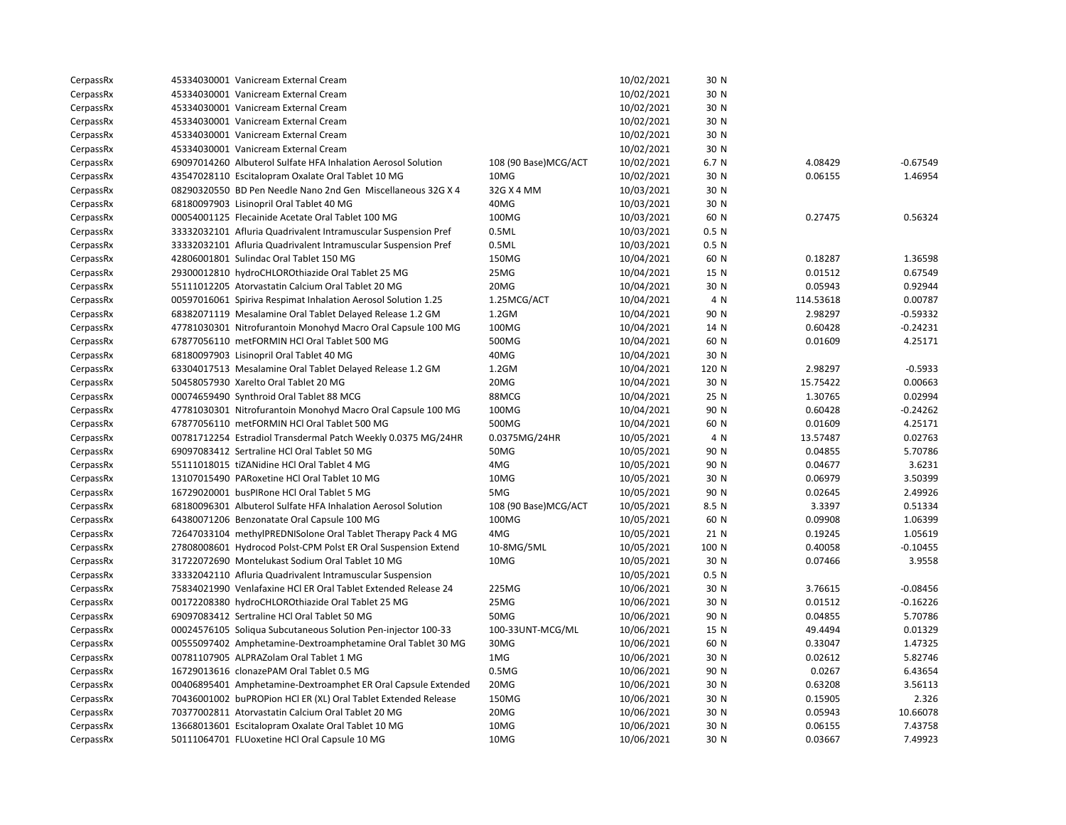| CerpassRx | 45334030001 Vanicream External Cream                           |                       | 10/02/2021 | 30 N             |           |            |
|-----------|----------------------------------------------------------------|-----------------------|------------|------------------|-----------|------------|
| CerpassRx | 45334030001 Vanicream External Cream                           |                       | 10/02/2021 | 30 N             |           |            |
| CerpassRx | 45334030001 Vanicream External Cream                           |                       | 10/02/2021 | 30 N             |           |            |
| CerpassRx | 45334030001 Vanicream External Cream                           |                       | 10/02/2021 | 30 N             |           |            |
| CerpassRx | 45334030001 Vanicream External Cream                           |                       | 10/02/2021 | 30 N             |           |            |
| CerpassRx | 45334030001 Vanicream External Cream                           |                       | 10/02/2021 | 30 N             |           |            |
| CerpassRx | 69097014260 Albuterol Sulfate HFA Inhalation Aerosol Solution  | 108 (90 Base)MCG/ACT  | 10/02/2021 | 6.7 N            | 4.08429   | $-0.67549$ |
| CerpassRx | 43547028110 Escitalopram Oxalate Oral Tablet 10 MG             | 10MG                  | 10/02/2021 | 30 N             | 0.06155   | 1.46954    |
| CerpassRx | 08290320550 BD Pen Needle Nano 2nd Gen Miscellaneous 32G X 4   | 32G X 4 MM            | 10/03/2021 | 30 N             |           |            |
| CerpassRx | 68180097903 Lisinopril Oral Tablet 40 MG                       | 40MG                  | 10/03/2021 | 30 N             |           |            |
| CerpassRx | 00054001125 Flecainide Acetate Oral Tablet 100 MG              | 100MG                 | 10/03/2021 | 60 N             | 0.27475   | 0.56324    |
| CerpassRx | 33332032101 Afluria Quadrivalent Intramuscular Suspension Pref | 0.5ML                 | 10/03/2021 | 0.5 <sub>N</sub> |           |            |
| CerpassRx | 33332032101 Afluria Quadrivalent Intramuscular Suspension Pref | 0.5ML                 | 10/03/2021 | 0.5 N            |           |            |
| CerpassRx | 42806001801 Sulindac Oral Tablet 150 MG                        | 150MG                 | 10/04/2021 | 60 N             | 0.18287   | 1.36598    |
| CerpassRx | 29300012810 hydroCHLOROthiazide Oral Tablet 25 MG              | 25MG                  | 10/04/2021 | 15 N             | 0.01512   | 0.67549    |
| CerpassRx | 55111012205 Atorvastatin Calcium Oral Tablet 20 MG             | 20MG                  | 10/04/2021 | 30 N             | 0.05943   | 0.92944    |
| CerpassRx | 00597016061 Spiriva Respimat Inhalation Aerosol Solution 1.25  | 1.25MCG/ACT           | 10/04/2021 | 4 N              | 114.53618 | 0.00787    |
| CerpassRx | 68382071119 Mesalamine Oral Tablet Delayed Release 1.2 GM      | 1.2GM                 | 10/04/2021 | 90 N             | 2.98297   | $-0.59332$ |
| CerpassRx | 47781030301 Nitrofurantoin Monohyd Macro Oral Capsule 100 MG   | 100MG                 | 10/04/2021 | 14 N             | 0.60428   | $-0.24231$ |
| CerpassRx | 67877056110 metFORMIN HCl Oral Tablet 500 MG                   | 500MG                 | 10/04/2021 | 60 N             | 0.01609   | 4.25171    |
| CerpassRx | 68180097903 Lisinopril Oral Tablet 40 MG                       | 40MG                  | 10/04/2021 | 30 N             |           |            |
| CerpassRx | 63304017513 Mesalamine Oral Tablet Delayed Release 1.2 GM      | $1.2$ GM              | 10/04/2021 | 120 N            | 2.98297   | $-0.5933$  |
| CerpassRx | 50458057930 Xarelto Oral Tablet 20 MG                          | 20MG                  | 10/04/2021 | 30 N             | 15.75422  | 0.00663    |
| CerpassRx | 00074659490 Synthroid Oral Tablet 88 MCG                       | 88MCG                 | 10/04/2021 | 25 N             | 1.30765   | 0.02994    |
| CerpassRx | 47781030301 Nitrofurantoin Monohyd Macro Oral Capsule 100 MG   | 100MG                 | 10/04/2021 | 90 N             | 0.60428   | $-0.24262$ |
| CerpassRx | 67877056110 metFORMIN HCl Oral Tablet 500 MG                   | 500MG                 | 10/04/2021 | 60 N             | 0.01609   | 4.25171    |
| CerpassRx | 00781712254 Estradiol Transdermal Patch Weekly 0.0375 MG/24HR  | 0.0375MG/24HR         | 10/05/2021 | 4 N              | 13.57487  | 0.02763    |
| CerpassRx | 69097083412 Sertraline HCl Oral Tablet 50 MG                   | 50MG                  | 10/05/2021 | 90 N             | 0.04855   | 5.70786    |
| CerpassRx | 55111018015 tiZANidine HCl Oral Tablet 4 MG                    | 4MG                   | 10/05/2021 | 90 N             | 0.04677   | 3.6231     |
| CerpassRx | 13107015490 PARoxetine HCl Oral Tablet 10 MG                   | 10MG                  | 10/05/2021 | 30 N             | 0.06979   | 3.50399    |
| CerpassRx | 16729020001 busPIRone HCl Oral Tablet 5 MG                     | 5MG                   | 10/05/2021 | 90 N             | 0.02645   | 2.49926    |
| CerpassRx | 68180096301 Albuterol Sulfate HFA Inhalation Aerosol Solution  | 108 (90 Base) MCG/ACT | 10/05/2021 | 8.5 N            | 3.3397    | 0.51334    |
| CerpassRx | 64380071206 Benzonatate Oral Capsule 100 MG                    | 100MG                 | 10/05/2021 | 60 N             | 0.09908   | 1.06399    |
| CerpassRx | 72647033104 methylPREDNISolone Oral Tablet Therapy Pack 4 MG   | 4MG                   | 10/05/2021 | 21 N             | 0.19245   | 1.05619    |
| CerpassRx | 27808008601 Hydrocod Polst-CPM Polst ER Oral Suspension Extend | 10-8MG/5ML            | 10/05/2021 | 100 N            | 0.40058   | $-0.10455$ |
| CerpassRx | 31722072690 Montelukast Sodium Oral Tablet 10 MG               | 10MG                  | 10/05/2021 | 30 N             | 0.07466   | 3.9558     |
| CerpassRx | 33332042110 Afluria Quadrivalent Intramuscular Suspension      |                       | 10/05/2021 | 0.5 N            |           |            |
| CerpassRx | 75834021990 Venlafaxine HCl ER Oral Tablet Extended Release 24 | 225MG                 | 10/06/2021 | 30 N             | 3.76615   | $-0.08456$ |
| CerpassRx | 00172208380 hydroCHLOROthiazide Oral Tablet 25 MG              | 25MG                  | 10/06/2021 | 30 N             | 0.01512   | $-0.16226$ |
| CerpassRx | 69097083412 Sertraline HCl Oral Tablet 50 MG                   | 50MG                  | 10/06/2021 | 90 N             | 0.04855   | 5.70786    |
| CerpassRx | 00024576105 Soliqua Subcutaneous Solution Pen-injector 100-33  | 100-33UNT-MCG/ML      | 10/06/2021 | 15 N             | 49.4494   | 0.01329    |
| CerpassRx | 00555097402 Amphetamine-Dextroamphetamine Oral Tablet 30 MG    | 30MG                  | 10/06/2021 | 60 N             | 0.33047   | 1.47325    |
| CerpassRx | 00781107905 ALPRAZolam Oral Tablet 1 MG                        | 1MG                   | 10/06/2021 | 30 N             | 0.02612   | 5.82746    |
| CerpassRx | 16729013616 clonazePAM Oral Tablet 0.5 MG                      | 0.5MG                 | 10/06/2021 | 90 N             | 0.0267    | 6.43654    |
| CerpassRx | 00406895401 Amphetamine-Dextroamphet ER Oral Capsule Extended  | 20MG                  | 10/06/2021 | 30 N             | 0.63208   | 3.56113    |
| CerpassRx | 70436001002 buPROPion HCl ER (XL) Oral Tablet Extended Release | 150MG                 | 10/06/2021 | 30 N             | 0.15905   | 2.326      |
| CerpassRx | 70377002811 Atorvastatin Calcium Oral Tablet 20 MG             | 20MG                  | 10/06/2021 | 30 N             | 0.05943   | 10.66078   |
| CerpassRx | 13668013601 Escitalopram Oxalate Oral Tablet 10 MG             | 10MG                  | 10/06/2021 | 30 N             | 0.06155   | 7.43758    |
| CerpassRx | 50111064701 FLUoxetine HCl Oral Capsule 10 MG                  | 10MG                  | 10/06/2021 | 30 N             | 0.03667   | 7.49923    |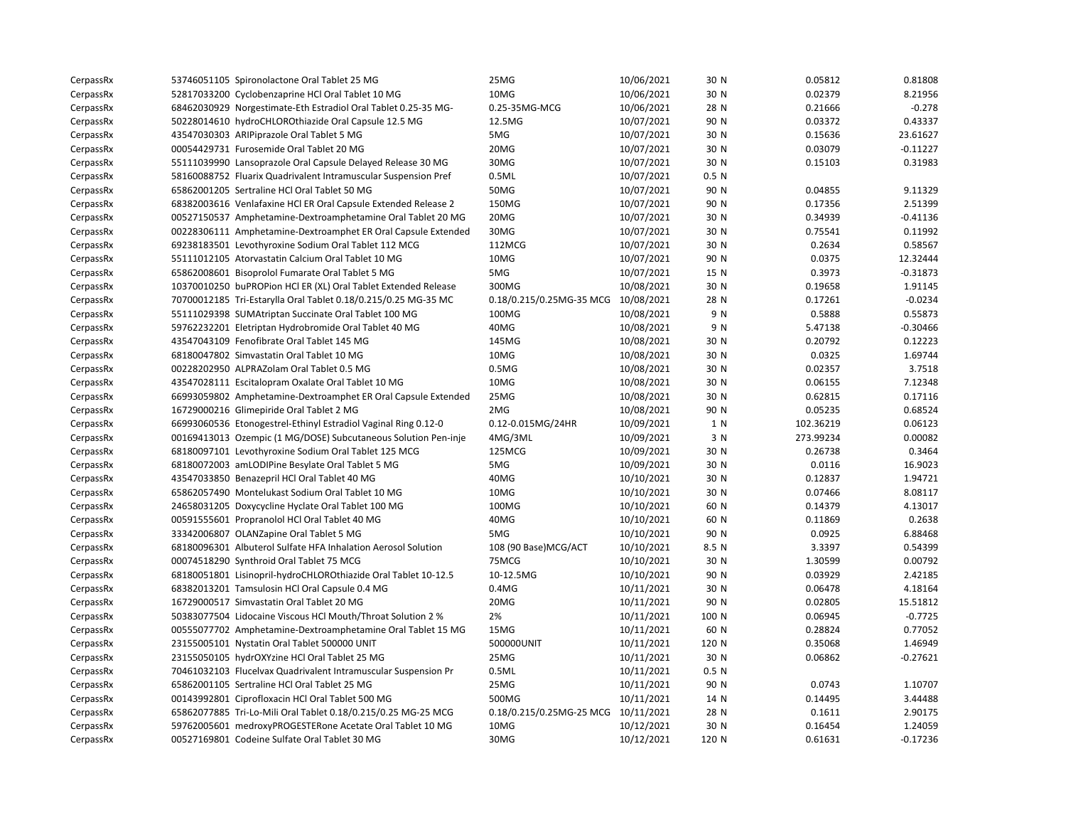| CerpassRx | 53746051105 Spironolactone Oral Tablet 25 MG                   | 25MG                                | 10/06/2021 | 30 N             | 0.05812   | 0.81808    |
|-----------|----------------------------------------------------------------|-------------------------------------|------------|------------------|-----------|------------|
| CerpassRx | 52817033200 Cyclobenzaprine HCl Oral Tablet 10 MG              | 10MG                                | 10/06/2021 | 30 N             | 0.02379   | 8.21956    |
| CerpassRx | 68462030929 Norgestimate-Eth Estradiol Oral Tablet 0.25-35 MG- | 0.25-35MG-MCG                       | 10/06/2021 | 28 N             | 0.21666   | $-0.278$   |
| CerpassRx | 50228014610 hydroCHLOROthiazide Oral Capsule 12.5 MG           | 12.5MG                              | 10/07/2021 | 90 N             | 0.03372   | 0.43337    |
| CerpassRx | 43547030303 ARIPiprazole Oral Tablet 5 MG                      | 5MG                                 | 10/07/2021 | 30 N             | 0.15636   | 23.61627   |
| CerpassRx | 00054429731 Furosemide Oral Tablet 20 MG                       | 20MG                                | 10/07/2021 | 30 N             | 0.03079   | $-0.11227$ |
| CerpassRx | 55111039990 Lansoprazole Oral Capsule Delayed Release 30 MG    | 30MG                                | 10/07/2021 | 30 N             | 0.15103   | 0.31983    |
| CerpassRx | 58160088752 Fluarix Quadrivalent Intramuscular Suspension Pref | 0.5ML                               | 10/07/2021 | 0.5 N            |           |            |
| CerpassRx | 65862001205 Sertraline HCl Oral Tablet 50 MG                   | 50MG                                | 10/07/2021 | 90 N             | 0.04855   | 9.11329    |
| CerpassRx | 68382003616 Venlafaxine HCl ER Oral Capsule Extended Release 2 | 150MG                               | 10/07/2021 | 90 N             | 0.17356   | 2.51399    |
| CerpassRx | 00527150537 Amphetamine-Dextroamphetamine Oral Tablet 20 MG    | 20MG                                | 10/07/2021 | 30 N             | 0.34939   | $-0.41136$ |
| CerpassRx | 00228306111 Amphetamine-Dextroamphet ER Oral Capsule Extended  | 30MG                                | 10/07/2021 | 30 N             | 0.75541   | 0.11992    |
| CerpassRx | 69238183501 Levothyroxine Sodium Oral Tablet 112 MCG           | 112MCG                              | 10/07/2021 | 30 N             | 0.2634    | 0.58567    |
| CerpassRx | 55111012105 Atorvastatin Calcium Oral Tablet 10 MG             | 10MG                                | 10/07/2021 | 90 N             | 0.0375    | 12.32444   |
| CerpassRx | 65862008601 Bisoprolol Fumarate Oral Tablet 5 MG               | 5MG                                 | 10/07/2021 | 15 N             | 0.3973    | $-0.31873$ |
| CerpassRx | 10370010250 buPROPion HCl ER (XL) Oral Tablet Extended Release | 300MG                               | 10/08/2021 | 30 N             | 0.19658   | 1.91145    |
| CerpassRx | 70700012185 Tri-Estarylla Oral Tablet 0.18/0.215/0.25 MG-35 MC | 0.18/0.215/0.25MG-35 MCG 10/08/2021 |            | 28 N             | 0.17261   | $-0.0234$  |
| CerpassRx | 55111029398 SUMAtriptan Succinate Oral Tablet 100 MG           | 100MG                               | 10/08/2021 | 9 N              | 0.5888    | 0.55873    |
| CerpassRx | 59762232201 Eletriptan Hydrobromide Oral Tablet 40 MG          | 40MG                                | 10/08/2021 | 9 N              | 5.47138   | $-0.30466$ |
| CerpassRx | 43547043109 Fenofibrate Oral Tablet 145 MG                     | 145MG                               | 10/08/2021 | 30 N             | 0.20792   | 0.12223    |
| CerpassRx | 68180047802 Simvastatin Oral Tablet 10 MG                      | 10MG                                | 10/08/2021 | 30 N             | 0.0325    | 1.69744    |
| CerpassRx | 00228202950 ALPRAZolam Oral Tablet 0.5 MG                      | 0.5M <sub>G</sub>                   | 10/08/2021 | 30 N             | 0.02357   | 3.7518     |
| CerpassRx | 43547028111 Escitalopram Oxalate Oral Tablet 10 MG             | 10MG                                | 10/08/2021 | 30 N             | 0.06155   | 7.12348    |
| CerpassRx | 66993059802 Amphetamine-Dextroamphet ER Oral Capsule Extended  | 25MG                                | 10/08/2021 | 30 N             | 0.62815   | 0.17116    |
| CerpassRx | 16729000216 Glimepiride Oral Tablet 2 MG                       | 2MG                                 | 10/08/2021 | 90 N             | 0.05235   | 0.68524    |
| CerpassRx | 66993060536 Etonogestrel-Ethinyl Estradiol Vaginal Ring 0.12-0 | 0.12-0.015MG/24HR                   | 10/09/2021 | 1 N              | 102.36219 | 0.06123    |
| CerpassRx | 00169413013 Ozempic (1 MG/DOSE) Subcutaneous Solution Pen-inje | 4MG/3ML                             | 10/09/2021 | 3 N              | 273.99234 | 0.00082    |
| CerpassRx | 68180097101 Levothyroxine Sodium Oral Tablet 125 MCG           | 125MCG                              | 10/09/2021 | 30 N             | 0.26738   | 0.3464     |
| CerpassRx | 68180072003 amLODIPine Besylate Oral Tablet 5 MG               | 5MG                                 | 10/09/2021 | 30 N             | 0.0116    | 16.9023    |
| CerpassRx | 43547033850 Benazepril HCl Oral Tablet 40 MG                   | 40MG                                | 10/10/2021 | 30 N             | 0.12837   | 1.94721    |
| CerpassRx | 65862057490 Montelukast Sodium Oral Tablet 10 MG               | 10MG                                | 10/10/2021 | 30 N             | 0.07466   | 8.08117    |
| CerpassRx | 24658031205 Doxycycline Hyclate Oral Tablet 100 MG             | 100MG                               | 10/10/2021 | 60 N             | 0.14379   | 4.13017    |
| CerpassRx | 00591555601 Propranolol HCl Oral Tablet 40 MG                  | 40MG                                | 10/10/2021 | 60 N             | 0.11869   | 0.2638     |
| CerpassRx | 33342006807 OLANZapine Oral Tablet 5 MG                        | 5MG                                 | 10/10/2021 | 90 N             | 0.0925    | 6.88468    |
| CerpassRx | 68180096301 Albuterol Sulfate HFA Inhalation Aerosol Solution  | 108 (90 Base) MCG/ACT               | 10/10/2021 | 8.5 N            | 3.3397    | 0.54399    |
| CerpassRx | 00074518290 Synthroid Oral Tablet 75 MCG                       | 75MCG                               | 10/10/2021 | 30 N             | 1.30599   | 0.00792    |
| CerpassRx | 68180051801 Lisinopril-hydroCHLOROthiazide Oral Tablet 10-12.5 | 10-12.5MG                           | 10/10/2021 | 90 N             | 0.03929   | 2.42185    |
| CerpassRx | 68382013201 Tamsulosin HCl Oral Capsule 0.4 MG                 | 0.4MG                               | 10/11/2021 | 30 N             | 0.06478   | 4.18164    |
| CerpassRx | 16729000517 Simvastatin Oral Tablet 20 MG                      | 20MG                                | 10/11/2021 | 90 N             | 0.02805   | 15.51812   |
| CerpassRx | 50383077504 Lidocaine Viscous HCl Mouth/Throat Solution 2 %    | 2%                                  | 10/11/2021 | 100 N            | 0.06945   | $-0.7725$  |
| CerpassRx | 00555077702 Amphetamine-Dextroamphetamine Oral Tablet 15 MG    | 15MG                                | 10/11/2021 | 60 N             | 0.28824   | 0.77052    |
| CerpassRx | 23155005101 Nystatin Oral Tablet 500000 UNIT                   | 500000UNIT                          | 10/11/2021 | 120 N            | 0.35068   | 1.46949    |
| CerpassRx | 23155050105 hydrOXYzine HCl Oral Tablet 25 MG                  | 25MG                                | 10/11/2021 | 30 N             | 0.06862   | $-0.27621$ |
| CerpassRx | 70461032103 Flucelvax Quadrivalent Intramuscular Suspension Pr | 0.5ML                               | 10/11/2021 | 0.5 <sub>N</sub> |           |            |
| CerpassRx | 65862001105 Sertraline HCl Oral Tablet 25 MG                   | 25MG                                | 10/11/2021 | 90 N             | 0.0743    | 1.10707    |
| CerpassRx | 00143992801 Ciprofloxacin HCl Oral Tablet 500 MG               | 500MG                               | 10/11/2021 | 14 N             | 0.14495   | 3.44488    |
| CerpassRx | 65862077885 Tri-Lo-Mili Oral Tablet 0.18/0.215/0.25 MG-25 MCG  | 0.18/0.215/0.25MG-25 MCG 10/11/2021 |            | 28 N             | 0.1611    | 2.90175    |
| CerpassRx | 59762005601 medroxyPROGESTERone Acetate Oral Tablet 10 MG      | 10MG                                | 10/12/2021 | 30 N             | 0.16454   | 1.24059    |
| CerpassRx | 00527169801 Codeine Sulfate Oral Tablet 30 MG                  | 30MG                                | 10/12/2021 | 120 N            | 0.61631   | $-0.17236$ |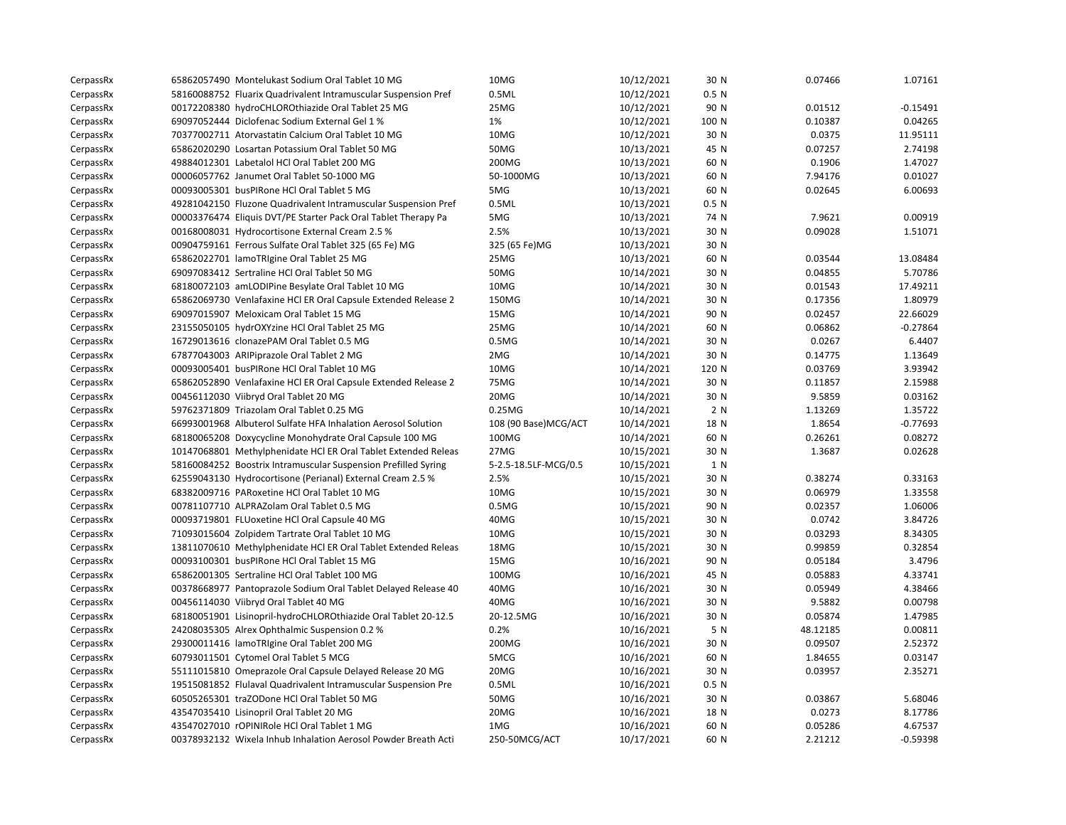| CerpassRx | 65862057490 Montelukast Sodium Oral Tablet 10 MG               | 10MG                 | 10/12/2021 | 30 N             | 0.07466  | 1.07161    |
|-----------|----------------------------------------------------------------|----------------------|------------|------------------|----------|------------|
| CerpassRx | 58160088752 Fluarix Quadrivalent Intramuscular Suspension Pref | 0.5ML                | 10/12/2021 | 0.5 <sub>N</sub> |          |            |
| CerpassRx | 00172208380 hydroCHLOROthiazide Oral Tablet 25 MG              | 25MG                 | 10/12/2021 | 90 N             | 0.01512  | $-0.15491$ |
| CerpassRx | 69097052444 Diclofenac Sodium External Gel 1 %                 | 1%                   | 10/12/2021 | 100 N            | 0.10387  | 0.04265    |
| CerpassRx | 70377002711 Atorvastatin Calcium Oral Tablet 10 MG             | 10MG                 | 10/12/2021 | 30 N             | 0.0375   | 11.95111   |
| CerpassRx | 65862020290 Losartan Potassium Oral Tablet 50 MG               | 50MG                 | 10/13/2021 | 45 N             | 0.07257  | 2.74198    |
| CerpassRx | 49884012301 Labetalol HCl Oral Tablet 200 MG                   | 200MG                | 10/13/2021 | 60 N             | 0.1906   | 1.47027    |
| CerpassRx | 00006057762 Janumet Oral Tablet 50-1000 MG                     | 50-1000MG            | 10/13/2021 | 60 N             | 7.94176  | 0.01027    |
| CerpassRx | 00093005301 busPIRone HCl Oral Tablet 5 MG                     | 5MG                  | 10/13/2021 | 60 N             | 0.02645  | 6.00693    |
| CerpassRx | 49281042150 Fluzone Quadrivalent Intramuscular Suspension Pref | 0.5ML                | 10/13/2021 | 0.5 <sub>N</sub> |          |            |
| CerpassRx | 00003376474 Eliquis DVT/PE Starter Pack Oral Tablet Therapy Pa | 5MG                  | 10/13/2021 | 74 N             | 7.9621   | 0.00919    |
| CerpassRx | 00168008031 Hydrocortisone External Cream 2.5 %                | 2.5%                 | 10/13/2021 | 30 N             | 0.09028  | 1.51071    |
| CerpassRx | 00904759161 Ferrous Sulfate Oral Tablet 325 (65 Fe) MG         | 325 (65 Fe)MG        | 10/13/2021 | 30 N             |          |            |
| CerpassRx | 65862022701 lamoTRIgine Oral Tablet 25 MG                      | 25MG                 | 10/13/2021 | 60 N             | 0.03544  | 13.08484   |
| CerpassRx | 69097083412 Sertraline HCl Oral Tablet 50 MG                   | 50MG                 | 10/14/2021 | 30 N             | 0.04855  | 5.70786    |
| CerpassRx | 68180072103 amLODIPine Besylate Oral Tablet 10 MG              | 10MG                 | 10/14/2021 | 30 N             | 0.01543  | 17.49211   |
| CerpassRx | 65862069730 Venlafaxine HCl ER Oral Capsule Extended Release 2 | 150MG                | 10/14/2021 | 30 N             | 0.17356  | 1.80979    |
| CerpassRx | 69097015907 Meloxicam Oral Tablet 15 MG                        | 15MG                 | 10/14/2021 | 90 N             | 0.02457  | 22.66029   |
| CerpassRx | 23155050105 hydrOXYzine HCl Oral Tablet 25 MG                  | 25MG                 | 10/14/2021 | 60 N             | 0.06862  | $-0.27864$ |
| CerpassRx | 16729013616 clonazePAM Oral Tablet 0.5 MG                      | 0.5M <sub>G</sub>    | 10/14/2021 | 30 N             | 0.0267   | 6.4407     |
| CerpassRx | 67877043003 ARIPiprazole Oral Tablet 2 MG                      | 2MG                  | 10/14/2021 | 30 N             | 0.14775  | 1.13649    |
| CerpassRx | 00093005401 busPIRone HCl Oral Tablet 10 MG                    | 10MG                 | 10/14/2021 | 120 N            | 0.03769  | 3.93942    |
| CerpassRx | 65862052890 Venlafaxine HCl ER Oral Capsule Extended Release 2 | 75MG                 | 10/14/2021 | 30 N             | 0.11857  | 2.15988    |
| CerpassRx | 00456112030 Viibryd Oral Tablet 20 MG                          | 20MG                 | 10/14/2021 | 30 N             | 9.5859   | 0.03162    |
| CerpassRx | 59762371809 Triazolam Oral Tablet 0.25 MG                      | 0.25MG               | 10/14/2021 | 2 N              | 1.13269  | 1.35722    |
| CerpassRx | 66993001968 Albuterol Sulfate HFA Inhalation Aerosol Solution  | 108 (90 Base)MCG/ACT | 10/14/2021 | 18 N             | 1.8654   | $-0.77693$ |
| CerpassRx | 68180065208 Doxycycline Monohydrate Oral Capsule 100 MG        | 100MG                | 10/14/2021 | 60 N             | 0.26261  | 0.08272    |
| CerpassRx | 10147068801 Methylphenidate HCl ER Oral Tablet Extended Releas | 27MG                 | 10/15/2021 | 30 N             | 1.3687   | 0.02628    |
| CerpassRx | 58160084252 Boostrix Intramuscular Suspension Prefilled Syring | 5-2.5-18.5LF-MCG/0.5 | 10/15/2021 | 1 N              |          |            |
| CerpassRx | 62559043130 Hydrocortisone (Perianal) External Cream 2.5 %     | 2.5%                 | 10/15/2021 | 30 N             | 0.38274  | 0.33163    |
| CerpassRx | 68382009716 PARoxetine HCl Oral Tablet 10 MG                   | 10MG                 | 10/15/2021 | 30 N             | 0.06979  | 1.33558    |
| CerpassRx | 00781107710 ALPRAZolam Oral Tablet 0.5 MG                      | 0.5M <sub>G</sub>    | 10/15/2021 | 90 N             | 0.02357  | 1.06006    |
| CerpassRx | 00093719801 FLUoxetine HCl Oral Capsule 40 MG                  | 40MG                 | 10/15/2021 | 30 N             | 0.0742   | 3.84726    |
| CerpassRx | 71093015604 Zolpidem Tartrate Oral Tablet 10 MG                | 10MG                 | 10/15/2021 | 30 N             | 0.03293  | 8.34305    |
| CerpassRx | 13811070610 Methylphenidate HCI ER Oral Tablet Extended Releas | 18MG                 | 10/15/2021 | 30 N             | 0.99859  | 0.32854    |
| CerpassRx | 00093100301 busPIRone HCl Oral Tablet 15 MG                    | 15MG                 | 10/16/2021 | 90 N             | 0.05184  | 3.4796     |
| CerpassRx | 65862001305 Sertraline HCl Oral Tablet 100 MG                  | 100MG                | 10/16/2021 | 45 N             | 0.05883  | 4.33741    |
| CerpassRx | 00378668977 Pantoprazole Sodium Oral Tablet Delayed Release 40 | 40MG                 | 10/16/2021 | 30 N             | 0.05949  | 4.38466    |
| CerpassRx | 00456114030 Viibryd Oral Tablet 40 MG                          | 40MG                 | 10/16/2021 | 30 N             | 9.5882   | 0.00798    |
| CerpassRx | 68180051901 Lisinopril-hydroCHLOROthiazide Oral Tablet 20-12.5 | 20-12.5MG            | 10/16/2021 | 30 N             | 0.05874  | 1.47985    |
| CerpassRx | 24208035305 Alrex Ophthalmic Suspension 0.2 %                  | 0.2%                 | 10/16/2021 | 5 N              | 48.12185 | 0.00811    |
| CerpassRx | 29300011416 lamoTRIgine Oral Tablet 200 MG                     | 200MG                | 10/16/2021 | 30 N             | 0.09507  | 2.52372    |
| CerpassRx | 60793011501 Cytomel Oral Tablet 5 MCG                          | 5MCG                 | 10/16/2021 | 60 N             | 1.84655  | 0.03147    |
| CerpassRx | 55111015810 Omeprazole Oral Capsule Delayed Release 20 MG      | 20MG                 | 10/16/2021 | 30 N             | 0.03957  | 2.35271    |
| CerpassRx | 19515081852 Flulaval Quadrivalent Intramuscular Suspension Pre | 0.5ML                | 10/16/2021 | 0.5 <sub>N</sub> |          |            |
| CerpassRx | 60505265301 traZODone HCl Oral Tablet 50 MG                    | 50MG                 | 10/16/2021 | 30 N             | 0.03867  | 5.68046    |
| CerpassRx | 43547035410 Lisinopril Oral Tablet 20 MG                       | 20MG                 | 10/16/2021 | 18 N             | 0.0273   | 8.17786    |
| CerpassRx | 43547027010 rOPINIRole HCl Oral Tablet 1 MG                    | 1MG                  | 10/16/2021 | 60 N             | 0.05286  | 4.67537    |
| CerpassRx | 00378932132 Wixela Inhub Inhalation Aerosol Powder Breath Acti | 250-50MCG/ACT        | 10/17/2021 | 60 N             | 2.21212  | $-0.59398$ |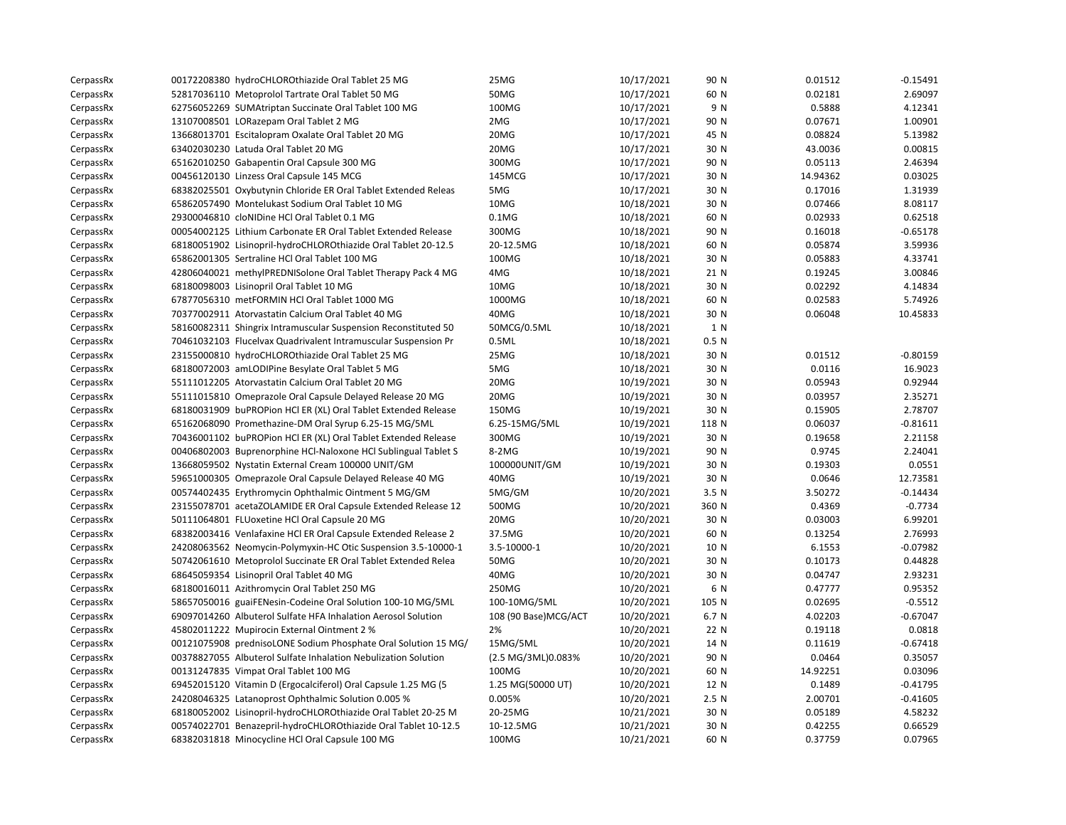| CerpassRx | 00172208380 hydroCHLOROthiazide Oral Tablet 25 MG              | 25MG                 | 10/17/2021 | 90 N             | 0.01512  | $-0.15491$ |
|-----------|----------------------------------------------------------------|----------------------|------------|------------------|----------|------------|
| CerpassRx | 52817036110 Metoprolol Tartrate Oral Tablet 50 MG              | 50MG                 | 10/17/2021 | 60 N             | 0.02181  | 2.69097    |
| CerpassRx | 62756052269 SUMAtriptan Succinate Oral Tablet 100 MG           | 100MG                | 10/17/2021 | 9 N              | 0.5888   | 4.12341    |
| CerpassRx | 13107008501 LORazepam Oral Tablet 2 MG                         | 2MG                  | 10/17/2021 | 90 N             | 0.07671  | 1.00901    |
| CerpassRx | 13668013701 Escitalopram Oxalate Oral Tablet 20 MG             | 20MG                 | 10/17/2021 | 45 N             | 0.08824  | 5.13982    |
| CerpassRx | 63402030230 Latuda Oral Tablet 20 MG                           | 20MG                 | 10/17/2021 | 30 N             | 43.0036  | 0.00815    |
| CerpassRx | 65162010250 Gabapentin Oral Capsule 300 MG                     | 300MG                | 10/17/2021 | 90 N             | 0.05113  | 2.46394    |
| CerpassRx | 00456120130 Linzess Oral Capsule 145 MCG                       | 145MCG               | 10/17/2021 | 30 N             | 14.94362 | 0.03025    |
| CerpassRx | 68382025501 Oxybutynin Chloride ER Oral Tablet Extended Releas | 5MG                  | 10/17/2021 | 30 N             | 0.17016  | 1.31939    |
| CerpassRx | 65862057490 Montelukast Sodium Oral Tablet 10 MG               | 10MG                 | 10/18/2021 | 30 N             | 0.07466  | 8.08117    |
| CerpassRx | 29300046810 cloNIDine HCl Oral Tablet 0.1 MG                   | $0.1M$ G             | 10/18/2021 | 60 N             | 0.02933  | 0.62518    |
| CerpassRx | 00054002125 Lithium Carbonate ER Oral Tablet Extended Release  | 300MG                | 10/18/2021 | 90 N             | 0.16018  | $-0.65178$ |
| CerpassRx | 68180051902 Lisinopril-hydroCHLOROthiazide Oral Tablet 20-12.5 | 20-12.5MG            | 10/18/2021 | 60 N             | 0.05874  | 3.59936    |
| CerpassRx | 65862001305 Sertraline HCl Oral Tablet 100 MG                  | 100MG                | 10/18/2021 | 30 N             | 0.05883  | 4.33741    |
| CerpassRx | 42806040021 methylPREDNISolone Oral Tablet Therapy Pack 4 MG   | 4MG                  | 10/18/2021 | 21 N             | 0.19245  | 3.00846    |
| CerpassRx | 68180098003 Lisinopril Oral Tablet 10 MG                       | 10MG                 | 10/18/2021 | 30 N             | 0.02292  | 4.14834    |
| CerpassRx | 67877056310 metFORMIN HCl Oral Tablet 1000 MG                  | 1000MG               | 10/18/2021 | 60 N             | 0.02583  | 5.74926    |
| CerpassRx | 70377002911 Atorvastatin Calcium Oral Tablet 40 MG             | 40MG                 | 10/18/2021 | 30 N             | 0.06048  | 10.45833   |
| CerpassRx | 58160082311 Shingrix Intramuscular Suspension Reconstituted 50 | 50MCG/0.5ML          | 10/18/2021 | 1 N              |          |            |
| CerpassRx | 70461032103 Flucelvax Quadrivalent Intramuscular Suspension Pr | 0.5ML                | 10/18/2021 | 0.5 N            |          |            |
| CerpassRx | 23155000810 hydroCHLOROthiazide Oral Tablet 25 MG              | 25MG                 | 10/18/2021 | 30 N             | 0.01512  | $-0.80159$ |
| CerpassRx | 68180072003 amLODIPine Besylate Oral Tablet 5 MG               | 5MG                  | 10/18/2021 | 30 N             | 0.0116   | 16.9023    |
| CerpassRx | 55111012205 Atorvastatin Calcium Oral Tablet 20 MG             | 20MG                 | 10/19/2021 | 30 N             | 0.05943  | 0.92944    |
| CerpassRx | 55111015810 Omeprazole Oral Capsule Delayed Release 20 MG      | 20MG                 | 10/19/2021 | 30 N             | 0.03957  | 2.35271    |
| CerpassRx | 68180031909 buPROPion HCl ER (XL) Oral Tablet Extended Release | 150MG                | 10/19/2021 | 30 N             | 0.15905  | 2.78707    |
| CerpassRx | 65162068090 Promethazine-DM Oral Syrup 6.25-15 MG/5ML          | 6.25-15MG/5ML        | 10/19/2021 | 118 N            | 0.06037  | $-0.81611$ |
| CerpassRx | 70436001102 buPROPion HCl ER (XL) Oral Tablet Extended Release | 300MG                | 10/19/2021 | 30 N             | 0.19658  | 2.21158    |
| CerpassRx | 00406802003 Buprenorphine HCl-Naloxone HCl Sublingual Tablet S | 8-2MG                | 10/19/2021 | 90 N             | 0.9745   | 2.24041    |
| CerpassRx | 13668059502 Nystatin External Cream 100000 UNIT/GM             | 100000UNIT/GM        | 10/19/2021 | 30 N             | 0.19303  | 0.0551     |
| CerpassRx | 59651000305 Omeprazole Oral Capsule Delayed Release 40 MG      | 40MG                 | 10/19/2021 | 30 N             | 0.0646   | 12.73581   |
| CerpassRx | 00574402435 Erythromycin Ophthalmic Ointment 5 MG/GM           | 5MG/GM               | 10/20/2021 | 3.5 <sub>N</sub> | 3.50272  | $-0.14434$ |
| CerpassRx | 23155078701 acetaZOLAMIDE ER Oral Capsule Extended Release 12  | 500MG                | 10/20/2021 | 360 N            | 0.4369   | $-0.7734$  |
| CerpassRx | 50111064801 FLUoxetine HCl Oral Capsule 20 MG                  | 20MG                 | 10/20/2021 | 30 N             | 0.03003  | 6.99201    |
| CerpassRx | 68382003416 Venlafaxine HCl ER Oral Capsule Extended Release 2 | 37.5MG               | 10/20/2021 | 60 N             | 0.13254  | 2.76993    |
| CerpassRx | 24208063562 Neomycin-Polymyxin-HC Otic Suspension 3.5-10000-1  | 3.5-10000-1          | 10/20/2021 | 10 N             | 6.1553   | $-0.07982$ |
| CerpassRx | 50742061610 Metoprolol Succinate ER Oral Tablet Extended Relea | 50MG                 | 10/20/2021 | 30 N             | 0.10173  | 0.44828    |
| CerpassRx | 68645059354 Lisinopril Oral Tablet 40 MG                       | 40MG                 | 10/20/2021 | 30 N             | 0.04747  | 2.93231    |
| CerpassRx | 68180016011 Azithromycin Oral Tablet 250 MG                    | 250MG                | 10/20/2021 | 6 N              | 0.47777  | 0.95352    |
| CerpassRx | 58657050016 guaiFENesin-Codeine Oral Solution 100-10 MG/5ML    | 100-10MG/5ML         | 10/20/2021 | 105 N            | 0.02695  | $-0.5512$  |
| CerpassRx | 69097014260 Albuterol Sulfate HFA Inhalation Aerosol Solution  | 108 (90 Base)MCG/ACT | 10/20/2021 | 6.7 N            | 4.02203  | $-0.67047$ |
| CerpassRx | 45802011222 Mupirocin External Ointment 2 %                    | 2%                   | 10/20/2021 | 22 N             | 0.19118  | 0.0818     |
| CerpassRx | 00121075908 prednisoLONE Sodium Phosphate Oral Solution 15 MG/ | 15MG/5ML             | 10/20/2021 | 14 N             | 0.11619  | $-0.67418$ |
| CerpassRx | 00378827055 Albuterol Sulfate Inhalation Nebulization Solution | (2.5 MG/3ML)0.083%   | 10/20/2021 | 90 N             | 0.0464   | 0.35057    |
| CerpassRx | 00131247835 Vimpat Oral Tablet 100 MG                          | 100MG                | 10/20/2021 | 60 N             | 14.92251 | 0.03096    |
| CerpassRx | 69452015120 Vitamin D (Ergocalciferol) Oral Capsule 1.25 MG (5 | 1.25 MG(50000 UT)    | 10/20/2021 | 12 N             | 0.1489   | $-0.41795$ |
| CerpassRx | 24208046325 Latanoprost Ophthalmic Solution 0.005 %            | 0.005%               | 10/20/2021 | 2.5 <sub>N</sub> | 2.00701  | $-0.41605$ |
| CerpassRx | 68180052002 Lisinopril-hydroCHLOROthiazide Oral Tablet 20-25 M | 20-25MG              | 10/21/2021 | 30 N             | 0.05189  | 4.58232    |
| CerpassRx | 00574022701 Benazepril-hydroCHLOROthiazide Oral Tablet 10-12.5 | 10-12.5MG            | 10/21/2021 | 30 N             | 0.42255  | 0.66529    |
| CerpassRx | 68382031818 Minocycline HCl Oral Capsule 100 MG                | 100MG                | 10/21/2021 | 60 N             | 0.37759  | 0.07965    |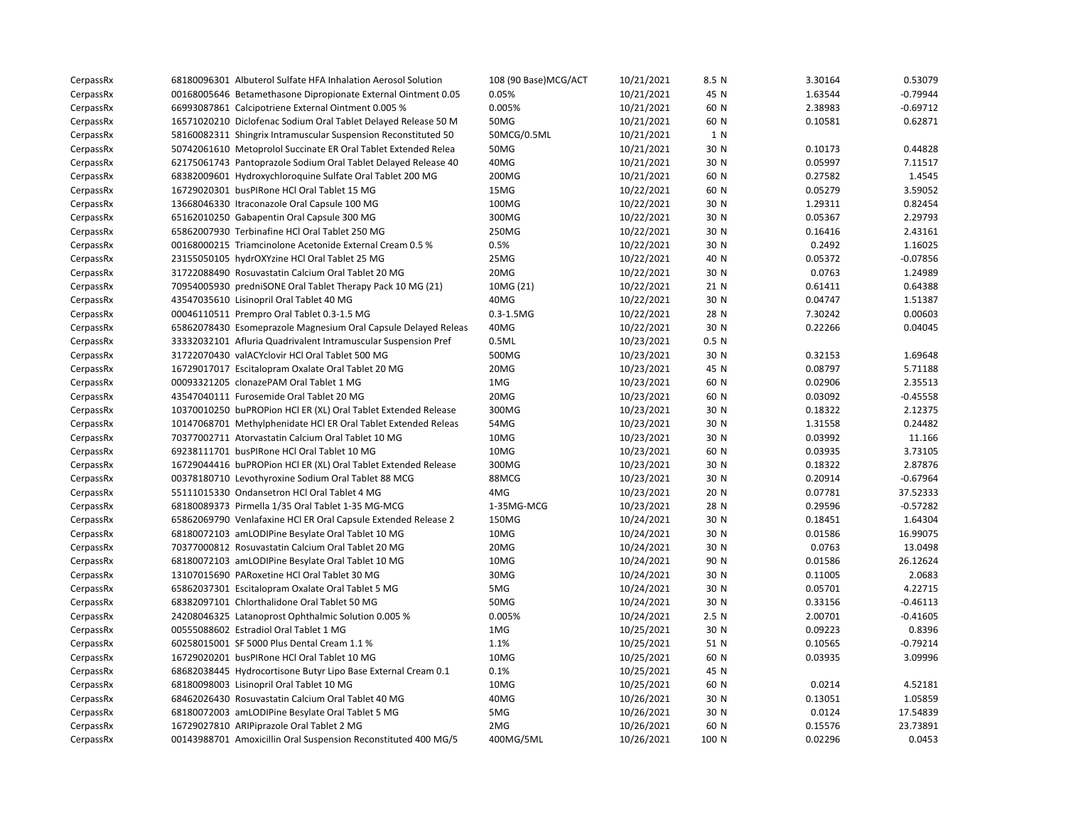| CerpassRx | 68180096301 Albuterol Sulfate HFA Inhalation Aerosol Solution  | 108 (90 Base) MCG/ACT | 10/21/2021 | 8.5 N            | 3.30164 | 0.53079    |
|-----------|----------------------------------------------------------------|-----------------------|------------|------------------|---------|------------|
| CerpassRx | 00168005646 Betamethasone Dipropionate External Ointment 0.05  | 0.05%                 | 10/21/2021 | 45 N             | 1.63544 | $-0.79944$ |
| CerpassRx | 66993087861 Calcipotriene External Ointment 0.005 %            | 0.005%                | 10/21/2021 | 60 N             | 2.38983 | $-0.69712$ |
| CerpassRx | 16571020210 Diclofenac Sodium Oral Tablet Delayed Release 50 M | 50MG                  | 10/21/2021 | 60 N             | 0.10581 | 0.62871    |
| CerpassRx | 58160082311 Shingrix Intramuscular Suspension Reconstituted 50 | 50MCG/0.5ML           | 10/21/2021 | 1 N              |         |            |
| CerpassRx | 50742061610 Metoprolol Succinate ER Oral Tablet Extended Relea | 50MG                  | 10/21/2021 | 30 N             | 0.10173 | 0.44828    |
| CerpassRx | 62175061743 Pantoprazole Sodium Oral Tablet Delayed Release 40 | 40MG                  | 10/21/2021 | 30 N             | 0.05997 | 7.11517    |
| CerpassRx | 68382009601 Hydroxychloroquine Sulfate Oral Tablet 200 MG      | 200MG                 | 10/21/2021 | 60 N             | 0.27582 | 1.4545     |
| CerpassRx | 16729020301 busPIRone HCl Oral Tablet 15 MG                    | 15MG                  | 10/22/2021 | 60 N             | 0.05279 | 3.59052    |
| CerpassRx | 13668046330 Itraconazole Oral Capsule 100 MG                   | 100MG                 | 10/22/2021 | 30 N             | 1.29311 | 0.82454    |
| CerpassRx | 65162010250 Gabapentin Oral Capsule 300 MG                     | 300MG                 | 10/22/2021 | 30 N             | 0.05367 | 2.29793    |
| CerpassRx | 65862007930 Terbinafine HCl Oral Tablet 250 MG                 | 250MG                 | 10/22/2021 | 30 N             | 0.16416 | 2.43161    |
| CerpassRx | 00168000215 Triamcinolone Acetonide External Cream 0.5 %       | 0.5%                  | 10/22/2021 | 30 N             | 0.2492  | 1.16025    |
| CerpassRx | 23155050105 hydrOXYzine HCl Oral Tablet 25 MG                  | 25MG                  | 10/22/2021 | 40 N             | 0.05372 | $-0.07856$ |
| CerpassRx | 31722088490 Rosuvastatin Calcium Oral Tablet 20 MG             | 20MG                  | 10/22/2021 | 30 N             | 0.0763  | 1.24989    |
| CerpassRx | 70954005930 predniSONE Oral Tablet Therapy Pack 10 MG (21)     | 10MG (21)             | 10/22/2021 | 21 N             | 0.61411 | 0.64388    |
| CerpassRx | 43547035610 Lisinopril Oral Tablet 40 MG                       | 40MG                  | 10/22/2021 | 30 N             | 0.04747 | 1.51387    |
| CerpassRx | 00046110511 Prempro Oral Tablet 0.3-1.5 MG                     | $0.3 - 1.5MG$         | 10/22/2021 | 28 N             | 7.30242 | 0.00603    |
| CerpassRx | 65862078430 Esomeprazole Magnesium Oral Capsule Delayed Releas | 40MG                  | 10/22/2021 | 30 N             | 0.22266 | 0.04045    |
| CerpassRx | 33332032101 Afluria Quadrivalent Intramuscular Suspension Pref | 0.5ML                 | 10/23/2021 | 0.5 <sub>N</sub> |         |            |
| CerpassRx | 31722070430 valACYclovir HCl Oral Tablet 500 MG                | 500MG                 | 10/23/2021 | 30 N             | 0.32153 | 1.69648    |
| CerpassRx | 16729017017 Escitalopram Oxalate Oral Tablet 20 MG             | 20MG                  | 10/23/2021 | 45 N             | 0.08797 | 5.71188    |
| CerpassRx | 00093321205 clonazePAM Oral Tablet 1 MG                        | 1MG                   | 10/23/2021 | 60 N             | 0.02906 | 2.35513    |
| CerpassRx | 43547040111 Furosemide Oral Tablet 20 MG                       | 20MG                  | 10/23/2021 | 60 N             | 0.03092 | $-0.45558$ |
| CerpassRx | 10370010250 buPROPion HCl ER (XL) Oral Tablet Extended Release | 300MG                 | 10/23/2021 | 30 N             | 0.18322 | 2.12375    |
| CerpassRx | 10147068701 Methylphenidate HCl ER Oral Tablet Extended Releas | 54MG                  | 10/23/2021 | 30 N             | 1.31558 | 0.24482    |
| CerpassRx | 70377002711 Atorvastatin Calcium Oral Tablet 10 MG             | 10MG                  | 10/23/2021 | 30 N             | 0.03992 | 11.166     |
| CerpassRx | 69238111701 busPIRone HCl Oral Tablet 10 MG                    | 10MG                  | 10/23/2021 | 60 N             | 0.03935 | 3.73105    |
| CerpassRx | 16729044416 buPROPion HCl ER (XL) Oral Tablet Extended Release | 300MG                 | 10/23/2021 | 30 N             | 0.18322 | 2.87876    |
| CerpassRx | 00378180710 Levothyroxine Sodium Oral Tablet 88 MCG            | 88MCG                 | 10/23/2021 | 30 N             | 0.20914 | $-0.67964$ |
| CerpassRx | 55111015330 Ondansetron HCl Oral Tablet 4 MG                   | 4MG                   | 10/23/2021 | 20 N             | 0.07781 | 37.52333   |
| CerpassRx | 68180089373 Pirmella 1/35 Oral Tablet 1-35 MG-MCG              | 1-35MG-MCG            | 10/23/2021 | 28 N             | 0.29596 | $-0.57282$ |
| CerpassRx | 65862069790 Venlafaxine HCl ER Oral Capsule Extended Release 2 | 150MG                 | 10/24/2021 | 30 N             | 0.18451 | 1.64304    |
| CerpassRx | 68180072103 amLODIPine Besylate Oral Tablet 10 MG              | 10MG                  | 10/24/2021 | 30 N             | 0.01586 | 16.99075   |
| CerpassRx | 70377000812 Rosuvastatin Calcium Oral Tablet 20 MG             | 20MG                  | 10/24/2021 | 30 N             | 0.0763  | 13.0498    |
| CerpassRx | 68180072103 amLODIPine Besylate Oral Tablet 10 MG              | 10MG                  | 10/24/2021 | 90 N             | 0.01586 | 26.12624   |
| CerpassRx | 13107015690 PARoxetine HCl Oral Tablet 30 MG                   | 30MG                  | 10/24/2021 | 30 N             | 0.11005 | 2.0683     |
| CerpassRx | 65862037301 Escitalopram Oxalate Oral Tablet 5 MG              | 5MG                   | 10/24/2021 | 30 N             | 0.05701 | 4.22715    |
| CerpassRx | 68382097101 Chlorthalidone Oral Tablet 50 MG                   | 50MG                  | 10/24/2021 | 30 N             | 0.33156 | $-0.46113$ |
| CerpassRx | 24208046325 Latanoprost Ophthalmic Solution 0.005 %            | 0.005%                | 10/24/2021 | 2.5N             | 2.00701 | $-0.41605$ |
| CerpassRx | 00555088602 Estradiol Oral Tablet 1 MG                         | 1MG                   | 10/25/2021 | 30 N             | 0.09223 | 0.8396     |
| CerpassRx | 60258015001 SF 5000 Plus Dental Cream 1.1 %                    | 1.1%                  | 10/25/2021 | 51 N             | 0.10565 | $-0.79214$ |
| CerpassRx | 16729020201 busPIRone HCl Oral Tablet 10 MG                    | 10MG                  | 10/25/2021 | 60 N             | 0.03935 | 3.09996    |
| CerpassRx | 68682038445 Hydrocortisone Butyr Lipo Base External Cream 0.1  | 0.1%                  | 10/25/2021 | 45 N             |         |            |
| CerpassRx | 68180098003 Lisinopril Oral Tablet 10 MG                       | 10MG                  | 10/25/2021 | 60 N             | 0.0214  | 4.52181    |
| CerpassRx | 68462026430 Rosuvastatin Calcium Oral Tablet 40 MG             | 40MG                  | 10/26/2021 | 30 N             | 0.13051 | 1.05859    |
| CerpassRx | 68180072003 amLODIPine Besylate Oral Tablet 5 MG               | 5MG                   | 10/26/2021 | 30 N             | 0.0124  | 17.54839   |
| CerpassRx | 16729027810 ARIPiprazole Oral Tablet 2 MG                      | 2MG                   | 10/26/2021 | 60 N             | 0.15576 | 23.73891   |
| CerpassRx | 00143988701 Amoxicillin Oral Suspension Reconstituted 400 MG/5 | 400MG/5ML             | 10/26/2021 | 100 N            | 0.02296 | 0.0453     |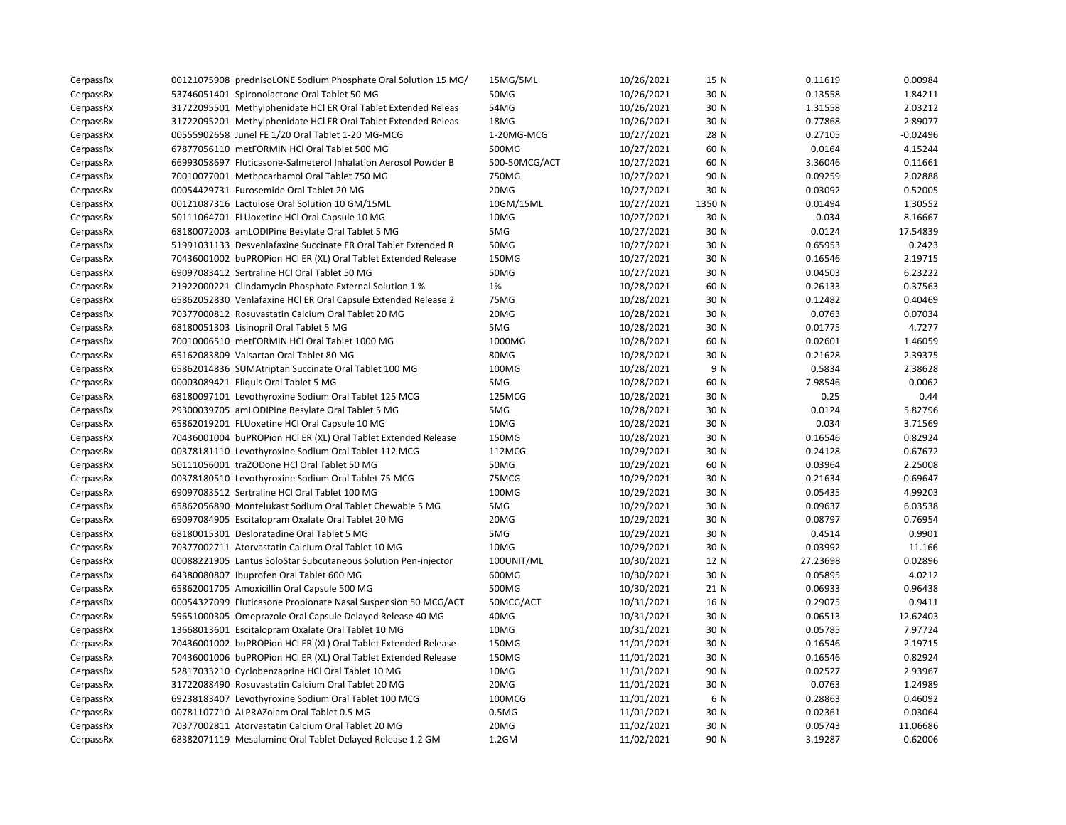| CerpassRx | 00121075908 prednisoLONE Sodium Phosphate Oral Solution 15 MG/ | 15MG/5ML          | 10/26/2021 | 15 N   | 0.11619  | 0.00984    |
|-----------|----------------------------------------------------------------|-------------------|------------|--------|----------|------------|
| CerpassRx | 53746051401 Spironolactone Oral Tablet 50 MG                   | 50MG              | 10/26/2021 | 30 N   | 0.13558  | 1.84211    |
| CerpassRx | 31722095501 Methylphenidate HCl ER Oral Tablet Extended Releas | 54MG              | 10/26/2021 | 30 N   | 1.31558  | 2.03212    |
| CerpassRx | 31722095201 Methylphenidate HCl ER Oral Tablet Extended Releas | 18MG              | 10/26/2021 | 30 N   | 0.77868  | 2.89077    |
| CerpassRx | 00555902658 Junel FE 1/20 Oral Tablet 1-20 MG-MCG              | 1-20MG-MCG        | 10/27/2021 | 28 N   | 0.27105  | $-0.02496$ |
| CerpassRx | 67877056110 metFORMIN HCl Oral Tablet 500 MG                   | 500MG             | 10/27/2021 | 60 N   | 0.0164   | 4.15244    |
| CerpassRx | 66993058697 Fluticasone-Salmeterol Inhalation Aerosol Powder B | 500-50MCG/ACT     | 10/27/2021 | 60 N   | 3.36046  | 0.11661    |
| CerpassRx | 70010077001 Methocarbamol Oral Tablet 750 MG                   | 750MG             | 10/27/2021 | 90 N   | 0.09259  | 2.02888    |
| CerpassRx | 00054429731 Furosemide Oral Tablet 20 MG                       | 20MG              | 10/27/2021 | 30 N   | 0.03092  | 0.52005    |
| CerpassRx | 00121087316 Lactulose Oral Solution 10 GM/15ML                 | 10GM/15ML         | 10/27/2021 | 1350 N | 0.01494  | 1.30552    |
| CerpassRx | 50111064701 FLUoxetine HCl Oral Capsule 10 MG                  | 10MG              | 10/27/2021 | 30 N   | 0.034    | 8.16667    |
| CerpassRx | 68180072003 amLODIPine Besylate Oral Tablet 5 MG               | 5MG               | 10/27/2021 | 30 N   | 0.0124   | 17.54839   |
| CerpassRx | 51991031133 Desvenlafaxine Succinate ER Oral Tablet Extended R | 50MG              | 10/27/2021 | 30 N   | 0.65953  | 0.2423     |
| CerpassRx | 70436001002 buPROPion HCl ER (XL) Oral Tablet Extended Release | 150MG             | 10/27/2021 | 30 N   | 0.16546  | 2.19715    |
| CerpassRx | 69097083412 Sertraline HCl Oral Tablet 50 MG                   | 50MG              | 10/27/2021 | 30 N   | 0.04503  | 6.23222    |
| CerpassRx | 21922000221 Clindamycin Phosphate External Solution 1 %        | 1%                | 10/28/2021 | 60 N   | 0.26133  | $-0.37563$ |
| CerpassRx | 65862052830 Venlafaxine HCI ER Oral Capsule Extended Release 2 | 75MG              | 10/28/2021 | 30 N   | 0.12482  | 0.40469    |
| CerpassRx | 70377000812 Rosuvastatin Calcium Oral Tablet 20 MG             | 20MG              | 10/28/2021 | 30 N   | 0.0763   | 0.07034    |
| CerpassRx | 68180051303 Lisinopril Oral Tablet 5 MG                        | 5MG               | 10/28/2021 | 30 N   | 0.01775  | 4.7277     |
| CerpassRx | 70010006510 metFORMIN HCl Oral Tablet 1000 MG                  | 1000MG            | 10/28/2021 | 60 N   | 0.02601  | 1.46059    |
| CerpassRx | 65162083809 Valsartan Oral Tablet 80 MG                        | 80MG              | 10/28/2021 | 30 N   | 0.21628  | 2.39375    |
| CerpassRx | 65862014836 SUMAtriptan Succinate Oral Tablet 100 MG           | 100MG             | 10/28/2021 | 9 N    | 0.5834   | 2.38628    |
| CerpassRx | 00003089421 Eliquis Oral Tablet 5 MG                           | 5MG               | 10/28/2021 | 60 N   | 7.98546  | 0.0062     |
| CerpassRx | 68180097101 Levothyroxine Sodium Oral Tablet 125 MCG           | 125MCG            | 10/28/2021 | 30 N   | 0.25     | 0.44       |
| CerpassRx | 29300039705 amLODIPine Besylate Oral Tablet 5 MG               | 5MG               | 10/28/2021 | 30 N   | 0.0124   | 5.82796    |
| CerpassRx | 65862019201 FLUoxetine HCl Oral Capsule 10 MG                  | 10MG              | 10/28/2021 | 30 N   | 0.034    | 3.71569    |
| CerpassRx | 70436001004 buPROPion HCl ER (XL) Oral Tablet Extended Release | 150MG             | 10/28/2021 | 30 N   | 0.16546  | 0.82924    |
| CerpassRx | 00378181110 Levothyroxine Sodium Oral Tablet 112 MCG           | 112MCG            | 10/29/2021 | 30 N   | 0.24128  | $-0.67672$ |
| CerpassRx | 50111056001 traZODone HCl Oral Tablet 50 MG                    | 50MG              | 10/29/2021 | 60 N   | 0.03964  | 2.25008    |
| CerpassRx | 00378180510 Levothyroxine Sodium Oral Tablet 75 MCG            | 75MCG             | 10/29/2021 | 30 N   | 0.21634  | $-0.69647$ |
| CerpassRx | 69097083512 Sertraline HCl Oral Tablet 100 MG                  | 100MG             | 10/29/2021 | 30 N   | 0.05435  | 4.99203    |
| CerpassRx | 65862056890 Montelukast Sodium Oral Tablet Chewable 5 MG       | 5MG               | 10/29/2021 | 30 N   | 0.09637  | 6.03538    |
| CerpassRx | 69097084905 Escitalopram Oxalate Oral Tablet 20 MG             | 20MG              | 10/29/2021 | 30 N   | 0.08797  | 0.76954    |
| CerpassRx | 68180015301 Desloratadine Oral Tablet 5 MG                     | 5MG               | 10/29/2021 | 30 N   | 0.4514   | 0.9901     |
| CerpassRx | 70377002711 Atorvastatin Calcium Oral Tablet 10 MG             | 10MG              | 10/29/2021 | 30 N   | 0.03992  | 11.166     |
| CerpassRx | 00088221905 Lantus SoloStar Subcutaneous Solution Pen-injector | 100UNIT/ML        | 10/30/2021 | 12 N   | 27.23698 | 0.02896    |
| CerpassRx | 64380080807 Ibuprofen Oral Tablet 600 MG                       | 600MG             | 10/30/2021 | 30 N   | 0.05895  | 4.0212     |
| CerpassRx | 65862001705 Amoxicillin Oral Capsule 500 MG                    | 500MG             | 10/30/2021 | 21 N   | 0.06933  | 0.96438    |
| CerpassRx | 00054327099 Fluticasone Propionate Nasal Suspension 50 MCG/ACT | 50MCG/ACT         | 10/31/2021 | 16 N   | 0.29075  | 0.9411     |
| CerpassRx | 59651000305 Omeprazole Oral Capsule Delayed Release 40 MG      | 40MG              | 10/31/2021 | 30 N   | 0.06513  | 12.62403   |
| CerpassRx | 13668013601 Escitalopram Oxalate Oral Tablet 10 MG             | 10MG              | 10/31/2021 | 30 N   | 0.05785  | 7.97724    |
| CerpassRx | 70436001002 buPROPion HCl ER (XL) Oral Tablet Extended Release | 150MG             | 11/01/2021 | 30 N   | 0.16546  | 2.19715    |
| CerpassRx | 70436001006 buPROPion HCl ER (XL) Oral Tablet Extended Release | 150MG             | 11/01/2021 | 30 N   | 0.16546  | 0.82924    |
| CerpassRx | 52817033210 Cyclobenzaprine HCl Oral Tablet 10 MG              | 10MG              | 11/01/2021 | 90 N   | 0.02527  | 2.93967    |
| CerpassRx | 31722088490 Rosuvastatin Calcium Oral Tablet 20 MG             | 20MG              | 11/01/2021 | 30 N   | 0.0763   | 1.24989    |
| CerpassRx | 69238183407 Levothyroxine Sodium Oral Tablet 100 MCG           | 100MCG            | 11/01/2021 | 6 N    | 0.28863  | 0.46092    |
| CerpassRx | 00781107710 ALPRAZolam Oral Tablet 0.5 MG                      | 0.5M <sub>G</sub> | 11/01/2021 | 30 N   | 0.02361  | 0.03064    |
| CerpassRx | 70377002811 Atorvastatin Calcium Oral Tablet 20 MG             | 20MG              | 11/02/2021 | 30 N   | 0.05743  | 11.06686   |
| CerpassRx | 68382071119 Mesalamine Oral Tablet Delayed Release 1.2 GM      | $1.2$ GM          | 11/02/2021 | 90 N   | 3.19287  | $-0.62006$ |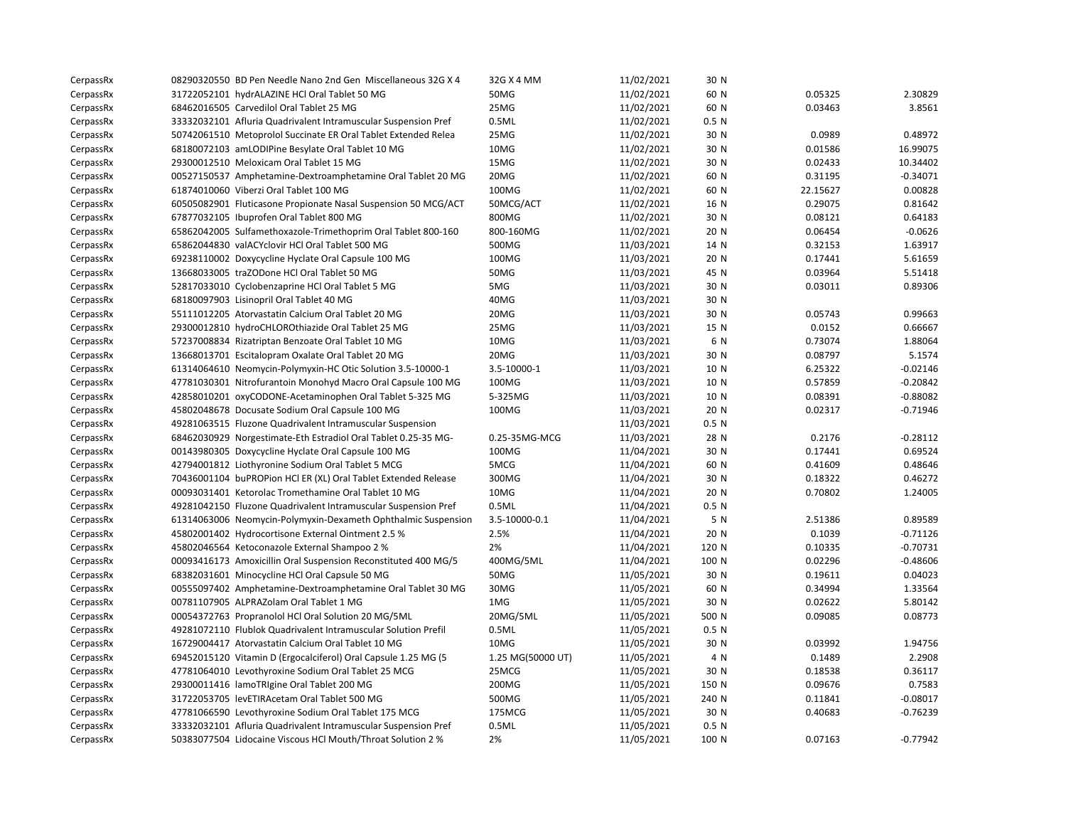| CerpassRx | 08290320550 BD Pen Needle Nano 2nd Gen Miscellaneous 32G X 4   | 32G X 4 MM        | 11/02/2021 | 30 N             |          |            |
|-----------|----------------------------------------------------------------|-------------------|------------|------------------|----------|------------|
| CerpassRx | 31722052101 hydrALAZINE HCl Oral Tablet 50 MG                  | 50MG              | 11/02/2021 | 60 N             | 0.05325  | 2.30829    |
| CerpassRx | 68462016505 Carvedilol Oral Tablet 25 MG                       | 25MG              | 11/02/2021 | 60 N             | 0.03463  | 3.8561     |
| CerpassRx | 33332032101 Afluria Quadrivalent Intramuscular Suspension Pref | 0.5ML             | 11/02/2021 | 0.5 N            |          |            |
| CerpassRx | 50742061510 Metoprolol Succinate ER Oral Tablet Extended Relea | 25MG              | 11/02/2021 | 30 N             | 0.0989   | 0.48972    |
| CerpassRx | 68180072103 amLODIPine Besylate Oral Tablet 10 MG              | 10MG              | 11/02/2021 | 30 N             | 0.01586  | 16.99075   |
| CerpassRx | 29300012510 Meloxicam Oral Tablet 15 MG                        | 15MG              | 11/02/2021 | 30 N             | 0.02433  | 10.34402   |
| CerpassRx | 00527150537 Amphetamine-Dextroamphetamine Oral Tablet 20 MG    | 20MG              | 11/02/2021 | 60 N             | 0.31195  | $-0.34071$ |
| CerpassRx | 61874010060 Viberzi Oral Tablet 100 MG                         | 100MG             | 11/02/2021 | 60 N             | 22.15627 | 0.00828    |
| CerpassRx | 60505082901 Fluticasone Propionate Nasal Suspension 50 MCG/ACT | 50MCG/ACT         | 11/02/2021 | 16 N             | 0.29075  | 0.81642    |
| CerpassRx | 67877032105 Ibuprofen Oral Tablet 800 MG                       | 800MG             | 11/02/2021 | 30 N             | 0.08121  | 0.64183    |
| CerpassRx | 65862042005 Sulfamethoxazole-Trimethoprim Oral Tablet 800-160  | 800-160MG         | 11/02/2021 | 20 N             | 0.06454  | $-0.0626$  |
| CerpassRx | 65862044830 valACYclovir HCl Oral Tablet 500 MG                | 500MG             | 11/03/2021 | 14 N             | 0.32153  | 1.63917    |
| CerpassRx | 69238110002 Doxycycline Hyclate Oral Capsule 100 MG            | 100MG             | 11/03/2021 | 20 N             | 0.17441  | 5.61659    |
| CerpassRx | 13668033005 traZODone HCl Oral Tablet 50 MG                    | <b>50MG</b>       | 11/03/2021 | 45 N             | 0.03964  | 5.51418    |
| CerpassRx | 52817033010 Cyclobenzaprine HCl Oral Tablet 5 MG               | 5MG               | 11/03/2021 | 30 N             | 0.03011  | 0.89306    |
| CerpassRx | 68180097903 Lisinopril Oral Tablet 40 MG                       | 40MG              | 11/03/2021 | 30 N             |          |            |
| CerpassRx | 55111012205 Atorvastatin Calcium Oral Tablet 20 MG             | 20MG              | 11/03/2021 | 30 N             | 0.05743  | 0.99663    |
| CerpassRx | 29300012810 hydroCHLOROthiazide Oral Tablet 25 MG              | 25MG              | 11/03/2021 | 15 N             | 0.0152   | 0.66667    |
| CerpassRx | 57237008834 Rizatriptan Benzoate Oral Tablet 10 MG             | 10MG              | 11/03/2021 | 6 N              | 0.73074  | 1.88064    |
| CerpassRx | 13668013701 Escitalopram Oxalate Oral Tablet 20 MG             | 20MG              | 11/03/2021 | 30 N             | 0.08797  | 5.1574     |
| CerpassRx | 61314064610 Neomycin-Polymyxin-HC Otic Solution 3.5-10000-1    | 3.5-10000-1       | 11/03/2021 | 10 N             | 6.25322  | $-0.02146$ |
| CerpassRx | 47781030301 Nitrofurantoin Monohyd Macro Oral Capsule 100 MG   | 100MG             | 11/03/2021 | 10 N             | 0.57859  | $-0.20842$ |
| CerpassRx | 42858010201 oxyCODONE-Acetaminophen Oral Tablet 5-325 MG       | 5-325MG           | 11/03/2021 | 10 N             | 0.08391  | $-0.88082$ |
| CerpassRx | 45802048678 Docusate Sodium Oral Capsule 100 MG                | 100MG             | 11/03/2021 | 20 N             | 0.02317  | $-0.71946$ |
| CerpassRx | 49281063515 Fluzone Quadrivalent Intramuscular Suspension      |                   | 11/03/2021 | 0.5 <sub>N</sub> |          |            |
| CerpassRx | 68462030929 Norgestimate-Eth Estradiol Oral Tablet 0.25-35 MG- | 0.25-35MG-MCG     | 11/03/2021 | 28 N             | 0.2176   | $-0.28112$ |
| CerpassRx | 00143980305 Doxycycline Hyclate Oral Capsule 100 MG            | 100MG             | 11/04/2021 | 30 N             | 0.17441  | 0.69524    |
| CerpassRx | 42794001812 Liothyronine Sodium Oral Tablet 5 MCG              | 5MCG              | 11/04/2021 | 60 N             | 0.41609  | 0.48646    |
| CerpassRx | 70436001104 buPROPion HCl ER (XL) Oral Tablet Extended Release | 300MG             | 11/04/2021 | 30 N             | 0.18322  | 0.46272    |
| CerpassRx | 00093031401 Ketorolac Tromethamine Oral Tablet 10 MG           | 10MG              | 11/04/2021 | 20 N             | 0.70802  | 1.24005    |
| CerpassRx | 49281042150 Fluzone Quadrivalent Intramuscular Suspension Pref | 0.5ML             | 11/04/2021 | 0.5 N            |          |            |
| CerpassRx | 61314063006 Neomycin-Polymyxin-Dexameth Ophthalmic Suspension  | 3.5-10000-0.1     | 11/04/2021 | 5 N              | 2.51386  | 0.89589    |
| CerpassRx | 45802001402 Hydrocortisone External Ointment 2.5 %             | 2.5%              | 11/04/2021 | 20 N             | 0.1039   | $-0.71126$ |
| CerpassRx | 45802046564 Ketoconazole External Shampoo 2 %                  | 2%                | 11/04/2021 | 120 N            | 0.10335  | $-0.70731$ |
| CerpassRx | 00093416173 Amoxicillin Oral Suspension Reconstituted 400 MG/5 | 400MG/5ML         | 11/04/2021 | 100 N            | 0.02296  | $-0.48606$ |
| CerpassRx | 68382031601 Minocycline HCl Oral Capsule 50 MG                 | 50MG              | 11/05/2021 | 30 N             | 0.19611  | 0.04023    |
| CerpassRx | 00555097402 Amphetamine-Dextroamphetamine Oral Tablet 30 MG    | 30MG              | 11/05/2021 | 60 N             | 0.34994  | 1.33564    |
| CerpassRx | 00781107905 ALPRAZolam Oral Tablet 1 MG                        | 1MG               | 11/05/2021 | 30 N             | 0.02622  | 5.80142    |
| CerpassRx | 00054372763 Propranolol HCl Oral Solution 20 MG/5ML            | 20MG/5ML          | 11/05/2021 | 500 N            | 0.09085  | 0.08773    |
| CerpassRx | 49281072110 Flublok Quadrivalent Intramuscular Solution Prefil | 0.5ML             | 11/05/2021 | 0.5 N            |          |            |
| CerpassRx | 16729004417 Atorvastatin Calcium Oral Tablet 10 MG             | 10MG              | 11/05/2021 | 30 N             | 0.03992  | 1.94756    |
| CerpassRx | 69452015120 Vitamin D (Ergocalciferol) Oral Capsule 1.25 MG (5 | 1.25 MG(50000 UT) | 11/05/2021 | 4 N              | 0.1489   | 2.2908     |
| CerpassRx | 47781064010 Levothyroxine Sodium Oral Tablet 25 MCG            | 25MCG             | 11/05/2021 | 30 N             | 0.18538  | 0.36117    |
| CerpassRx | 29300011416 lamoTRIgine Oral Tablet 200 MG                     | 200MG             | 11/05/2021 | 150 N            | 0.09676  | 0.7583     |
| CerpassRx | 31722053705 levETIRAcetam Oral Tablet 500 MG                   | 500MG             | 11/05/2021 | 240 N            | 0.11841  | $-0.08017$ |
| CerpassRx | 47781066590 Levothyroxine Sodium Oral Tablet 175 MCG           | 175MCG            | 11/05/2021 | 30 N             | 0.40683  | $-0.76239$ |
| CerpassRx | 33332032101 Afluria Quadrivalent Intramuscular Suspension Pref | 0.5ML             | 11/05/2021 | 0.5 <sub>N</sub> |          |            |
| CerpassRx | 50383077504 Lidocaine Viscous HCl Mouth/Throat Solution 2 %    | 2%                | 11/05/2021 | 100 N            | 0.07163  | $-0.77942$ |
|           |                                                                |                   |            |                  |          |            |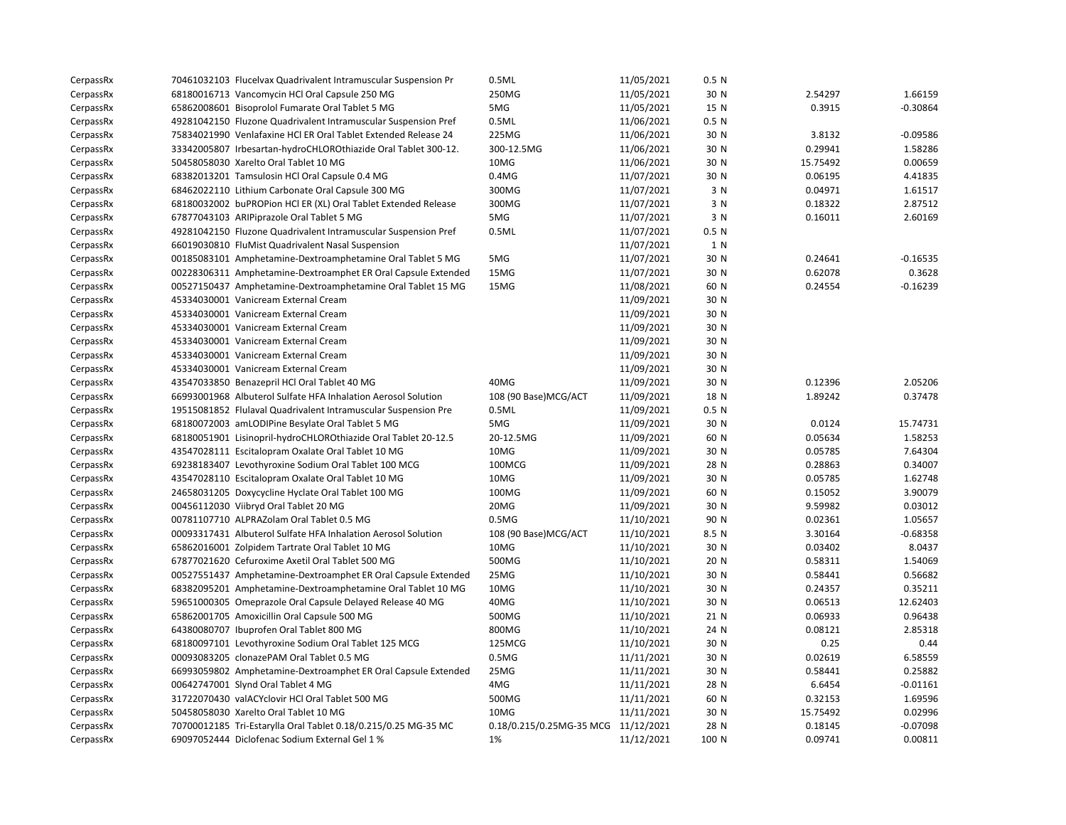| CerpassRx | 70461032103 Flucelvax Quadrivalent Intramuscular Suspension Pr | 0.5ML                               | 11/05/2021 | 0.5 <sub>N</sub> |          |            |
|-----------|----------------------------------------------------------------|-------------------------------------|------------|------------------|----------|------------|
| CerpassRx | 68180016713 Vancomycin HCl Oral Capsule 250 MG                 | 250MG                               | 11/05/2021 | 30 N             | 2.54297  | 1.66159    |
| CerpassRx | 65862008601 Bisoprolol Fumarate Oral Tablet 5 MG               | 5MG                                 | 11/05/2021 | 15 N             | 0.3915   | $-0.30864$ |
| CerpassRx | 49281042150 Fluzone Quadrivalent Intramuscular Suspension Pref | 0.5ML                               | 11/06/2021 | 0.5 <sub>N</sub> |          |            |
| CerpassRx | 75834021990 Venlafaxine HCl ER Oral Tablet Extended Release 24 | 225MG                               | 11/06/2021 | 30 N             | 3.8132   | $-0.09586$ |
| CerpassRx | 33342005807 Irbesartan-hydroCHLOROthiazide Oral Tablet 300-12. | 300-12.5MG                          | 11/06/2021 | 30 N             | 0.29941  | 1.58286    |
| CerpassRx | 50458058030 Xarelto Oral Tablet 10 MG                          | 10MG                                | 11/06/2021 | 30 N             | 15.75492 | 0.00659    |
| CerpassRx | 68382013201 Tamsulosin HCl Oral Capsule 0.4 MG                 | 0.4M <sub>G</sub>                   | 11/07/2021 | 30 N             | 0.06195  | 4.41835    |
| CerpassRx | 68462022110 Lithium Carbonate Oral Capsule 300 MG              | 300MG                               | 11/07/2021 | 3 N              | 0.04971  | 1.61517    |
| CerpassRx | 68180032002 buPROPion HCl ER (XL) Oral Tablet Extended Release | 300MG                               | 11/07/2021 | 3 N              | 0.18322  | 2.87512    |
| CerpassRx | 67877043103 ARIPiprazole Oral Tablet 5 MG                      | 5MG                                 | 11/07/2021 | 3 N              | 0.16011  | 2.60169    |
| CerpassRx | 49281042150 Fluzone Quadrivalent Intramuscular Suspension Pref | 0.5ML                               | 11/07/2021 | 0.5 <sub>N</sub> |          |            |
| CerpassRx | 66019030810 FluMist Quadrivalent Nasal Suspension              |                                     | 11/07/2021 | 1 N              |          |            |
| CerpassRx | 00185083101 Amphetamine-Dextroamphetamine Oral Tablet 5 MG     | 5MG                                 | 11/07/2021 | 30 N             | 0.24641  | $-0.16535$ |
| CerpassRx | 00228306311 Amphetamine-Dextroamphet ER Oral Capsule Extended  | 15MG                                | 11/07/2021 | 30 N             | 0.62078  | 0.3628     |
| CerpassRx | 00527150437 Amphetamine-Dextroamphetamine Oral Tablet 15 MG    | 15MG                                | 11/08/2021 | 60 N             | 0.24554  | $-0.16239$ |
| CerpassRx | 45334030001 Vanicream External Cream                           |                                     | 11/09/2021 | 30 N             |          |            |
| CerpassRx | 45334030001 Vanicream External Cream                           |                                     | 11/09/2021 | 30 N             |          |            |
| CerpassRx | 45334030001 Vanicream External Cream                           |                                     | 11/09/2021 | 30 N             |          |            |
| CerpassRx | 45334030001 Vanicream External Cream                           |                                     | 11/09/2021 | 30 N             |          |            |
| CerpassRx | 45334030001 Vanicream External Cream                           |                                     | 11/09/2021 | 30 N             |          |            |
| CerpassRx | 45334030001 Vanicream External Cream                           |                                     | 11/09/2021 | 30 N             |          |            |
| CerpassRx | 43547033850 Benazepril HCl Oral Tablet 40 MG                   | 40MG                                | 11/09/2021 | 30 N             | 0.12396  | 2.05206    |
| CerpassRx | 66993001968 Albuterol Sulfate HFA Inhalation Aerosol Solution  | 108 (90 Base) MCG/ACT               | 11/09/2021 | 18 N             | 1.89242  | 0.37478    |
| CerpassRx | 19515081852 Flulaval Quadrivalent Intramuscular Suspension Pre | 0.5ML                               | 11/09/2021 | 0.5 <sub>N</sub> |          |            |
| CerpassRx | 68180072003 amLODIPine Besylate Oral Tablet 5 MG               | 5MG                                 | 11/09/2021 | 30 N             | 0.0124   | 15.74731   |
| CerpassRx | 68180051901 Lisinopril-hydroCHLOROthiazide Oral Tablet 20-12.5 | 20-12.5MG                           | 11/09/2021 | 60 N             | 0.05634  | 1.58253    |
| CerpassRx | 43547028111 Escitalopram Oxalate Oral Tablet 10 MG             | 10MG                                | 11/09/2021 | 30 N             | 0.05785  | 7.64304    |
| CerpassRx | 69238183407 Levothyroxine Sodium Oral Tablet 100 MCG           | 100MCG                              | 11/09/2021 | 28 N             | 0.28863  | 0.34007    |
| CerpassRx | 43547028110 Escitalopram Oxalate Oral Tablet 10 MG             | 10MG                                | 11/09/2021 | 30 N             | 0.05785  | 1.62748    |
| CerpassRx | 24658031205 Doxycycline Hyclate Oral Tablet 100 MG             | 100MG                               | 11/09/2021 | 60 N             | 0.15052  | 3.90079    |
| CerpassRx | 00456112030 Viibryd Oral Tablet 20 MG                          | 20MG                                | 11/09/2021 | 30 N             | 9.59982  | 0.03012    |
| CerpassRx | 00781107710 ALPRAZolam Oral Tablet 0.5 MG                      | 0.5M <sub>G</sub>                   | 11/10/2021 | 90 N             | 0.02361  | 1.05657    |
| CerpassRx | 00093317431 Albuterol Sulfate HFA Inhalation Aerosol Solution  | 108 (90 Base) MCG/ACT               | 11/10/2021 | 8.5 N            | 3.30164  | $-0.68358$ |
| CerpassRx | 65862016001 Zolpidem Tartrate Oral Tablet 10 MG                | 10MG                                | 11/10/2021 | 30 N             | 0.03402  | 8.0437     |
| CerpassRx | 67877021620 Cefuroxime Axetil Oral Tablet 500 MG               | 500MG                               | 11/10/2021 | 20 N             | 0.58311  | 1.54069    |
| CerpassRx | 00527551437 Amphetamine-Dextroamphet ER Oral Capsule Extended  | 25MG                                | 11/10/2021 | 30 N             | 0.58441  | 0.56682    |
| CerpassRx | 68382095201 Amphetamine-Dextroamphetamine Oral Tablet 10 MG    | 10MG                                | 11/10/2021 | 30 N             | 0.24357  | 0.35211    |
| CerpassRx | 59651000305 Omeprazole Oral Capsule Delayed Release 40 MG      | 40MG                                | 11/10/2021 | 30 N             | 0.06513  | 12.62403   |
| CerpassRx | 65862001705 Amoxicillin Oral Capsule 500 MG                    | 500MG                               | 11/10/2021 | 21 N             | 0.06933  | 0.96438    |
| CerpassRx | 64380080707 Ibuprofen Oral Tablet 800 MG                       | 800MG                               | 11/10/2021 | 24 N             | 0.08121  | 2.85318    |
| CerpassRx | 68180097101 Levothyroxine Sodium Oral Tablet 125 MCG           | 125MCG                              | 11/10/2021 | 30 N             | 0.25     | 0.44       |
| CerpassRx | 00093083205 clonazePAM Oral Tablet 0.5 MG                      | 0.5M <sub>G</sub>                   | 11/11/2021 | 30 N             | 0.02619  | 6.58559    |
| CerpassRx | 66993059802 Amphetamine-Dextroamphet ER Oral Capsule Extended  | 25MG                                | 11/11/2021 | 30 N             | 0.58441  | 0.25882    |
| CerpassRx | 00642747001 Slynd Oral Tablet 4 MG                             | 4MG                                 | 11/11/2021 | 28 N             | 6.6454   | $-0.01161$ |
| CerpassRx | 31722070430 valACYclovir HCl Oral Tablet 500 MG                | 500MG                               | 11/11/2021 | 60 N             | 0.32153  | 1.69596    |
| CerpassRx | 50458058030 Xarelto Oral Tablet 10 MG                          | 10MG                                | 11/11/2021 | 30 N             | 15.75492 | 0.02996    |
| CerpassRx | 70700012185 Tri-Estarylla Oral Tablet 0.18/0.215/0.25 MG-35 MC | 0.18/0.215/0.25MG-35 MCG 11/12/2021 |            | 28 N             | 0.18145  | $-0.07098$ |
| CerpassRx | 69097052444 Diclofenac Sodium External Gel 1 %                 | 1%                                  | 11/12/2021 | 100 N            | 0.09741  | 0.00811    |
|           |                                                                |                                     |            |                  |          |            |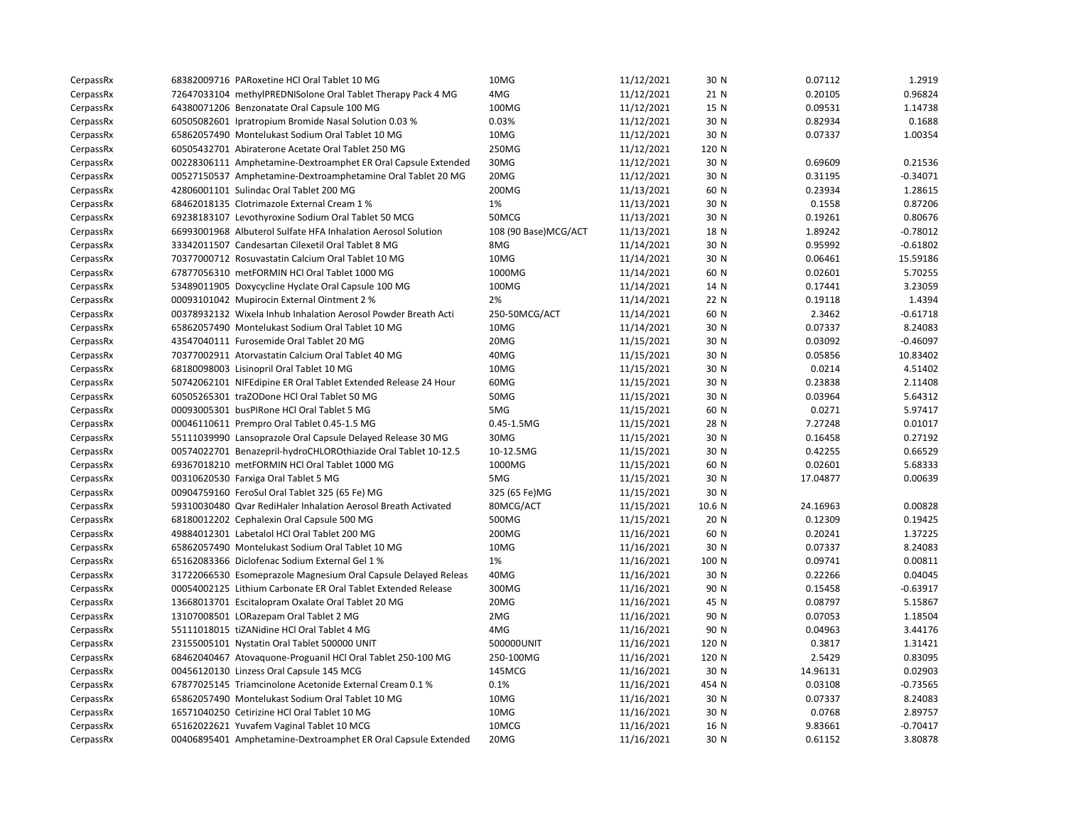| CerpassRx | 68382009716 PARoxetine HCl Oral Tablet 10 MG                   | 10MG                  | 11/12/2021 | 30 N   | 0.07112  | 1.2919     |
|-----------|----------------------------------------------------------------|-----------------------|------------|--------|----------|------------|
| CerpassRx | 72647033104 methylPREDNISolone Oral Tablet Therapy Pack 4 MG   | 4MG                   | 11/12/2021 | 21 N   | 0.20105  | 0.96824    |
| CerpassRx | 64380071206 Benzonatate Oral Capsule 100 MG                    | 100MG                 | 11/12/2021 | 15 N   | 0.09531  | 1.14738    |
| CerpassRx | 60505082601 Ipratropium Bromide Nasal Solution 0.03 %          | 0.03%                 | 11/12/2021 | 30 N   | 0.82934  | 0.1688     |
| CerpassRx | 65862057490 Montelukast Sodium Oral Tablet 10 MG               | 10MG                  | 11/12/2021 | 30 N   | 0.07337  | 1.00354    |
| CerpassRx | 60505432701 Abiraterone Acetate Oral Tablet 250 MG             | 250MG                 | 11/12/2021 | 120 N  |          |            |
| CerpassRx | 00228306111 Amphetamine-Dextroamphet ER Oral Capsule Extended  | 30MG                  | 11/12/2021 | 30 N   | 0.69609  | 0.21536    |
| CerpassRx | 00527150537 Amphetamine-Dextroamphetamine Oral Tablet 20 MG    | 20MG                  | 11/12/2021 | 30 N   | 0.31195  | $-0.34071$ |
| CerpassRx | 42806001101 Sulindac Oral Tablet 200 MG                        | 200MG                 | 11/13/2021 | 60 N   | 0.23934  | 1.28615    |
| CerpassRx | 68462018135 Clotrimazole External Cream 1 %                    | 1%                    | 11/13/2021 | 30 N   | 0.1558   | 0.87206    |
| CerpassRx | 69238183107 Levothyroxine Sodium Oral Tablet 50 MCG            | 50MCG                 | 11/13/2021 | 30 N   | 0.19261  | 0.80676    |
| CerpassRx | 66993001968 Albuterol Sulfate HFA Inhalation Aerosol Solution  | 108 (90 Base) MCG/ACT | 11/13/2021 | 18 N   | 1.89242  | $-0.78012$ |
| CerpassRx | 33342011507 Candesartan Cilexetil Oral Tablet 8 MG             | 8MG                   | 11/14/2021 | 30 N   | 0.95992  | $-0.61802$ |
| CerpassRx | 70377000712 Rosuvastatin Calcium Oral Tablet 10 MG             | 10MG                  | 11/14/2021 | 30 N   | 0.06461  | 15.59186   |
| CerpassRx | 67877056310 metFORMIN HCl Oral Tablet 1000 MG                  | 1000MG                | 11/14/2021 | 60 N   | 0.02601  | 5.70255    |
| CerpassRx | 53489011905 Doxycycline Hyclate Oral Capsule 100 MG            | 100MG                 | 11/14/2021 | 14 N   | 0.17441  | 3.23059    |
| CerpassRx | 00093101042 Mupirocin External Ointment 2 %                    | 2%                    | 11/14/2021 | 22 N   | 0.19118  | 1.4394     |
| CerpassRx | 00378932132 Wixela Inhub Inhalation Aerosol Powder Breath Acti | 250-50MCG/ACT         | 11/14/2021 | 60 N   | 2.3462   | $-0.61718$ |
| CerpassRx | 65862057490 Montelukast Sodium Oral Tablet 10 MG               | 10MG                  | 11/14/2021 | 30 N   | 0.07337  | 8.24083    |
| CerpassRx | 43547040111 Furosemide Oral Tablet 20 MG                       | 20MG                  | 11/15/2021 | 30 N   | 0.03092  | $-0.46097$ |
| CerpassRx | 70377002911 Atorvastatin Calcium Oral Tablet 40 MG             | 40MG                  | 11/15/2021 | 30 N   | 0.05856  | 10.83402   |
| CerpassRx | 68180098003 Lisinopril Oral Tablet 10 MG                       | 10MG                  | 11/15/2021 | 30 N   | 0.0214   | 4.51402    |
| CerpassRx | 50742062101 NIFEdipine ER Oral Tablet Extended Release 24 Hour | 60MG                  | 11/15/2021 | 30 N   | 0.23838  | 2.11408    |
| CerpassRx | 60505265301 traZODone HCl Oral Tablet 50 MG                    | 50MG                  | 11/15/2021 | 30 N   | 0.03964  | 5.64312    |
| CerpassRx | 00093005301 busPIRone HCl Oral Tablet 5 MG                     | 5MG                   | 11/15/2021 | 60 N   | 0.0271   | 5.97417    |
| CerpassRx | 00046110611 Prempro Oral Tablet 0.45-1.5 MG                    | $0.45 - 1.5MG$        | 11/15/2021 | 28 N   | 7.27248  | 0.01017    |
| CerpassRx | 55111039990 Lansoprazole Oral Capsule Delayed Release 30 MG    | 30MG                  | 11/15/2021 | 30 N   | 0.16458  | 0.27192    |
| CerpassRx | 00574022701 Benazepril-hydroCHLOROthiazide Oral Tablet 10-12.5 | 10-12.5MG             | 11/15/2021 | 30 N   | 0.42255  | 0.66529    |
| CerpassRx | 69367018210 metFORMIN HCl Oral Tablet 1000 MG                  | 1000MG                | 11/15/2021 | 60 N   | 0.02601  | 5.68333    |
| CerpassRx | 00310620530 Farxiga Oral Tablet 5 MG                           | 5MG                   | 11/15/2021 | 30 N   | 17.04877 | 0.00639    |
| CerpassRx | 00904759160 FeroSul Oral Tablet 325 (65 Fe) MG                 | 325 (65 Fe)MG         | 11/15/2021 | 30 N   |          |            |
| CerpassRx | 59310030480 Qvar RediHaler Inhalation Aerosol Breath Activated | 80MCG/ACT             | 11/15/2021 | 10.6 N | 24.16963 | 0.00828    |
| CerpassRx | 68180012202 Cephalexin Oral Capsule 500 MG                     | 500MG                 | 11/15/2021 | 20 N   | 0.12309  | 0.19425    |
| CerpassRx | 49884012301 Labetalol HCl Oral Tablet 200 MG                   | 200MG                 | 11/16/2021 | 60 N   | 0.20241  | 1.37225    |
| CerpassRx | 65862057490 Montelukast Sodium Oral Tablet 10 MG               | 10MG                  | 11/16/2021 | 30 N   | 0.07337  | 8.24083    |
| CerpassRx | 65162083366 Diclofenac Sodium External Gel 1 %                 | 1%                    | 11/16/2021 | 100 N  | 0.09741  | 0.00811    |
| CerpassRx | 31722066530 Esomeprazole Magnesium Oral Capsule Delayed Releas | 40MG                  | 11/16/2021 | 30 N   | 0.22266  | 0.04045    |
| CerpassRx | 00054002125 Lithium Carbonate ER Oral Tablet Extended Release  | 300MG                 | 11/16/2021 | 90 N   | 0.15458  | $-0.63917$ |
| CerpassRx | 13668013701 Escitalopram Oxalate Oral Tablet 20 MG             | 20MG                  | 11/16/2021 | 45 N   | 0.08797  | 5.15867    |
| CerpassRx | 13107008501 LORazepam Oral Tablet 2 MG                         | 2MG                   | 11/16/2021 | 90 N   | 0.07053  | 1.18504    |
| CerpassRx | 55111018015 tiZANidine HCl Oral Tablet 4 MG                    | 4MG                   | 11/16/2021 | 90 N   | 0.04963  | 3.44176    |
| CerpassRx | 23155005101 Nystatin Oral Tablet 500000 UNIT                   | 500000UNIT            | 11/16/2021 | 120 N  | 0.3817   | 1.31421    |
| CerpassRx | 68462040467 Atovaquone-Proguanil HCl Oral Tablet 250-100 MG    | 250-100MG             | 11/16/2021 | 120 N  | 2.5429   | 0.83095    |
| CerpassRx | 00456120130 Linzess Oral Capsule 145 MCG                       | 145MCG                | 11/16/2021 | 30 N   | 14.96131 | 0.02903    |
| CerpassRx | 67877025145 Triamcinolone Acetonide External Cream 0.1 %       | 0.1%                  | 11/16/2021 | 454 N  | 0.03108  | $-0.73565$ |
| CerpassRx | 65862057490 Montelukast Sodium Oral Tablet 10 MG               | 10MG                  | 11/16/2021 | 30 N   | 0.07337  | 8.24083    |
| CerpassRx | 16571040250 Cetirizine HCl Oral Tablet 10 MG                   | 10MG                  | 11/16/2021 | 30 N   | 0.0768   | 2.89757    |
| CerpassRx | 65162022621 Yuvafem Vaginal Tablet 10 MCG                      | 10MCG                 | 11/16/2021 | 16 N   | 9.83661  | $-0.70417$ |
| CerpassRx | 00406895401 Amphetamine-Dextroamphet ER Oral Capsule Extended  | 20MG                  | 11/16/2021 | 30 N   | 0.61152  | 3.80878    |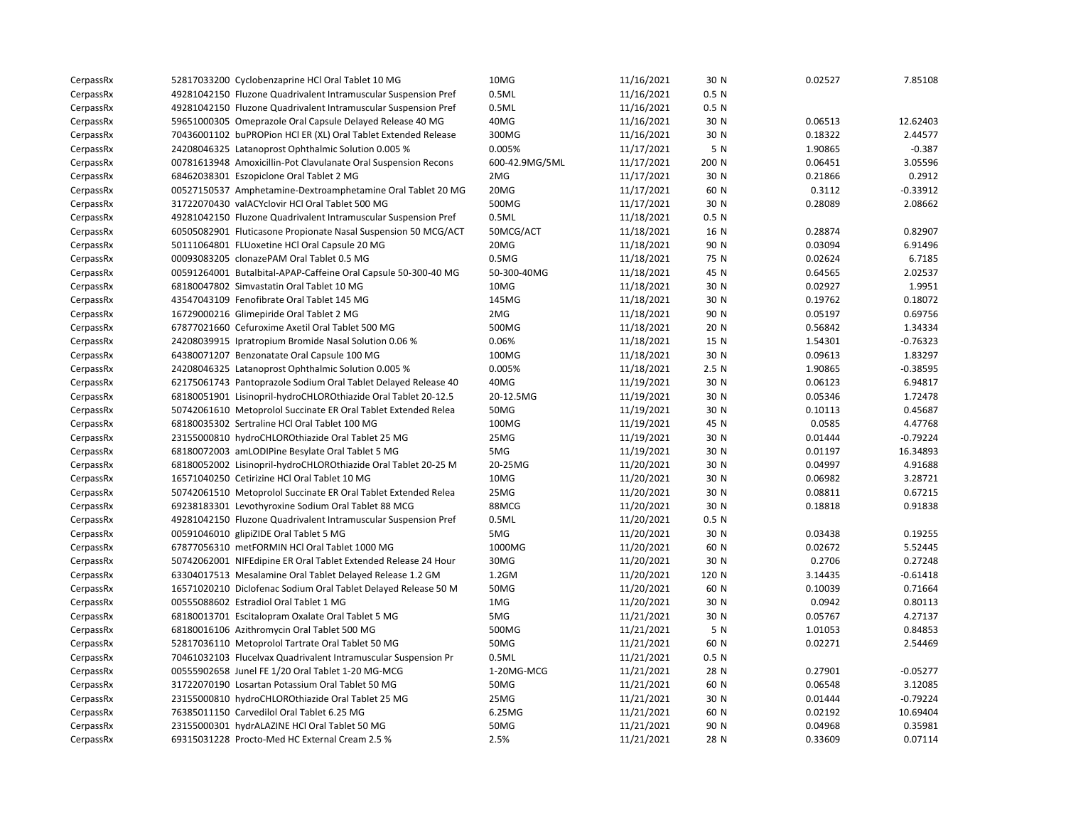| CerpassRx | 52817033200 Cyclobenzaprine HCl Oral Tablet 10 MG              | 10MG              | 11/16/2021 | 30 N             | 0.02527 | 7.85108    |
|-----------|----------------------------------------------------------------|-------------------|------------|------------------|---------|------------|
| CerpassRx | 49281042150 Fluzone Quadrivalent Intramuscular Suspension Pref | 0.5ML             | 11/16/2021 | 0.5 <sub>N</sub> |         |            |
| CerpassRx | 49281042150 Fluzone Quadrivalent Intramuscular Suspension Pref | 0.5ML             | 11/16/2021 | 0.5 <sub>N</sub> |         |            |
| CerpassRx | 59651000305 Omeprazole Oral Capsule Delayed Release 40 MG      | 40MG              | 11/16/2021 | 30 N             | 0.06513 | 12.62403   |
| CerpassRx | 70436001102 buPROPion HCl ER (XL) Oral Tablet Extended Release | 300MG             | 11/16/2021 | 30 N             | 0.18322 | 2.44577    |
| CerpassRx | 24208046325 Latanoprost Ophthalmic Solution 0.005 %            | 0.005%            | 11/17/2021 | 5 N              | 1.90865 | $-0.387$   |
| CerpassRx | 00781613948 Amoxicillin-Pot Clavulanate Oral Suspension Recons | 600-42.9MG/5ML    | 11/17/2021 | 200 N            | 0.06451 | 3.05596    |
| CerpassRx | 68462038301 Eszopiclone Oral Tablet 2 MG                       | 2MG               | 11/17/2021 | 30 N             | 0.21866 | 0.2912     |
| CerpassRx | 00527150537 Amphetamine-Dextroamphetamine Oral Tablet 20 MG    | 20MG              | 11/17/2021 | 60 N             | 0.3112  | $-0.33912$ |
| CerpassRx | 31722070430 valACYclovir HCl Oral Tablet 500 MG                | 500MG             | 11/17/2021 | 30 N             | 0.28089 | 2.08662    |
| CerpassRx | 49281042150 Fluzone Quadrivalent Intramuscular Suspension Pref | 0.5ML             | 11/18/2021 | 0.5 <sub>N</sub> |         |            |
| CerpassRx | 60505082901 Fluticasone Propionate Nasal Suspension 50 MCG/ACT | 50MCG/ACT         | 11/18/2021 | 16 N             | 0.28874 | 0.82907    |
| CerpassRx | 50111064801 FLUoxetine HCl Oral Capsule 20 MG                  | 20MG              | 11/18/2021 | 90 N             | 0.03094 | 6.91496    |
| CerpassRx | 00093083205 clonazePAM Oral Tablet 0.5 MG                      | 0.5M <sub>G</sub> | 11/18/2021 | 75 N             | 0.02624 | 6.7185     |
| CerpassRx | 00591264001 Butalbital-APAP-Caffeine Oral Capsule 50-300-40 MG | 50-300-40MG       | 11/18/2021 | 45 N             | 0.64565 | 2.02537    |
| CerpassRx | 68180047802 Simvastatin Oral Tablet 10 MG                      | 10MG              | 11/18/2021 | 30 N             | 0.02927 | 1.9951     |
| CerpassRx | 43547043109 Fenofibrate Oral Tablet 145 MG                     | 145MG             | 11/18/2021 | 30 N             | 0.19762 | 0.18072    |
| CerpassRx | 16729000216 Glimepiride Oral Tablet 2 MG                       | 2MG               | 11/18/2021 | 90 N             | 0.05197 | 0.69756    |
| CerpassRx | 67877021660 Cefuroxime Axetil Oral Tablet 500 MG               | 500MG             | 11/18/2021 | 20 N             | 0.56842 | 1.34334    |
| CerpassRx | 24208039915 Ipratropium Bromide Nasal Solution 0.06 %          | 0.06%             | 11/18/2021 | 15 N             | 1.54301 | $-0.76323$ |
| CerpassRx | 64380071207 Benzonatate Oral Capsule 100 MG                    | 100MG             | 11/18/2021 | 30 N             | 0.09613 | 1.83297    |
| CerpassRx | 24208046325 Latanoprost Ophthalmic Solution 0.005 %            | 0.005%            | 11/18/2021 | 2.5N             | 1.90865 | $-0.38595$ |
| CerpassRx | 62175061743 Pantoprazole Sodium Oral Tablet Delayed Release 40 | 40MG              | 11/19/2021 | 30 N             | 0.06123 | 6.94817    |
| CerpassRx | 68180051901 Lisinopril-hydroCHLOROthiazide Oral Tablet 20-12.5 | 20-12.5MG         | 11/19/2021 | 30 N             | 0.05346 | 1.72478    |
| CerpassRx | 50742061610 Metoprolol Succinate ER Oral Tablet Extended Relea | 50MG              | 11/19/2021 | 30 N             | 0.10113 | 0.45687    |
| CerpassRx | 68180035302 Sertraline HCl Oral Tablet 100 MG                  | 100MG             | 11/19/2021 | 45 N             | 0.0585  | 4.47768    |
| CerpassRx | 23155000810 hydroCHLOROthiazide Oral Tablet 25 MG              | 25MG              | 11/19/2021 | 30 N             | 0.01444 | $-0.79224$ |
| CerpassRx | 68180072003 amLODIPine Besylate Oral Tablet 5 MG               | 5MG               | 11/19/2021 | 30 N             | 0.01197 | 16.34893   |
| CerpassRx | 68180052002 Lisinopril-hydroCHLOROthiazide Oral Tablet 20-25 M | 20-25MG           | 11/20/2021 | 30 N             | 0.04997 | 4.91688    |
| CerpassRx | 16571040250 Cetirizine HCl Oral Tablet 10 MG                   | 10MG              | 11/20/2021 | 30 N             | 0.06982 | 3.28721    |
| CerpassRx | 50742061510 Metoprolol Succinate ER Oral Tablet Extended Relea | 25MG              | 11/20/2021 | 30 N             | 0.08811 | 0.67215    |
| CerpassRx | 69238183301 Levothyroxine Sodium Oral Tablet 88 MCG            | 88MCG             | 11/20/2021 | 30 N             | 0.18818 | 0.91838    |
| CerpassRx | 49281042150 Fluzone Quadrivalent Intramuscular Suspension Pref | 0.5ML             | 11/20/2021 | 0.5 <sub>N</sub> |         |            |
| CerpassRx | 00591046010 glipiZIDE Oral Tablet 5 MG                         | 5MG               | 11/20/2021 | 30 N             | 0.03438 | 0.19255    |
| CerpassRx | 67877056310 metFORMIN HCl Oral Tablet 1000 MG                  | 1000MG            | 11/20/2021 | 60 N             | 0.02672 | 5.52445    |
| CerpassRx | 50742062001 NIFEdipine ER Oral Tablet Extended Release 24 Hour | 30MG              | 11/20/2021 | 30 N             | 0.2706  | 0.27248    |
| CerpassRx | 63304017513 Mesalamine Oral Tablet Delayed Release 1.2 GM      | $1.2$ GM          | 11/20/2021 | 120 N            | 3.14435 | $-0.61418$ |
| CerpassRx | 16571020210 Diclofenac Sodium Oral Tablet Delayed Release 50 M | 50MG              | 11/20/2021 | 60 N             | 0.10039 | 0.71664    |
| CerpassRx | 00555088602 Estradiol Oral Tablet 1 MG                         | 1MG               | 11/20/2021 | 30 N             | 0.0942  | 0.80113    |
| CerpassRx | 68180013701 Escitalopram Oxalate Oral Tablet 5 MG              | 5MG               | 11/21/2021 | 30 N             | 0.05767 | 4.27137    |
| CerpassRx | 68180016106 Azithromycin Oral Tablet 500 MG                    | 500MG             | 11/21/2021 | 5 N              | 1.01053 | 0.84853    |
| CerpassRx | 52817036110 Metoprolol Tartrate Oral Tablet 50 MG              | 50MG              | 11/21/2021 | 60 N             | 0.02271 | 2.54469    |
| CerpassRx | 70461032103 Flucelvax Quadrivalent Intramuscular Suspension Pr | 0.5ML             | 11/21/2021 | 0.5 <sub>N</sub> |         |            |
| CerpassRx | 00555902658 Junel FE 1/20 Oral Tablet 1-20 MG-MCG              | 1-20MG-MCG        | 11/21/2021 | 28 N             | 0.27901 | $-0.05277$ |
| CerpassRx | 31722070190 Losartan Potassium Oral Tablet 50 MG               | 50MG              | 11/21/2021 | 60 N             | 0.06548 | 3.12085    |
| CerpassRx | 23155000810 hydroCHLOROthiazide Oral Tablet 25 MG              | 25MG              | 11/21/2021 | 30 N             | 0.01444 | $-0.79224$ |
| CerpassRx | 76385011150 Carvedilol Oral Tablet 6.25 MG                     | 6.25MG            | 11/21/2021 | 60 N             | 0.02192 | 10.69404   |
| CerpassRx | 23155000301 hydrALAZINE HCl Oral Tablet 50 MG                  | 50MG              | 11/21/2021 | 90 N             | 0.04968 | 0.35981    |
| CerpassRx | 69315031228 Procto-Med HC External Cream 2.5 %                 | 2.5%              | 11/21/2021 | 28 N             | 0.33609 | 0.07114    |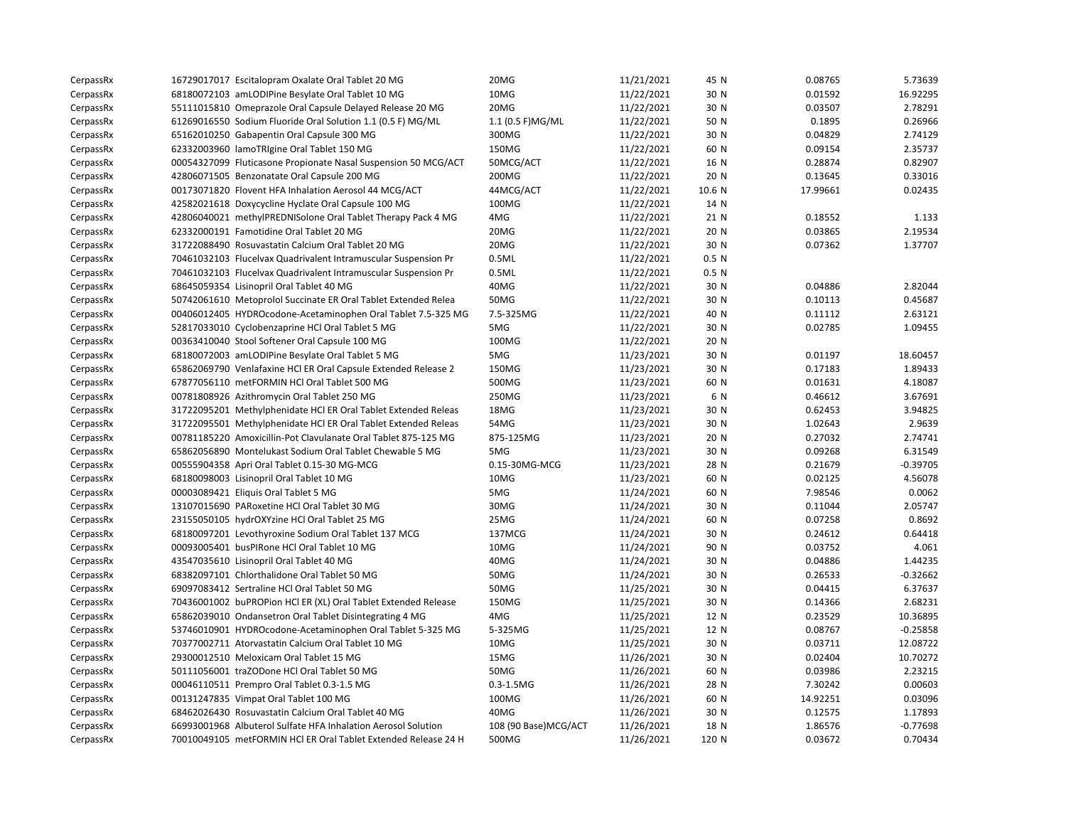| CerpassRx | 16729017017 Escitalopram Oxalate Oral Tablet 20 MG             | 20MG                  | 11/21/2021 | 45 N             | 0.08765  | 5.73639    |
|-----------|----------------------------------------------------------------|-----------------------|------------|------------------|----------|------------|
| CerpassRx | 68180072103 amLODIPine Besylate Oral Tablet 10 MG              | 10MG                  | 11/22/2021 | 30 N             | 0.01592  | 16.92295   |
| CerpassRx | 55111015810 Omeprazole Oral Capsule Delayed Release 20 MG      | 20MG                  | 11/22/2021 | 30 N             | 0.03507  | 2.78291    |
| CerpassRx | 61269016550 Sodium Fluoride Oral Solution 1.1 (0.5 F) MG/ML    | 1.1 (0.5 F)MG/ML      | 11/22/2021 | 50 N             | 0.1895   | 0.26966    |
| CerpassRx | 65162010250 Gabapentin Oral Capsule 300 MG                     | 300MG                 | 11/22/2021 | 30 N             | 0.04829  | 2.74129    |
| CerpassRx | 62332003960 lamoTRIgine Oral Tablet 150 MG                     | 150MG                 | 11/22/2021 | 60 N             | 0.09154  | 2.35737    |
| CerpassRx | 00054327099 Fluticasone Propionate Nasal Suspension 50 MCG/ACT | 50MCG/ACT             | 11/22/2021 | 16 N             | 0.28874  | 0.82907    |
| CerpassRx | 42806071505 Benzonatate Oral Capsule 200 MG                    | 200MG                 | 11/22/2021 | 20 N             | 0.13645  | 0.33016    |
| CerpassRx | 00173071820 Flovent HFA Inhalation Aerosol 44 MCG/ACT          | 44MCG/ACT             | 11/22/2021 | 10.6 N           | 17.99661 | 0.02435    |
| CerpassRx | 42582021618 Doxycycline Hyclate Oral Capsule 100 MG            | 100MG                 | 11/22/2021 | 14 N             |          |            |
| CerpassRx | 42806040021 methylPREDNISolone Oral Tablet Therapy Pack 4 MG   | 4MG                   | 11/22/2021 | 21 N             | 0.18552  | 1.133      |
| CerpassRx | 62332000191 Famotidine Oral Tablet 20 MG                       | 20MG                  | 11/22/2021 | 20 N             | 0.03865  | 2.19534    |
| CerpassRx | 31722088490 Rosuvastatin Calcium Oral Tablet 20 MG             | 20MG                  | 11/22/2021 | 30 N             | 0.07362  | 1.37707    |
| CerpassRx | 70461032103 Flucelvax Quadrivalent Intramuscular Suspension Pr | 0.5ML                 | 11/22/2021 | 0.5 <sub>N</sub> |          |            |
| CerpassRx | 70461032103 Flucelvax Quadrivalent Intramuscular Suspension Pr | 0.5ML                 | 11/22/2021 | 0.5 <sub>N</sub> |          |            |
| CerpassRx | 68645059354 Lisinopril Oral Tablet 40 MG                       | 40MG                  | 11/22/2021 | 30 N             | 0.04886  | 2.82044    |
| CerpassRx | 50742061610 Metoprolol Succinate ER Oral Tablet Extended Relea | 50MG                  | 11/22/2021 | 30 N             | 0.10113  | 0.45687    |
| CerpassRx | 00406012405 HYDROcodone-Acetaminophen Oral Tablet 7.5-325 MG   | 7.5-325MG             | 11/22/2021 | 40 N             | 0.11112  | 2.63121    |
| CerpassRx | 52817033010 Cyclobenzaprine HCl Oral Tablet 5 MG               | 5MG                   | 11/22/2021 | 30 N             | 0.02785  | 1.09455    |
| CerpassRx | 00363410040 Stool Softener Oral Capsule 100 MG                 | 100MG                 | 11/22/2021 | 20 N             |          |            |
| CerpassRx | 68180072003 amLODIPine Besylate Oral Tablet 5 MG               | 5MG                   | 11/23/2021 | 30 N             | 0.01197  | 18.60457   |
| CerpassRx | 65862069790 Venlafaxine HCl ER Oral Capsule Extended Release 2 | 150MG                 | 11/23/2021 | 30 N             | 0.17183  | 1.89433    |
| CerpassRx | 67877056110 metFORMIN HCl Oral Tablet 500 MG                   | 500MG                 | 11/23/2021 | 60 N             | 0.01631  | 4.18087    |
| CerpassRx | 00781808926 Azithromycin Oral Tablet 250 MG                    | 250MG                 | 11/23/2021 | 6 N              | 0.46612  | 3.67691    |
| CerpassRx | 31722095201 Methylphenidate HCl ER Oral Tablet Extended Releas | 18MG                  | 11/23/2021 | 30 N             | 0.62453  | 3.94825    |
| CerpassRx | 31722095501 Methylphenidate HCl ER Oral Tablet Extended Releas | 54MG                  | 11/23/2021 | 30 N             | 1.02643  | 2.9639     |
| CerpassRx | 00781185220 Amoxicillin-Pot Clavulanate Oral Tablet 875-125 MG | 875-125MG             | 11/23/2021 | 20 N             | 0.27032  | 2.74741    |
| CerpassRx | 65862056890 Montelukast Sodium Oral Tablet Chewable 5 MG       | 5MG                   | 11/23/2021 | 30 N             | 0.09268  | 6.31549    |
| CerpassRx | 00555904358 Apri Oral Tablet 0.15-30 MG-MCG                    | 0.15-30MG-MCG         | 11/23/2021 | 28 N             | 0.21679  | $-0.39705$ |
| CerpassRx | 68180098003 Lisinopril Oral Tablet 10 MG                       | 10MG                  | 11/23/2021 | 60 N             | 0.02125  | 4.56078    |
| CerpassRx | 00003089421 Eliquis Oral Tablet 5 MG                           | 5MG                   | 11/24/2021 | 60 N             | 7.98546  | 0.0062     |
| CerpassRx | 13107015690 PARoxetine HCl Oral Tablet 30 MG                   | 30MG                  | 11/24/2021 | 30 N             | 0.11044  | 2.05747    |
| CerpassRx | 23155050105 hydrOXYzine HCl Oral Tablet 25 MG                  | 25MG                  | 11/24/2021 | 60 N             | 0.07258  | 0.8692     |
| CerpassRx | 68180097201 Levothyroxine Sodium Oral Tablet 137 MCG           | 137MCG                | 11/24/2021 | 30 N             | 0.24612  | 0.64418    |
| CerpassRx | 00093005401 busPIRone HCl Oral Tablet 10 MG                    | 10MG                  | 11/24/2021 | 90 N             | 0.03752  | 4.061      |
| CerpassRx | 43547035610 Lisinopril Oral Tablet 40 MG                       | 40MG                  | 11/24/2021 | 30 N             | 0.04886  | 1.44235    |
| CerpassRx | 68382097101 Chlorthalidone Oral Tablet 50 MG                   | 50MG                  | 11/24/2021 | 30 N             | 0.26533  | $-0.32662$ |
| CerpassRx | 69097083412 Sertraline HCl Oral Tablet 50 MG                   | 50MG                  | 11/25/2021 | 30 N             | 0.04415  | 6.37637    |
| CerpassRx | 70436001002 buPROPion HCl ER (XL) Oral Tablet Extended Release | 150MG                 | 11/25/2021 | 30 N             | 0.14366  | 2.68231    |
| CerpassRx | 65862039010 Ondansetron Oral Tablet Disintegrating 4 MG        | 4MG                   | 11/25/2021 | 12 N             | 0.23529  | 10.36895   |
| CerpassRx | 53746010901 HYDROcodone-Acetaminophen Oral Tablet 5-325 MG     | 5-325MG               | 11/25/2021 | 12 N             | 0.08767  | $-0.25858$ |
| CerpassRx | 70377002711 Atorvastatin Calcium Oral Tablet 10 MG             | 10MG                  | 11/25/2021 | 30 N             | 0.03711  | 12.08722   |
| CerpassRx | 29300012510 Meloxicam Oral Tablet 15 MG                        | 15MG                  | 11/26/2021 | 30 N             | 0.02404  | 10.70272   |
| CerpassRx | 50111056001 traZODone HCl Oral Tablet 50 MG                    | 50MG                  | 11/26/2021 | 60 N             | 0.03986  | 2.23215    |
| CerpassRx | 00046110511 Prempro Oral Tablet 0.3-1.5 MG                     | $0.3 - 1.5MG$         | 11/26/2021 | 28 N             | 7.30242  | 0.00603    |
| CerpassRx | 00131247835 Vimpat Oral Tablet 100 MG                          | 100MG                 | 11/26/2021 | 60 N             | 14.92251 | 0.03096    |
| CerpassRx | 68462026430 Rosuvastatin Calcium Oral Tablet 40 MG             | 40MG                  | 11/26/2021 | 30 N             | 0.12575  | 1.17893    |
| CerpassRx | 66993001968 Albuterol Sulfate HFA Inhalation Aerosol Solution  | 108 (90 Base) MCG/ACT | 11/26/2021 | 18 N             | 1.86576  | $-0.77698$ |
| CerpassRx | 70010049105 metFORMIN HCI ER Oral Tablet Extended Release 24 H | 500MG                 | 11/26/2021 | 120 N            | 0.03672  | 0.70434    |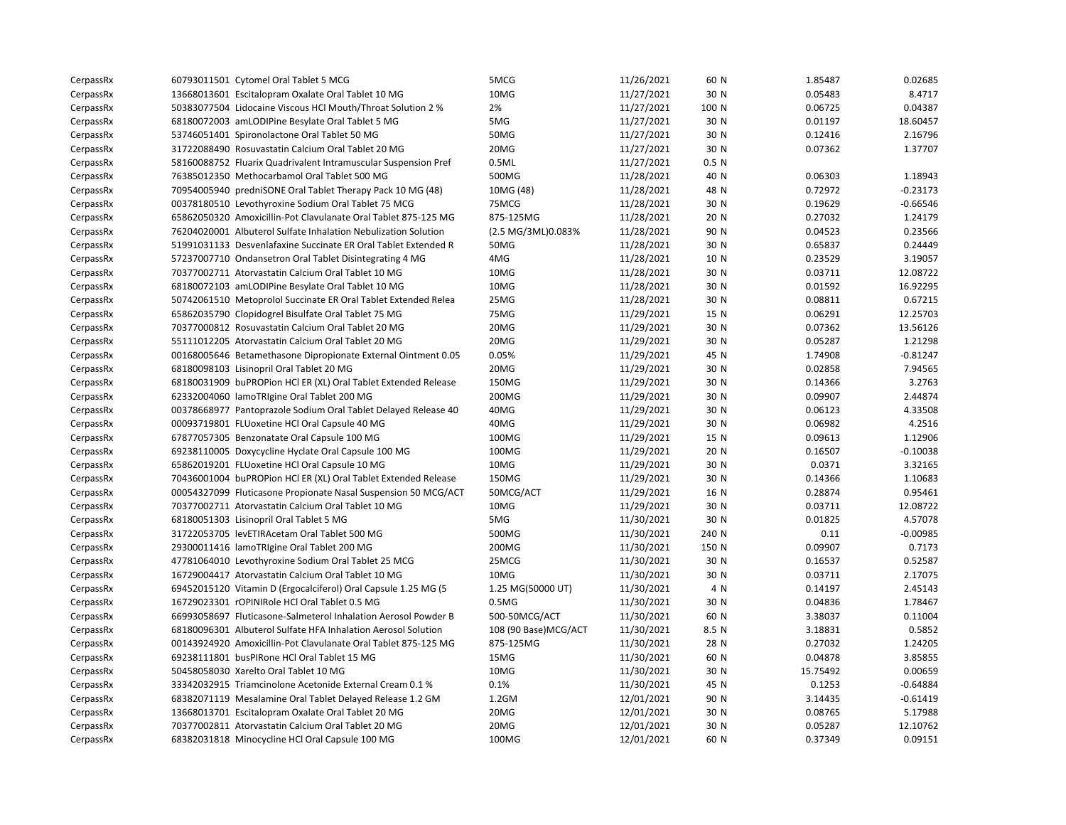| CerpassRx | 60793011501 Cytomel Oral Tablet 5 MCG                          | 5MCG                 | 11/26/2021 | 60 N             | 1.85487  | 0.02685    |
|-----------|----------------------------------------------------------------|----------------------|------------|------------------|----------|------------|
| CerpassRx | 13668013601 Escitalopram Oxalate Oral Tablet 10 MG             | 10MG                 | 11/27/2021 | 30 N             | 0.05483  | 8.4717     |
| CerpassRx | 50383077504 Lidocaine Viscous HCl Mouth/Throat Solution 2 %    | 2%                   | 11/27/2021 | 100 N            | 0.06725  | 0.04387    |
| CerpassRx | 68180072003 amLODIPine Besylate Oral Tablet 5 MG               | 5MG                  | 11/27/2021 | 30 N             | 0.01197  | 18.60457   |
| CerpassRx | 53746051401 Spironolactone Oral Tablet 50 MG                   | 50MG                 | 11/27/2021 | 30 N             | 0.12416  | 2.16796    |
| CerpassRx | 31722088490 Rosuvastatin Calcium Oral Tablet 20 MG             | 20MG                 | 11/27/2021 | 30 N             | 0.07362  | 1.37707    |
| CerpassRx | 58160088752 Fluarix Quadrivalent Intramuscular Suspension Pref | 0.5ML                | 11/27/2021 | 0.5 <sub>N</sub> |          |            |
| CerpassRx | 76385012350 Methocarbamol Oral Tablet 500 MG                   | 500MG                | 11/28/2021 | 40 N             | 0.06303  | 1.18943    |
| CerpassRx | 70954005940 predniSONE Oral Tablet Therapy Pack 10 MG (48)     | 10MG (48)            | 11/28/2021 | 48 N             | 0.72972  | $-0.23173$ |
| CerpassRx | 00378180510 Levothyroxine Sodium Oral Tablet 75 MCG            | 75MCG                | 11/28/2021 | 30 N             | 0.19629  | $-0.66546$ |
| CerpassRx | 65862050320 Amoxicillin-Pot Clavulanate Oral Tablet 875-125 MG | 875-125MG            | 11/28/2021 | 20 N             | 0.27032  | 1.24179    |
| CerpassRx | 76204020001 Albuterol Sulfate Inhalation Nebulization Solution | (2.5 MG/3ML)0.083%   | 11/28/2021 | 90 N             | 0.04523  | 0.23566    |
| CerpassRx | 51991031133 Desvenlafaxine Succinate ER Oral Tablet Extended R | 50MG                 | 11/28/2021 | 30 N             | 0.65837  | 0.24449    |
| CerpassRx | 57237007710 Ondansetron Oral Tablet Disintegrating 4 MG        | 4MG                  | 11/28/2021 | 10 N             | 0.23529  | 3.19057    |
| CerpassRx | 70377002711 Atorvastatin Calcium Oral Tablet 10 MG             | 10MG                 | 11/28/2021 | 30 N             | 0.03711  | 12.08722   |
| CerpassRx | 68180072103 amLODIPine Besylate Oral Tablet 10 MG              | 10MG                 | 11/28/2021 | 30 N             | 0.01592  | 16.92295   |
| CerpassRx | 50742061510 Metoprolol Succinate ER Oral Tablet Extended Relea | 25MG                 | 11/28/2021 | 30 N             | 0.08811  | 0.67215    |
| CerpassRx | 65862035790 Clopidogrel Bisulfate Oral Tablet 75 MG            | 75MG                 | 11/29/2021 | 15 N             | 0.06291  | 12.25703   |
| CerpassRx | 70377000812 Rosuvastatin Calcium Oral Tablet 20 MG             | 20MG                 | 11/29/2021 | 30 N             | 0.07362  | 13.56126   |
| CerpassRx | 55111012205 Atorvastatin Calcium Oral Tablet 20 MG             | 20MG                 | 11/29/2021 | 30 N             | 0.05287  | 1.21298    |
| CerpassRx | 00168005646 Betamethasone Dipropionate External Ointment 0.05  | 0.05%                | 11/29/2021 | 45 N             | 1.74908  | $-0.81247$ |
| CerpassRx | 68180098103 Lisinopril Oral Tablet 20 MG                       | 20MG                 | 11/29/2021 | 30 N             | 0.02858  | 7.94565    |
| CerpassRx | 68180031909 buPROPion HCl ER (XL) Oral Tablet Extended Release | 150MG                | 11/29/2021 | 30 N             | 0.14366  | 3.2763     |
| CerpassRx | 62332004060 lamoTRIgine Oral Tablet 200 MG                     | 200MG                | 11/29/2021 | 30 N             | 0.09907  | 2.44874    |
| CerpassRx | 00378668977 Pantoprazole Sodium Oral Tablet Delayed Release 40 | 40MG                 | 11/29/2021 | 30 N             | 0.06123  | 4.33508    |
| CerpassRx | 00093719801 FLUoxetine HCl Oral Capsule 40 MG                  | 40MG                 | 11/29/2021 | 30 N             | 0.06982  | 4.2516     |
| CerpassRx | 67877057305 Benzonatate Oral Capsule 100 MG                    | 100MG                | 11/29/2021 | 15 N             | 0.09613  | 1.12906    |
| CerpassRx | 69238110005 Doxycycline Hyclate Oral Capsule 100 MG            | 100MG                | 11/29/2021 | 20 N             | 0.16507  | $-0.10038$ |
| CerpassRx | 65862019201 FLUoxetine HCl Oral Capsule 10 MG                  | 10MG                 | 11/29/2021 | 30 N             | 0.0371   | 3.32165    |
| CerpassRx | 70436001004 buPROPion HCl ER (XL) Oral Tablet Extended Release | 150MG                | 11/29/2021 | 30 N             | 0.14366  | 1.10683    |
| CerpassRx | 00054327099 Fluticasone Propionate Nasal Suspension 50 MCG/ACT | 50MCG/ACT            | 11/29/2021 | 16 N             | 0.28874  | 0.95461    |
| CerpassRx | 70377002711 Atorvastatin Calcium Oral Tablet 10 MG             | 10MG                 | 11/29/2021 | 30 N             | 0.03711  | 12.08722   |
| CerpassRx | 68180051303 Lisinopril Oral Tablet 5 MG                        | 5MG                  | 11/30/2021 | 30 N             | 0.01825  | 4.57078    |
| CerpassRx | 31722053705 levETIRAcetam Oral Tablet 500 MG                   | 500MG                | 11/30/2021 | 240 N            | 0.11     | $-0.00985$ |
| CerpassRx | 29300011416 lamoTRIgine Oral Tablet 200 MG                     | 200MG                | 11/30/2021 | 150 N            | 0.09907  | 0.7173     |
| CerpassRx | 47781064010 Levothyroxine Sodium Oral Tablet 25 MCG            | 25MCG                | 11/30/2021 | 30 N             | 0.16537  | 0.52587    |
| CerpassRx | 16729004417 Atorvastatin Calcium Oral Tablet 10 MG             | 10MG                 | 11/30/2021 | 30 N             | 0.03711  | 2.17075    |
| CerpassRx | 69452015120 Vitamin D (Ergocalciferol) Oral Capsule 1.25 MG (5 | 1.25 MG(50000 UT)    | 11/30/2021 | 4 N              | 0.14197  | 2.45143    |
| CerpassRx | 16729023301 rOPINIRole HCl Oral Tablet 0.5 MG                  | 0.5M <sub>G</sub>    | 11/30/2021 | 30 N             | 0.04836  | 1.78467    |
| CerpassRx | 66993058697 Fluticasone-Salmeterol Inhalation Aerosol Powder B | 500-50MCG/ACT        | 11/30/2021 | 60 N             | 3.38037  | 0.11004    |
| CerpassRx | 68180096301 Albuterol Sulfate HFA Inhalation Aerosol Solution  | 108 (90 Base)MCG/ACT | 11/30/2021 | 8.5 N            | 3.18831  | 0.5852     |
| CerpassRx | 00143924920 Amoxicillin-Pot Clavulanate Oral Tablet 875-125 MG | 875-125MG            | 11/30/2021 | 28 N             | 0.27032  | 1.24205    |
| CerpassRx | 69238111801 busPIRone HCl Oral Tablet 15 MG                    | 15MG                 | 11/30/2021 | 60 N             | 0.04878  | 3.85855    |
| CerpassRx | 50458058030 Xarelto Oral Tablet 10 MG                          | 10MG                 | 11/30/2021 | 30 N             | 15.75492 | 0.00659    |
| CerpassRx | 33342032915 Triamcinolone Acetonide External Cream 0.1 %       | 0.1%                 | 11/30/2021 | 45 N             | 0.1253   | $-0.64884$ |
| CerpassRx | 68382071119 Mesalamine Oral Tablet Delayed Release 1.2 GM      | $1.2$ GM             | 12/01/2021 | 90 N             | 3.14435  | $-0.61419$ |
| CerpassRx | 13668013701 Escitalopram Oxalate Oral Tablet 20 MG             | 20MG                 | 12/01/2021 | 30 N             | 0.08765  | 5.17988    |
| CerpassRx | 70377002811 Atorvastatin Calcium Oral Tablet 20 MG             | 20MG                 | 12/01/2021 | 30 N             | 0.05287  | 12.10762   |
| CerpassRx | 68382031818 Minocycline HCl Oral Capsule 100 MG                | 100MG                | 12/01/2021 | 60 N             | 0.37349  | 0.09151    |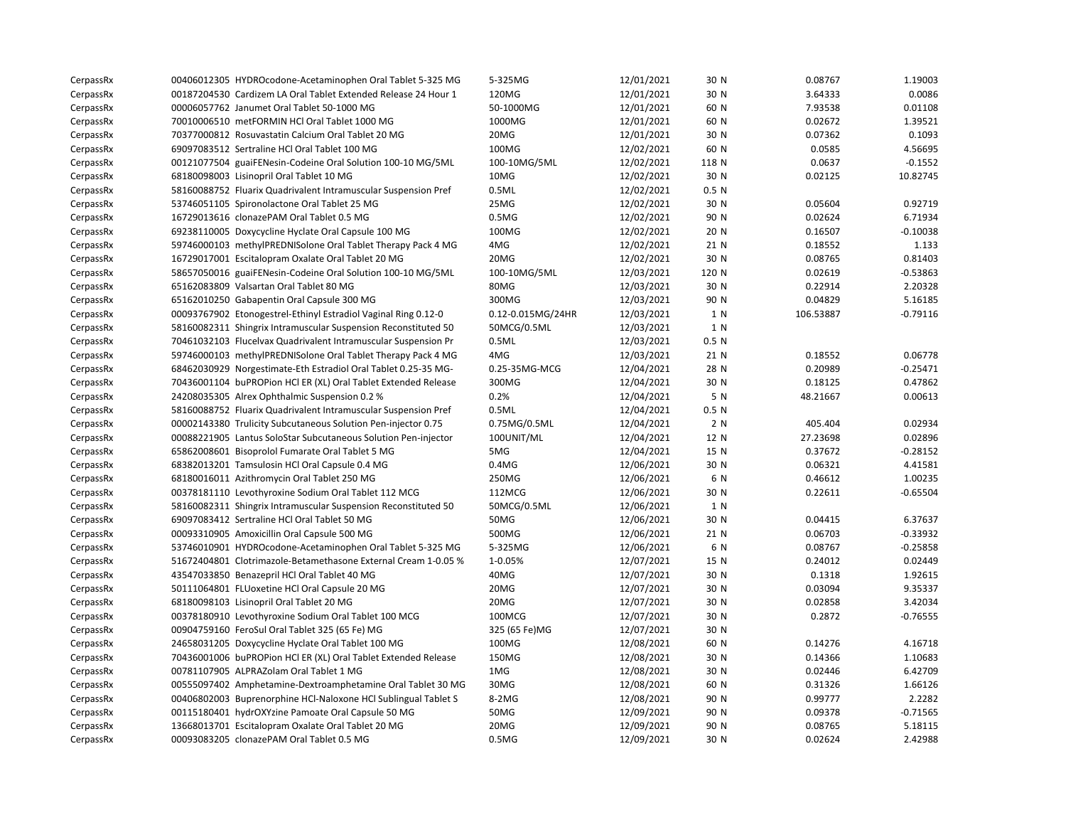| CerpassRx | 00406012305 HYDROcodone-Acetaminophen Oral Tablet 5-325 MG     | 5-325MG           | 12/01/2021 | 30 N             | 0.08767   | 1.19003    |
|-----------|----------------------------------------------------------------|-------------------|------------|------------------|-----------|------------|
| CerpassRx | 00187204530 Cardizem LA Oral Tablet Extended Release 24 Hour 1 | 120MG             | 12/01/2021 | 30 N             | 3.64333   | 0.0086     |
| CerpassRx | 00006057762 Janumet Oral Tablet 50-1000 MG                     | 50-1000MG         | 12/01/2021 | 60 N             | 7.93538   | 0.01108    |
| CerpassRx | 70010006510 metFORMIN HCl Oral Tablet 1000 MG                  | 1000MG            | 12/01/2021 | 60 N             | 0.02672   | 1.39521    |
| CerpassRx | 70377000812 Rosuvastatin Calcium Oral Tablet 20 MG             | 20MG              | 12/01/2021 | 30 N             | 0.07362   | 0.1093     |
| CerpassRx | 69097083512 Sertraline HCl Oral Tablet 100 MG                  | 100MG             | 12/02/2021 | 60 N             | 0.0585    | 4.56695    |
| CerpassRx | 00121077504 guaiFENesin-Codeine Oral Solution 100-10 MG/5ML    | 100-10MG/5ML      | 12/02/2021 | 118 N            | 0.0637    | $-0.1552$  |
| CerpassRx | 68180098003 Lisinopril Oral Tablet 10 MG                       | 10MG              | 12/02/2021 | 30 N             | 0.02125   | 10.82745   |
| CerpassRx | 58160088752 Fluarix Quadrivalent Intramuscular Suspension Pref | 0.5ML             | 12/02/2021 | 0.5 N            |           |            |
| CerpassRx | 53746051105 Spironolactone Oral Tablet 25 MG                   | 25MG              | 12/02/2021 | 30 N             | 0.05604   | 0.92719    |
| CerpassRx | 16729013616 clonazePAM Oral Tablet 0.5 MG                      | 0.5M <sub>G</sub> | 12/02/2021 | 90 N             | 0.02624   | 6.71934    |
| CerpassRx | 69238110005 Doxycycline Hyclate Oral Capsule 100 MG            | 100MG             | 12/02/2021 | 20 N             | 0.16507   | $-0.10038$ |
| CerpassRx | 59746000103 methylPREDNISolone Oral Tablet Therapy Pack 4 MG   | 4MG               | 12/02/2021 | 21 N             | 0.18552   | 1.133      |
| CerpassRx | 16729017001 Escitalopram Oxalate Oral Tablet 20 MG             | 20MG              | 12/02/2021 | 30 N             | 0.08765   | 0.81403    |
| CerpassRx | 58657050016 guaiFENesin-Codeine Oral Solution 100-10 MG/5ML    | 100-10MG/5ML      | 12/03/2021 | 120 N            | 0.02619   | $-0.53863$ |
| CerpassRx | 65162083809 Valsartan Oral Tablet 80 MG                        | 80MG              | 12/03/2021 | 30 N             | 0.22914   | 2.20328    |
| CerpassRx | 65162010250 Gabapentin Oral Capsule 300 MG                     | 300MG             | 12/03/2021 | 90 N             | 0.04829   | 5.16185    |
| CerpassRx | 00093767902 Etonogestrel-Ethinyl Estradiol Vaginal Ring 0.12-0 | 0.12-0.015MG/24HR | 12/03/2021 | 1 N              | 106.53887 | $-0.79116$ |
| CerpassRx | 58160082311 Shingrix Intramuscular Suspension Reconstituted 50 | 50MCG/0.5ML       | 12/03/2021 | 1 N              |           |            |
| CerpassRx | 70461032103 Flucelvax Quadrivalent Intramuscular Suspension Pr | 0.5ML             | 12/03/2021 | 0.5 N            |           |            |
| CerpassRx | 59746000103 methylPREDNISolone Oral Tablet Therapy Pack 4 MG   | 4MG               | 12/03/2021 | 21 N             | 0.18552   | 0.06778    |
| CerpassRx | 68462030929 Norgestimate-Eth Estradiol Oral Tablet 0.25-35 MG- | 0.25-35MG-MCG     | 12/04/2021 | 28 N             | 0.20989   | $-0.25471$ |
| CerpassRx | 70436001104 buPROPion HCl ER (XL) Oral Tablet Extended Release | 300MG             | 12/04/2021 | 30 N             | 0.18125   | 0.47862    |
| CerpassRx | 24208035305 Alrex Ophthalmic Suspension 0.2 %                  | 0.2%              | 12/04/2021 | 5 N              | 48.21667  | 0.00613    |
| CerpassRx | 58160088752 Fluarix Quadrivalent Intramuscular Suspension Pref | 0.5ML             | 12/04/2021 | 0.5 <sub>N</sub> |           |            |
| CerpassRx | 00002143380 Trulicity Subcutaneous Solution Pen-injector 0.75  | 0.75MG/0.5ML      | 12/04/2021 | 2 N              | 405.404   | 0.02934    |
| CerpassRx | 00088221905 Lantus SoloStar Subcutaneous Solution Pen-injector | 100UNIT/ML        | 12/04/2021 | 12 N             | 27.23698  | 0.02896    |
| CerpassRx | 65862008601 Bisoprolol Fumarate Oral Tablet 5 MG               | 5MG               | 12/04/2021 | 15 N             | 0.37672   | $-0.28152$ |
| CerpassRx | 68382013201 Tamsulosin HCl Oral Capsule 0.4 MG                 | $0.4M$ G          | 12/06/2021 | 30 N             | 0.06321   | 4.41581    |
| CerpassRx | 68180016011 Azithromycin Oral Tablet 250 MG                    | 250MG             | 12/06/2021 | 6 N              | 0.46612   | 1.00235    |
| CerpassRx | 00378181110 Levothyroxine Sodium Oral Tablet 112 MCG           | 112MCG            | 12/06/2021 | 30 N             | 0.22611   | $-0.65504$ |
| CerpassRx | 58160082311 Shingrix Intramuscular Suspension Reconstituted 50 | 50MCG/0.5ML       | 12/06/2021 | 1 N              |           |            |
| CerpassRx | 69097083412 Sertraline HCl Oral Tablet 50 MG                   | 50MG              | 12/06/2021 | 30 N             | 0.04415   | 6.37637    |
| CerpassRx | 00093310905 Amoxicillin Oral Capsule 500 MG                    | 500MG             | 12/06/2021 | 21 N             | 0.06703   | $-0.33932$ |
| CerpassRx | 53746010901 HYDROcodone-Acetaminophen Oral Tablet 5-325 MG     | 5-325MG           | 12/06/2021 | 6 N              | 0.08767   | $-0.25858$ |
| CerpassRx | 51672404801 Clotrimazole-Betamethasone External Cream 1-0.05 % | 1-0.05%           | 12/07/2021 | 15 N             | 0.24012   | 0.02449    |
| CerpassRx | 43547033850 Benazepril HCl Oral Tablet 40 MG                   | 40MG              | 12/07/2021 | 30 N             | 0.1318    | 1.92615    |
| CerpassRx | 50111064801 FLUoxetine HCl Oral Capsule 20 MG                  | 20MG              | 12/07/2021 | 30 N             | 0.03094   | 9.35337    |
| CerpassRx | 68180098103 Lisinopril Oral Tablet 20 MG                       | 20MG              | 12/07/2021 | 30 N             | 0.02858   | 3.42034    |
| CerpassRx | 00378180910 Levothyroxine Sodium Oral Tablet 100 MCG           | 100MCG            | 12/07/2021 | 30 N             | 0.2872    | $-0.76555$ |
| CerpassRx | 00904759160 FeroSul Oral Tablet 325 (65 Fe) MG                 | 325 (65 Fe)MG     | 12/07/2021 | 30 N             |           |            |
| CerpassRx | 24658031205 Doxycycline Hyclate Oral Tablet 100 MG             | 100MG             | 12/08/2021 | 60 N             | 0.14276   | 4.16718    |
| CerpassRx | 70436001006 buPROPion HCl ER (XL) Oral Tablet Extended Release | 150MG             | 12/08/2021 | 30 N             | 0.14366   | 1.10683    |
| CerpassRx | 00781107905 ALPRAZolam Oral Tablet 1 MG                        | 1MG               | 12/08/2021 | 30 N             | 0.02446   | 6.42709    |
| CerpassRx | 00555097402 Amphetamine-Dextroamphetamine Oral Tablet 30 MG    | 30MG              | 12/08/2021 | 60 N             | 0.31326   | 1.66126    |
| CerpassRx | 00406802003 Buprenorphine HCl-Naloxone HCl Sublingual Tablet S | 8-2MG             | 12/08/2021 | 90 N             | 0.99777   | 2.2282     |
| CerpassRx | 00115180401 hydrOXYzine Pamoate Oral Capsule 50 MG             | 50MG              | 12/09/2021 | 90 N             | 0.09378   | $-0.71565$ |
| CerpassRx | 13668013701 Escitalopram Oxalate Oral Tablet 20 MG             | 20MG              | 12/09/2021 | 90 N             | 0.08765   | 5.18115    |
| CerpassRx | 00093083205 clonazePAM Oral Tablet 0.5 MG                      | 0.5M <sub>G</sub> | 12/09/2021 | 30 N             | 0.02624   | 2.42988    |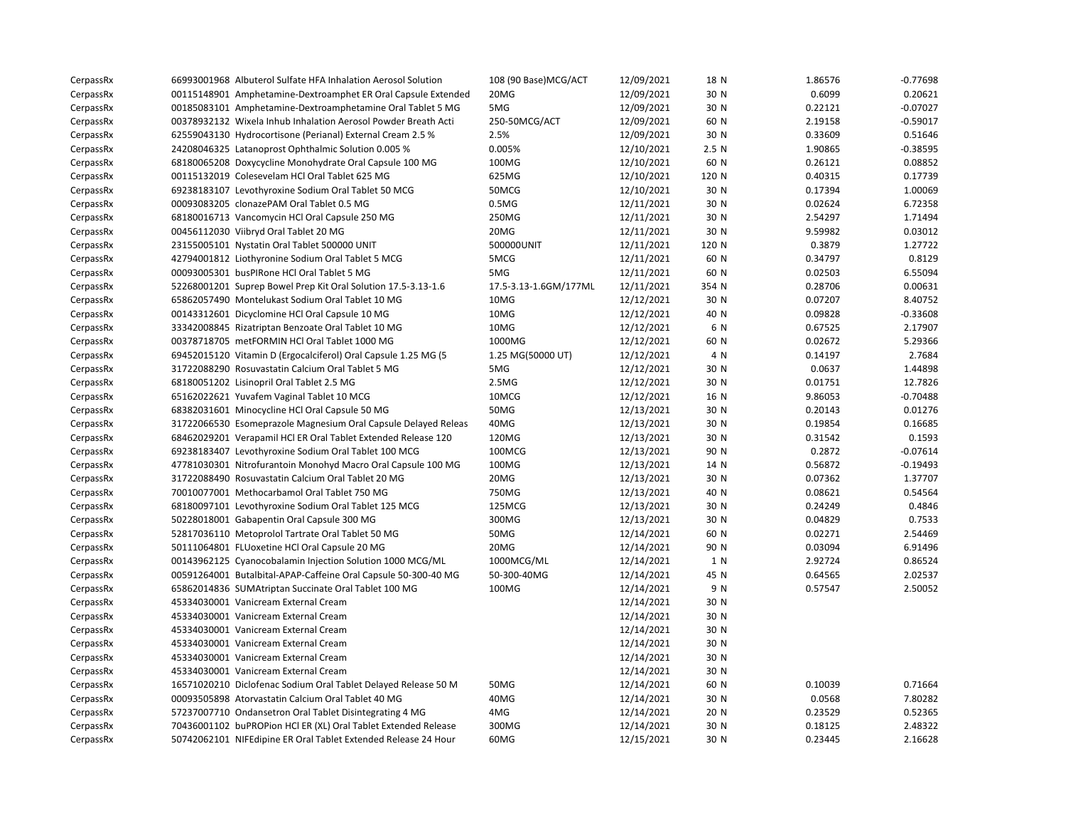| CerpassRx | 66993001968 Albuterol Sulfate HFA Inhalation Aerosol Solution  | 108 (90 Base) MCG/ACT | 12/09/2021 | 18 N  | 1.86576 | $-0.77698$ |
|-----------|----------------------------------------------------------------|-----------------------|------------|-------|---------|------------|
| CerpassRx | 00115148901 Amphetamine-Dextroamphet ER Oral Capsule Extended  | 20MG                  | 12/09/2021 | 30 N  | 0.6099  | 0.20621    |
| CerpassRx | 00185083101 Amphetamine-Dextroamphetamine Oral Tablet 5 MG     | 5MG                   | 12/09/2021 | 30 N  | 0.22121 | $-0.07027$ |
| CerpassRx | 00378932132 Wixela Inhub Inhalation Aerosol Powder Breath Acti | 250-50MCG/ACT         | 12/09/2021 | 60 N  | 2.19158 | $-0.59017$ |
| CerpassRx | 62559043130 Hydrocortisone (Perianal) External Cream 2.5 %     | 2.5%                  | 12/09/2021 | 30 N  | 0.33609 | 0.51646    |
| CerpassRx | 24208046325 Latanoprost Ophthalmic Solution 0.005 %            | 0.005%                | 12/10/2021 | 2.5N  | 1.90865 | $-0.38595$ |
| CerpassRx | 68180065208 Doxycycline Monohydrate Oral Capsule 100 MG        | 100MG                 | 12/10/2021 | 60 N  | 0.26121 | 0.08852    |
| CerpassRx | 00115132019 Colesevelam HCl Oral Tablet 625 MG                 | 625MG                 | 12/10/2021 | 120 N | 0.40315 | 0.17739    |
| CerpassRx | 69238183107 Levothyroxine Sodium Oral Tablet 50 MCG            | 50MCG                 | 12/10/2021 | 30 N  | 0.17394 | 1.00069    |
| CerpassRx | 00093083205 clonazePAM Oral Tablet 0.5 MG                      | 0.5M <sub>G</sub>     | 12/11/2021 | 30 N  | 0.02624 | 6.72358    |
| CerpassRx | 68180016713 Vancomycin HCl Oral Capsule 250 MG                 | 250MG                 | 12/11/2021 | 30 N  | 2.54297 | 1.71494    |
| CerpassRx | 00456112030 Viibryd Oral Tablet 20 MG                          | 20MG                  | 12/11/2021 | 30 N  | 9.59982 | 0.03012    |
| CerpassRx | 23155005101 Nystatin Oral Tablet 500000 UNIT                   | 500000UNIT            | 12/11/2021 | 120 N | 0.3879  | 1.27722    |
| CerpassRx | 42794001812 Liothyronine Sodium Oral Tablet 5 MCG              | 5MCG                  | 12/11/2021 | 60 N  | 0.34797 | 0.8129     |
| CerpassRx | 00093005301 busPIRone HCI Oral Tablet 5 MG                     | 5MG                   | 12/11/2021 | 60 N  | 0.02503 | 6.55094    |
| CerpassRx | 52268001201 Suprep Bowel Prep Kit Oral Solution 17.5-3.13-1.6  | 17.5-3.13-1.6GM/177ML | 12/11/2021 | 354 N | 0.28706 | 0.00631    |
| CerpassRx | 65862057490 Montelukast Sodium Oral Tablet 10 MG               | 10MG                  | 12/12/2021 | 30 N  | 0.07207 | 8.40752    |
| CerpassRx | 00143312601 Dicyclomine HCl Oral Capsule 10 MG                 | 10MG                  | 12/12/2021 | 40 N  | 0.09828 | $-0.33608$ |
| CerpassRx | 33342008845 Rizatriptan Benzoate Oral Tablet 10 MG             | 10MG                  | 12/12/2021 | 6 N   | 0.67525 | 2.17907    |
| CerpassRx | 00378718705 metFORMIN HCl Oral Tablet 1000 MG                  | 1000MG                | 12/12/2021 | 60 N  | 0.02672 | 5.29366    |
| CerpassRx | 69452015120 Vitamin D (Ergocalciferol) Oral Capsule 1.25 MG (5 | 1.25 MG(50000 UT)     | 12/12/2021 | 4 N   | 0.14197 | 2.7684     |
| CerpassRx | 31722088290 Rosuvastatin Calcium Oral Tablet 5 MG              | 5MG                   | 12/12/2021 | 30 N  | 0.0637  | 1.44898    |
| CerpassRx | 68180051202 Lisinopril Oral Tablet 2.5 MG                      | 2.5MG                 | 12/12/2021 | 30 N  | 0.01751 | 12.7826    |
| CerpassRx | 65162022621 Yuvafem Vaginal Tablet 10 MCG                      | 10MCG                 | 12/12/2021 | 16 N  | 9.86053 | $-0.70488$ |
| CerpassRx | 68382031601 Minocycline HCl Oral Capsule 50 MG                 | 50MG                  | 12/13/2021 | 30 N  | 0.20143 | 0.01276    |
| CerpassRx | 31722066530 Esomeprazole Magnesium Oral Capsule Delayed Releas | 40MG                  | 12/13/2021 | 30 N  | 0.19854 | 0.16685    |
| CerpassRx | 68462029201 Verapamil HCl ER Oral Tablet Extended Release 120  | 120MG                 | 12/13/2021 | 30 N  | 0.31542 | 0.1593     |
| CerpassRx | 69238183407 Levothyroxine Sodium Oral Tablet 100 MCG           | 100MCG                | 12/13/2021 | 90 N  | 0.2872  | $-0.07614$ |
| CerpassRx | 47781030301 Nitrofurantoin Monohyd Macro Oral Capsule 100 MG   | 100MG                 | 12/13/2021 | 14 N  | 0.56872 | $-0.19493$ |
| CerpassRx | 31722088490 Rosuvastatin Calcium Oral Tablet 20 MG             | 20MG                  | 12/13/2021 | 30 N  | 0.07362 | 1.37707    |
| CerpassRx | 70010077001 Methocarbamol Oral Tablet 750 MG                   | 750MG                 | 12/13/2021 | 40 N  | 0.08621 | 0.54564    |
| CerpassRx | 68180097101 Levothyroxine Sodium Oral Tablet 125 MCG           | 125MCG                | 12/13/2021 | 30 N  | 0.24249 | 0.4846     |
| CerpassRx | 50228018001 Gabapentin Oral Capsule 300 MG                     | 300MG                 | 12/13/2021 | 30 N  | 0.04829 | 0.7533     |
| CerpassRx | 52817036110 Metoprolol Tartrate Oral Tablet 50 MG              | 50MG                  | 12/14/2021 | 60 N  | 0.02271 | 2.54469    |
| CerpassRx | 50111064801 FLUoxetine HCl Oral Capsule 20 MG                  | 20MG                  | 12/14/2021 | 90 N  | 0.03094 | 6.91496    |
| CerpassRx | 00143962125 Cyanocobalamin Injection Solution 1000 MCG/ML      | 1000MCG/ML            | 12/14/2021 | 1 N   | 2.92724 | 0.86524    |
| CerpassRx | 00591264001 Butalbital-APAP-Caffeine Oral Capsule 50-300-40 MG | 50-300-40MG           | 12/14/2021 | 45 N  | 0.64565 | 2.02537    |
| CerpassRx | 65862014836 SUMAtriptan Succinate Oral Tablet 100 MG           | 100MG                 | 12/14/2021 | 9 N   | 0.57547 | 2.50052    |
| CerpassRx | 45334030001 Vanicream External Cream                           |                       | 12/14/2021 | 30 N  |         |            |
| CerpassRx | 45334030001 Vanicream External Cream                           |                       | 12/14/2021 | 30 N  |         |            |
| CerpassRx | 45334030001 Vanicream External Cream                           |                       | 12/14/2021 | 30 N  |         |            |
| CerpassRx | 45334030001 Vanicream External Cream                           |                       | 12/14/2021 | 30 N  |         |            |
| CerpassRx | 45334030001 Vanicream External Cream                           |                       | 12/14/2021 | 30 N  |         |            |
| CerpassRx | 45334030001 Vanicream External Cream                           |                       | 12/14/2021 | 30 N  |         |            |
| CerpassRx | 16571020210 Diclofenac Sodium Oral Tablet Delayed Release 50 M | 50MG                  | 12/14/2021 | 60 N  | 0.10039 | 0.71664    |
| CerpassRx | 00093505898 Atorvastatin Calcium Oral Tablet 40 MG             | 40MG                  | 12/14/2021 | 30 N  | 0.0568  | 7.80282    |
| CerpassRx | 57237007710 Ondansetron Oral Tablet Disintegrating 4 MG        | 4MG                   | 12/14/2021 | 20 N  | 0.23529 | 0.52365    |
| CerpassRx | 70436001102 buPROPion HCl ER (XL) Oral Tablet Extended Release | 300MG                 | 12/14/2021 | 30 N  | 0.18125 | 2.48322    |
| CerpassRx | 50742062101 NIFEdipine ER Oral Tablet Extended Release 24 Hour | 60MG                  | 12/15/2021 | 30 N  | 0.23445 | 2.16628    |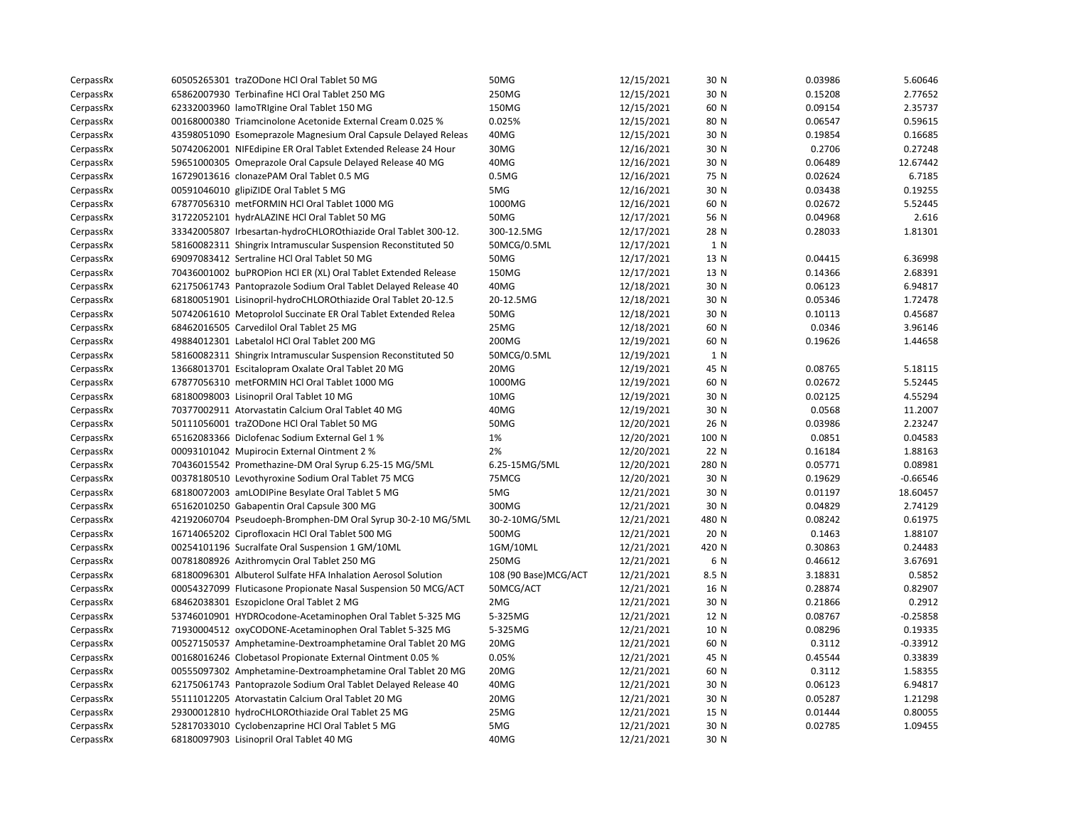| CerpassRx | 60505265301 traZODone HCl Oral Tablet 50 MG                    | 50MG                  | 12/15/2021 | 30 N  | 0.03986 | 5.60646    |
|-----------|----------------------------------------------------------------|-----------------------|------------|-------|---------|------------|
| CerpassRx | 65862007930 Terbinafine HCl Oral Tablet 250 MG                 | 250MG                 | 12/15/2021 | 30 N  | 0.15208 | 2.77652    |
| CerpassRx | 62332003960 lamoTRIgine Oral Tablet 150 MG                     | 150MG                 | 12/15/2021 | 60 N  | 0.09154 | 2.35737    |
| CerpassRx | 00168000380 Triamcinolone Acetonide External Cream 0.025 %     | 0.025%                | 12/15/2021 | 80 N  | 0.06547 | 0.59615    |
| CerpassRx | 43598051090 Esomeprazole Magnesium Oral Capsule Delayed Releas | 40MG                  | 12/15/2021 | 30 N  | 0.19854 | 0.16685    |
| CerpassRx | 50742062001 NIFEdipine ER Oral Tablet Extended Release 24 Hour | 30MG                  | 12/16/2021 | 30 N  | 0.2706  | 0.27248    |
| CerpassRx | 59651000305 Omeprazole Oral Capsule Delayed Release 40 MG      | 40MG                  | 12/16/2021 | 30 N  | 0.06489 | 12.67442   |
| CerpassRx | 16729013616 clonazePAM Oral Tablet 0.5 MG                      | 0.5M <sub>G</sub>     | 12/16/2021 | 75 N  | 0.02624 | 6.7185     |
| CerpassRx | 00591046010 glipiZIDE Oral Tablet 5 MG                         | 5MG                   | 12/16/2021 | 30 N  | 0.03438 | 0.19255    |
| CerpassRx | 67877056310 metFORMIN HCl Oral Tablet 1000 MG                  | 1000MG                | 12/16/2021 | 60 N  | 0.02672 | 5.52445    |
| CerpassRx | 31722052101 hydrALAZINE HCl Oral Tablet 50 MG                  | 50MG                  | 12/17/2021 | 56 N  | 0.04968 | 2.616      |
| CerpassRx | 33342005807 Irbesartan-hydroCHLOROthiazide Oral Tablet 300-12. | 300-12.5MG            | 12/17/2021 | 28 N  | 0.28033 | 1.81301    |
| CerpassRx | 58160082311 Shingrix Intramuscular Suspension Reconstituted 50 | 50MCG/0.5ML           | 12/17/2021 | 1 N   |         |            |
| CerpassRx | 69097083412 Sertraline HCl Oral Tablet 50 MG                   | 50MG                  | 12/17/2021 | 13 N  | 0.04415 | 6.36998    |
| CerpassRx | 70436001002 buPROPion HCl ER (XL) Oral Tablet Extended Release | 150MG                 | 12/17/2021 | 13 N  | 0.14366 | 2.68391    |
| CerpassRx | 62175061743 Pantoprazole Sodium Oral Tablet Delayed Release 40 | 40MG                  | 12/18/2021 | 30 N  | 0.06123 | 6.94817    |
| CerpassRx | 68180051901 Lisinopril-hydroCHLOROthiazide Oral Tablet 20-12.5 | 20-12.5MG             | 12/18/2021 | 30 N  | 0.05346 | 1.72478    |
| CerpassRx | 50742061610 Metoprolol Succinate ER Oral Tablet Extended Relea | <b>50MG</b>           | 12/18/2021 | 30 N  | 0.10113 | 0.45687    |
| CerpassRx | 68462016505 Carvedilol Oral Tablet 25 MG                       | 25MG                  | 12/18/2021 | 60 N  | 0.0346  | 3.96146    |
| CerpassRx | 49884012301 Labetalol HCl Oral Tablet 200 MG                   | 200MG                 | 12/19/2021 | 60 N  | 0.19626 | 1.44658    |
| CerpassRx | 58160082311 Shingrix Intramuscular Suspension Reconstituted 50 | 50MCG/0.5ML           | 12/19/2021 | 1 N   |         |            |
| CerpassRx | 13668013701 Escitalopram Oxalate Oral Tablet 20 MG             | 20MG                  | 12/19/2021 | 45 N  | 0.08765 | 5.18115    |
| CerpassRx | 67877056310 metFORMIN HCl Oral Tablet 1000 MG                  | 1000MG                | 12/19/2021 | 60 N  | 0.02672 | 5.52445    |
| CerpassRx | 68180098003 Lisinopril Oral Tablet 10 MG                       | 10MG                  | 12/19/2021 | 30 N  | 0.02125 | 4.55294    |
| CerpassRx | 70377002911 Atorvastatin Calcium Oral Tablet 40 MG             | 40MG                  | 12/19/2021 | 30 N  | 0.0568  | 11.2007    |
| CerpassRx | 50111056001 traZODone HCl Oral Tablet 50 MG                    | 50MG                  | 12/20/2021 | 26 N  | 0.03986 | 2.23247    |
| CerpassRx | 65162083366 Diclofenac Sodium External Gel 1 %                 | 1%                    | 12/20/2021 | 100 N | 0.0851  | 0.04583    |
| CerpassRx | 00093101042 Mupirocin External Ointment 2 %                    | 2%                    | 12/20/2021 | 22 N  | 0.16184 | 1.88163    |
| CerpassRx | 70436015542 Promethazine-DM Oral Syrup 6.25-15 MG/5ML          | 6.25-15MG/5ML         | 12/20/2021 | 280 N | 0.05771 | 0.08981    |
| CerpassRx | 00378180510 Levothyroxine Sodium Oral Tablet 75 MCG            | 75MCG                 | 12/20/2021 | 30 N  | 0.19629 | $-0.66546$ |
| CerpassRx | 68180072003 amLODIPine Besylate Oral Tablet 5 MG               | 5MG                   | 12/21/2021 | 30 N  | 0.01197 | 18.60457   |
| CerpassRx | 65162010250 Gabapentin Oral Capsule 300 MG                     | 300MG                 | 12/21/2021 | 30 N  | 0.04829 | 2.74129    |
| CerpassRx | 42192060704 Pseudoeph-Bromphen-DM Oral Syrup 30-2-10 MG/5ML    | 30-2-10MG/5ML         | 12/21/2021 | 480 N | 0.08242 | 0.61975    |
| CerpassRx | 16714065202 Ciprofloxacin HCl Oral Tablet 500 MG               | 500MG                 | 12/21/2021 | 20 N  | 0.1463  | 1.88107    |
| CerpassRx | 00254101196 Sucralfate Oral Suspension 1 GM/10ML               | 1GM/10ML              | 12/21/2021 | 420 N | 0.30863 | 0.24483    |
| CerpassRx | 00781808926 Azithromycin Oral Tablet 250 MG                    | 250MG                 | 12/21/2021 | 6 N   | 0.46612 | 3.67691    |
| CerpassRx | 68180096301 Albuterol Sulfate HFA Inhalation Aerosol Solution  | 108 (90 Base) MCG/ACT | 12/21/2021 | 8.5 N | 3.18831 | 0.5852     |
| CerpassRx | 00054327099 Fluticasone Propionate Nasal Suspension 50 MCG/ACT | 50MCG/ACT             | 12/21/2021 | 16 N  | 0.28874 | 0.82907    |
| CerpassRx | 68462038301 Eszopiclone Oral Tablet 2 MG                       | 2MG                   | 12/21/2021 | 30 N  | 0.21866 | 0.2912     |
| CerpassRx | 53746010901 HYDROcodone-Acetaminophen Oral Tablet 5-325 MG     | 5-325MG               | 12/21/2021 | 12 N  | 0.08767 | $-0.25858$ |
| CerpassRx | 71930004512 oxyCODONE-Acetaminophen Oral Tablet 5-325 MG       | 5-325MG               | 12/21/2021 | 10 N  | 0.08296 | 0.19335    |
| CerpassRx | 00527150537 Amphetamine-Dextroamphetamine Oral Tablet 20 MG    | 20MG                  | 12/21/2021 | 60 N  | 0.3112  | $-0.33912$ |
| CerpassRx | 00168016246 Clobetasol Propionate External Ointment 0.05 %     | 0.05%                 | 12/21/2021 | 45 N  | 0.45544 | 0.33839    |
| CerpassRx | 00555097302 Amphetamine-Dextroamphetamine Oral Tablet 20 MG    | 20MG                  | 12/21/2021 | 60 N  | 0.3112  | 1.58355    |
| CerpassRx | 62175061743 Pantoprazole Sodium Oral Tablet Delayed Release 40 | 40MG                  | 12/21/2021 | 30 N  | 0.06123 | 6.94817    |
| CerpassRx | 55111012205 Atorvastatin Calcium Oral Tablet 20 MG             | 20MG                  | 12/21/2021 | 30 N  | 0.05287 | 1.21298    |
| CerpassRx | 29300012810 hydroCHLOROthiazide Oral Tablet 25 MG              | 25MG                  | 12/21/2021 | 15 N  | 0.01444 | 0.80055    |
| CerpassRx | 52817033010 Cyclobenzaprine HCl Oral Tablet 5 MG               | 5MG                   | 12/21/2021 | 30 N  | 0.02785 | 1.09455    |
| CerpassRx | 68180097903 Lisinopril Oral Tablet 40 MG                       | 40MG                  | 12/21/2021 | 30 N  |         |            |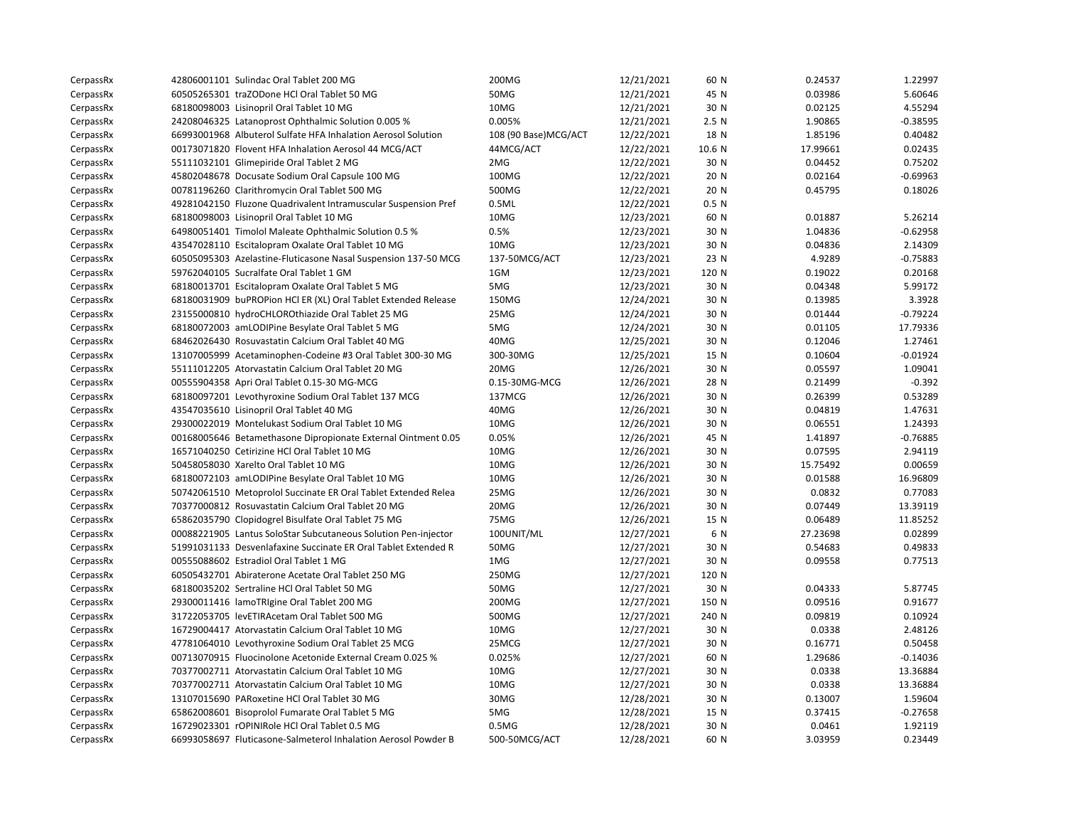| CerpassRx | 42806001101 Sulindac Oral Tablet 200 MG                        | 200MG                 | 12/21/2021 | 60 N             | 0.24537  | 1.22997    |
|-----------|----------------------------------------------------------------|-----------------------|------------|------------------|----------|------------|
| CerpassRx | 60505265301 traZODone HCl Oral Tablet 50 MG                    | 50MG                  | 12/21/2021 | 45 N             | 0.03986  | 5.60646    |
| CerpassRx | 68180098003 Lisinopril Oral Tablet 10 MG                       | 10MG                  | 12/21/2021 | 30 N             | 0.02125  | 4.55294    |
| CerpassRx | 24208046325 Latanoprost Ophthalmic Solution 0.005 %            | 0.005%                | 12/21/2021 | 2.5N             | 1.90865  | $-0.38595$ |
| CerpassRx | 66993001968 Albuterol Sulfate HFA Inhalation Aerosol Solution  | 108 (90 Base) MCG/ACT | 12/22/2021 | 18 N             | 1.85196  | 0.40482    |
| CerpassRx | 00173071820 Flovent HFA Inhalation Aerosol 44 MCG/ACT          | 44MCG/ACT             | 12/22/2021 | 10.6 N           | 17.99661 | 0.02435    |
| CerpassRx | 55111032101 Glimepiride Oral Tablet 2 MG                       | 2MG                   | 12/22/2021 | 30 N             | 0.04452  | 0.75202    |
| CerpassRx | 45802048678 Docusate Sodium Oral Capsule 100 MG                | 100MG                 | 12/22/2021 | 20 N             | 0.02164  | $-0.69963$ |
| CerpassRx | 00781196260 Clarithromycin Oral Tablet 500 MG                  | 500MG                 | 12/22/2021 | 20 N             | 0.45795  | 0.18026    |
| CerpassRx | 49281042150 Fluzone Quadrivalent Intramuscular Suspension Pref | 0.5ML                 | 12/22/2021 | 0.5 <sub>N</sub> |          |            |
| CerpassRx | 68180098003 Lisinopril Oral Tablet 10 MG                       | 10MG                  | 12/23/2021 | 60 N             | 0.01887  | 5.26214    |
| CerpassRx | 64980051401 Timolol Maleate Ophthalmic Solution 0.5 %          | 0.5%                  | 12/23/2021 | 30 N             | 1.04836  | $-0.62958$ |
| CerpassRx | 43547028110 Escitalopram Oxalate Oral Tablet 10 MG             | 10MG                  | 12/23/2021 | 30 N             | 0.04836  | 2.14309    |
| CerpassRx | 60505095303 Azelastine-Fluticasone Nasal Suspension 137-50 MCG | 137-50MCG/ACT         | 12/23/2021 | 23 N             | 4.9289   | $-0.75883$ |
| CerpassRx | 59762040105 Sucralfate Oral Tablet 1 GM                        | 1GM                   | 12/23/2021 | 120 N            | 0.19022  | 0.20168    |
| CerpassRx | 68180013701 Escitalopram Oxalate Oral Tablet 5 MG              | 5MG                   | 12/23/2021 | 30 N             | 0.04348  | 5.99172    |
| CerpassRx | 68180031909 buPROPion HCl ER (XL) Oral Tablet Extended Release | 150MG                 | 12/24/2021 | 30 N             | 0.13985  | 3.3928     |
| CerpassRx | 23155000810 hydroCHLOROthiazide Oral Tablet 25 MG              | 25MG                  | 12/24/2021 | 30 N             | 0.01444  | $-0.79224$ |
| CerpassRx | 68180072003 amLODIPine Besylate Oral Tablet 5 MG               | 5MG                   | 12/24/2021 | 30 N             | 0.01105  | 17.79336   |
| CerpassRx | 68462026430 Rosuvastatin Calcium Oral Tablet 40 MG             | 40MG                  | 12/25/2021 | 30 N             | 0.12046  | 1.27461    |
| CerpassRx | 13107005999 Acetaminophen-Codeine #3 Oral Tablet 300-30 MG     | 300-30MG              | 12/25/2021 | 15 N             | 0.10604  | $-0.01924$ |
| CerpassRx | 55111012205 Atorvastatin Calcium Oral Tablet 20 MG             | 20MG                  | 12/26/2021 | 30 N             | 0.05597  | 1.09041    |
| CerpassRx | 00555904358 Apri Oral Tablet 0.15-30 MG-MCG                    | 0.15-30MG-MCG         | 12/26/2021 | 28 N             | 0.21499  | $-0.392$   |
| CerpassRx | 68180097201 Levothyroxine Sodium Oral Tablet 137 MCG           | 137MCG                | 12/26/2021 | 30 N             | 0.26399  | 0.53289    |
| CerpassRx | 43547035610 Lisinopril Oral Tablet 40 MG                       | 40MG                  | 12/26/2021 | 30 N             | 0.04819  | 1.47631    |
| CerpassRx | 29300022019 Montelukast Sodium Oral Tablet 10 MG               | 10MG                  | 12/26/2021 | 30 N             | 0.06551  | 1.24393    |
| CerpassRx | 00168005646 Betamethasone Dipropionate External Ointment 0.05  | 0.05%                 | 12/26/2021 | 45 N             | 1.41897  | $-0.76885$ |
| CerpassRx | 16571040250 Cetirizine HCl Oral Tablet 10 MG                   | 10MG                  | 12/26/2021 | 30 N             | 0.07595  | 2.94119    |
| CerpassRx | 50458058030 Xarelto Oral Tablet 10 MG                          | 10MG                  | 12/26/2021 | 30 N             | 15.75492 | 0.00659    |
| CerpassRx | 68180072103 amLODIPine Besylate Oral Tablet 10 MG              | 10MG                  | 12/26/2021 | 30 N             | 0.01588  | 16.96809   |
| CerpassRx | 50742061510 Metoprolol Succinate ER Oral Tablet Extended Relea | 25MG                  | 12/26/2021 | 30 N             | 0.0832   | 0.77083    |
| CerpassRx | 70377000812 Rosuvastatin Calcium Oral Tablet 20 MG             | 20MG                  | 12/26/2021 | 30 N             | 0.07449  | 13.39119   |
| CerpassRx | 65862035790 Clopidogrel Bisulfate Oral Tablet 75 MG            | 75MG                  | 12/26/2021 | 15 N             | 0.06489  | 11.85252   |
| CerpassRx | 00088221905 Lantus SoloStar Subcutaneous Solution Pen-injector | 100UNIT/ML            | 12/27/2021 | 6 N              | 27.23698 | 0.02899    |
| CerpassRx | 51991031133 Desvenlafaxine Succinate ER Oral Tablet Extended R | 50MG                  | 12/27/2021 | 30 N             | 0.54683  | 0.49833    |
| CerpassRx | 00555088602 Estradiol Oral Tablet 1 MG                         | 1MG                   | 12/27/2021 | 30 N             | 0.09558  | 0.77513    |
| CerpassRx | 60505432701 Abiraterone Acetate Oral Tablet 250 MG             | 250MG                 | 12/27/2021 | 120 N            |          |            |
| CerpassRx | 68180035202 Sertraline HCl Oral Tablet 50 MG                   | 50MG                  | 12/27/2021 | 30 N             | 0.04333  | 5.87745    |
| CerpassRx | 29300011416 lamoTRIgine Oral Tablet 200 MG                     | 200MG                 | 12/27/2021 | 150 N            | 0.09516  | 0.91677    |
| CerpassRx | 31722053705 levETIRAcetam Oral Tablet 500 MG                   | 500MG                 | 12/27/2021 | 240 N            | 0.09819  | 0.10924    |
| CerpassRx | 16729004417 Atorvastatin Calcium Oral Tablet 10 MG             | 10MG                  | 12/27/2021 | 30 N             | 0.0338   | 2.48126    |
| CerpassRx | 47781064010 Levothyroxine Sodium Oral Tablet 25 MCG            | 25MCG                 | 12/27/2021 | 30 N             | 0.16771  | 0.50458    |
| CerpassRx | 00713070915 Fluocinolone Acetonide External Cream 0.025 %      | 0.025%                | 12/27/2021 | 60 N             | 1.29686  | $-0.14036$ |
| CerpassRx | 70377002711 Atorvastatin Calcium Oral Tablet 10 MG             | 10MG                  | 12/27/2021 | 30 N             | 0.0338   | 13.36884   |
| CerpassRx | 70377002711 Atorvastatin Calcium Oral Tablet 10 MG             | 10MG                  | 12/27/2021 | 30 N             | 0.0338   | 13.36884   |
| CerpassRx | 13107015690 PARoxetine HCl Oral Tablet 30 MG                   | 30MG                  | 12/28/2021 | 30 N             | 0.13007  | 1.59604    |
| CerpassRx | 65862008601 Bisoprolol Fumarate Oral Tablet 5 MG               | 5MG                   | 12/28/2021 | 15 N             | 0.37415  | $-0.27658$ |
| CerpassRx | 16729023301 rOPINIRole HCl Oral Tablet 0.5 MG                  | 0.5M <sub>G</sub>     | 12/28/2021 | 30 N             | 0.0461   | 1.92119    |
| CerpassRx | 66993058697 Fluticasone-Salmeterol Inhalation Aerosol Powder B | 500-50MCG/ACT         | 12/28/2021 | 60 N             | 3.03959  | 0.23449    |